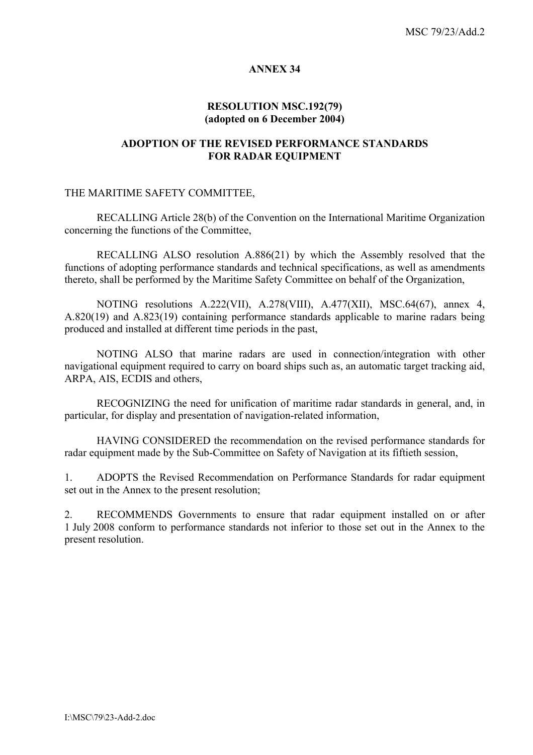### **ANNEX 34**

#### **RESOLUTION MSC.192(79) (adopted on 6 December 2004)**

### **ADOPTION OF THE REVISED PERFORMANCE STANDARDS FOR RADAR EQUIPMENT**

#### THE MARITIME SAFETY COMMITTEE,

 RECALLING Article 28(b) of the Convention on the International Maritime Organization concerning the functions of the Committee,

 RECALLING ALSO resolution A.886(21) by which the Assembly resolved that the functions of adopting performance standards and technical specifications, as well as amendments thereto, shall be performed by the Maritime Safety Committee on behalf of the Organization,

 NOTING resolutions A.222(VII), A.278(VIII), A.477(XII), MSC.64(67), annex 4, A.820(19) and A.823(19) containing performance standards applicable to marine radars being produced and installed at different time periods in the past,

 NOTING ALSO that marine radars are used in connection/integration with other navigational equipment required to carry on board ships such as, an automatic target tracking aid, ARPA, AIS, ECDIS and others,

 RECOGNIZING the need for unification of maritime radar standards in general, and, in particular, for display and presentation of navigation-related information,

 HAVING CONSIDERED the recommendation on the revised performance standards for radar equipment made by the Sub-Committee on Safety of Navigation at its fiftieth session,

1. ADOPTS the Revised Recommendation on Performance Standards for radar equipment set out in the Annex to the present resolution;

2. RECOMMENDS Governments to ensure that radar equipment installed on or after 1 July 2008 conform to performance standards not inferior to those set out in the Annex to the present resolution.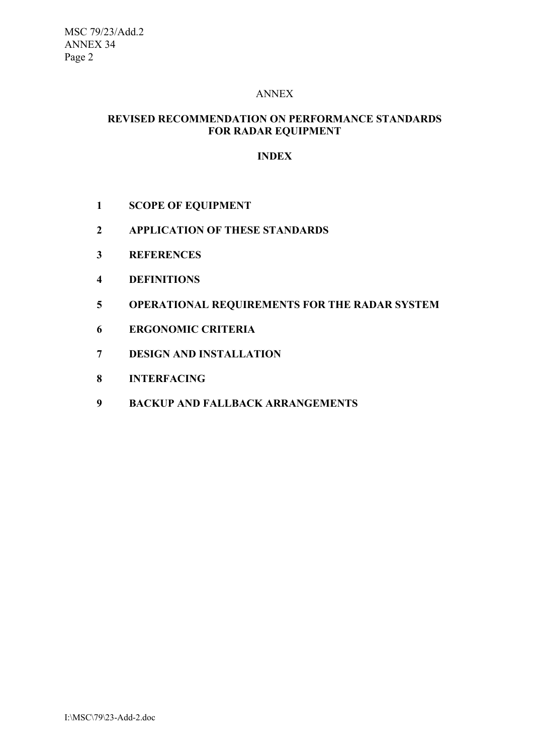# ANNEX

# **REVISED RECOMMENDATION ON PERFORMANCE STANDARDS FOR RADAR EQUIPMENT**

# **INDEX**

- **1 SCOPE OF EQUIPMENT**
- **2 APPLICATION OF THESE STANDARDS**
- **3 REFERENCES**
- **4 DEFINITIONS**
- **5 OPERATIONAL REQUIREMENTS FOR THE RADAR SYSTEM**
- **6 ERGONOMIC CRITERIA**
- **7 DESIGN AND INSTALLATION**
- **8 INTERFACING**
- **9 BACKUP AND FALLBACK ARRANGEMENTS**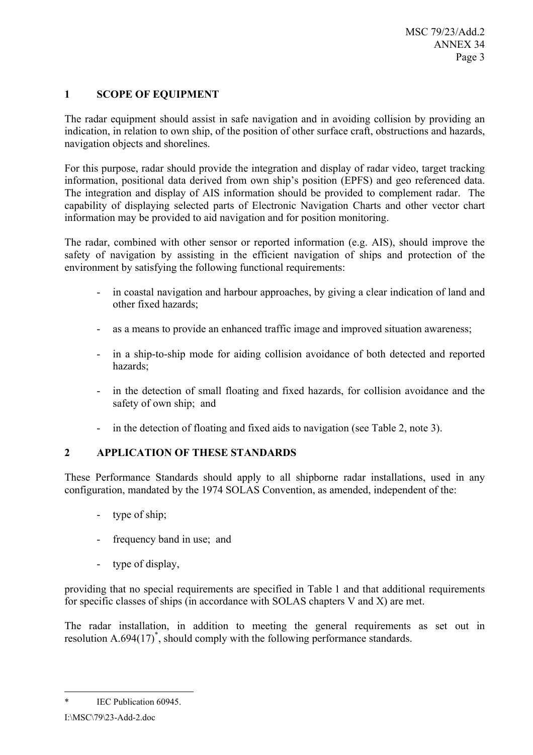# **1 SCOPE OF EQUIPMENT**

The radar equipment should assist in safe navigation and in avoiding collision by providing an indication, in relation to own ship, of the position of other surface craft, obstructions and hazards, navigation objects and shorelines.

For this purpose, radar should provide the integration and display of radar video, target tracking information, positional data derived from own ship's position (EPFS) and geo referenced data. The integration and display of AIS information should be provided to complement radar. The capability of displaying selected parts of Electronic Navigation Charts and other vector chart information may be provided to aid navigation and for position monitoring.

The radar, combined with other sensor or reported information (e.g. AIS), should improve the safety of navigation by assisting in the efficient navigation of ships and protection of the environment by satisfying the following functional requirements:

- in coastal navigation and harbour approaches, by giving a clear indication of land and other fixed hazards;
- as a means to provide an enhanced traffic image and improved situation awareness;
- in a ship-to-ship mode for aiding collision avoidance of both detected and reported hazards;
- in the detection of small floating and fixed hazards, for collision avoidance and the safety of own ship; and
- in the detection of floating and fixed aids to navigation (see Table 2, note 3).

# **2 APPLICATION OF THESE STANDARDS**

These Performance Standards should apply to all shipborne radar installations, used in any configuration, mandated by the 1974 SOLAS Convention, as amended, independent of the:

- type of ship;
- frequency band in use; and
- type of display,

providing that no special requirements are specified in Table 1 and that additional requirements for specific classes of ships (in accordance with SOLAS chapters V and X) are met.

The radar installation, in addition to meeting the general requirements as set out in resolution A.694(17)<sup>\*</sup>, should comply with the following performance standards.

 $\overline{a}$ \* IEC Publication 60945.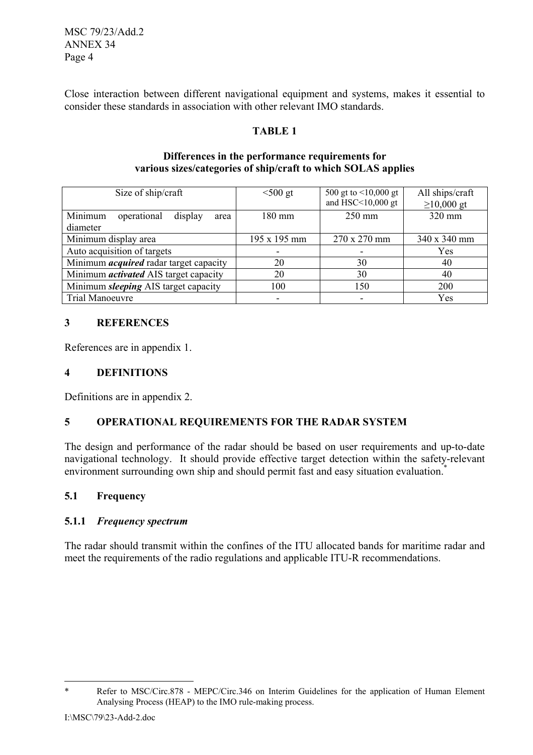Close interaction between different navigational equipment and systems, makes it essential to consider these standards in association with other relevant IMO standards.

# **TABLE 1**

### **Differences in the performance requirements for various sizes/categories of ship/craft to which SOLAS applies**

| Size of ship/craft                            | $<$ 500 gt   | 500 gt to $\leq 10,000$ gt<br>and HSC $<$ 10,000 gt | All ships/craft<br>$\geq 10,000$ gt |
|-----------------------------------------------|--------------|-----------------------------------------------------|-------------------------------------|
| Minimum<br>operational<br>display<br>area     | 180 mm       | $250 \text{ mm}$                                    | 320 mm                              |
| diameter                                      |              |                                                     |                                     |
| Minimum display area                          | 195 x 195 mm | 270 x 270 mm                                        | 340 x 340 mm                        |
| Auto acquisition of targets                   |              |                                                     | Yes                                 |
| Minimum <i>acquired</i> radar target capacity | 20           | 30                                                  | 40                                  |
| Minimum <i>activated</i> AIS target capacity  | 20           | 30                                                  | 40                                  |
| Minimum <i>sleeping</i> AIS target capacity   | 100          | 150                                                 | 200                                 |
| <b>Trial Manoeuvre</b>                        |              |                                                     | Yes                                 |

# **3 REFERENCES**

References are in appendix 1.

# **4 DEFINITIONS**

Definitions are in appendix 2.

# **5 OPERATIONAL REQUIREMENTS FOR THE RADAR SYSTEM**

The design and performance of the radar should be based on user requirements and up-to-date navigational technology. It should provide effective target detection within the safety-relevant environment surrounding own ship and should permit fast and easy situation evaluation.<sup>\*</sup>

# **5.1 Frequency**

# **5.1.1** *Frequency spectrum*

The radar should transmit within the confines of the ITU allocated bands for maritime radar and meet the requirements of the radio regulations and applicable ITU-R recommendations.

 $\overline{a}$ 

<sup>\*</sup> Refer to MSC/Circ.878 - MEPC/Circ.346 on Interim Guidelines for the application of Human Element Analysing Process (HEAP) to the IMO rule-making process.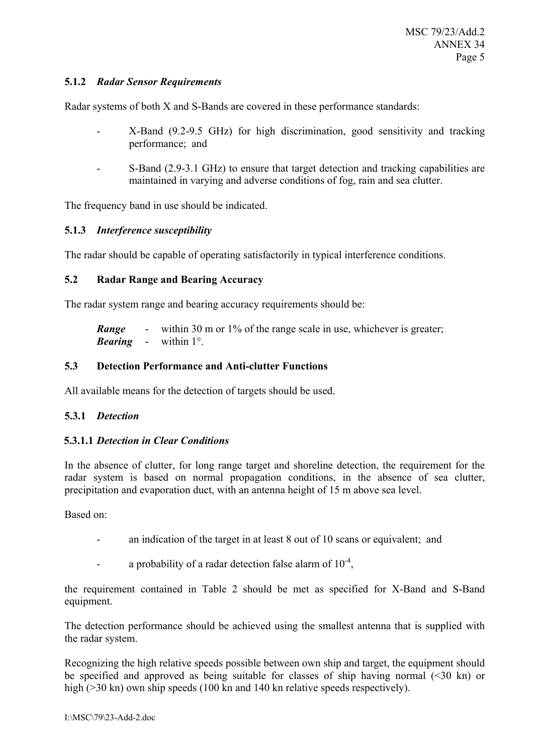# **5.1.2** *Radar Sensor Requirements*

Radar systems of both X and S-Bands are covered in these performance standards:

- X-Band (9.2-9.5 GHz) for high discrimination, good sensitivity and tracking performance; and
- S-Band (2.9-3.1 GHz) to ensure that target detection and tracking capabilities are maintained in varying and adverse conditions of fog, rain and sea clutter.

The frequency band in use should be indicated.

# **5.1.3** *Interference susceptibility*

The radar should be capable of operating satisfactorily in typical interference conditions.

### **5.2 Radar Range and Bearing Accuracy**

The radar system range and bearing accuracy requirements should be:

*Range* - within 30 m or 1% of the range scale in use, whichever is greater; *Bearing* - within 1°.

### **5.3 Detection Performance and Anti-clutter Functions**

All available means for the detection of targets should be used.

### **5.3.1** *Detection*

### **5.3.1.1** *Detection in Clear Conditions*

In the absence of clutter, for long range target and shoreline detection, the requirement for the radar system is based on normal propagation conditions, in the absence of sea clutter, precipitation and evaporation duct, with an antenna height of 15 m above sea level.

Based on:

- an indication of the target in at least 8 out of 10 scans or equivalent; and
- a probability of a radar detection false alarm of  $10^{-4}$ .

the requirement contained in Table 2 should be met as specified for X-Band and S-Band equipment.

The detection performance should be achieved using the smallest antenna that is supplied with the radar system.

Recognizing the high relative speeds possible between own ship and target, the equipment should be specified and approved as being suitable for classes of ship having normal  $(\leq 30 \text{ km})$  or high (>30 kn) own ship speeds (100 kn and 140 kn relative speeds respectively).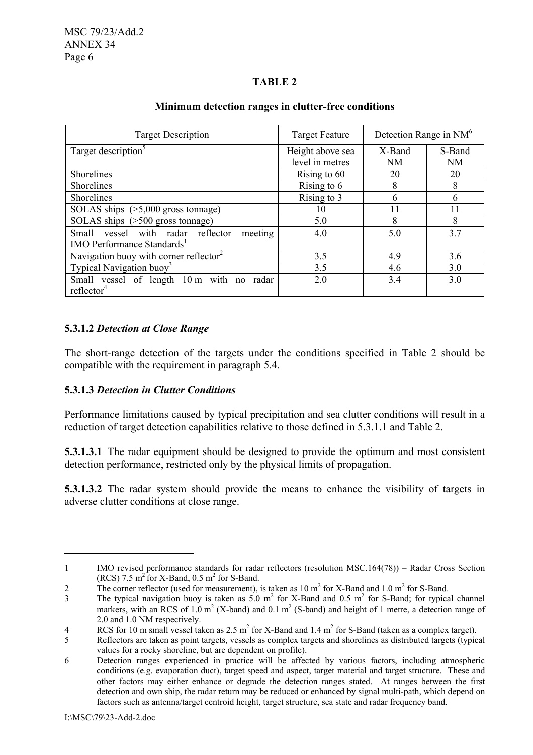# **TABLE 2**

| <b>Target Description</b>                          | <b>Target Feature</b> | Detection Range in $NM^6$ |           |
|----------------------------------------------------|-----------------------|---------------------------|-----------|
| Target description <sup>5</sup>                    | Height above sea      | X-Band                    | S-Band    |
|                                                    | level in metres       | <b>NM</b>                 | <b>NM</b> |
| Shorelines                                         | Rising to 60          | 20                        | 20        |
| Shorelines                                         | Rising to 6           | 8                         | 8         |
| Shorelines                                         | Rising to 3           | 6                         | 6         |
| SOLAS ships $(>5,000$ gross tonnage)               | 10                    | 11                        | 11        |
| SOLAS ships $($ >500 gross tonnage)                | 5.0                   | 8                         | 8         |
| Small vessel with radar reflector<br>meeting       | 4.0                   | 5.0                       | 3.7       |
| <b>IMO</b> Performance Standards <sup>1</sup>      |                       |                           |           |
| Navigation buoy with corner reflector <sup>2</sup> | 3.5                   | 4.9                       | 3.6       |
| Typical Navigation buoy <sup>3</sup>               | 3.5                   | 4.6                       | 3.0       |
| Small vessel of length 10 m with no radar          | 2.0                   | 3.4                       | 3.0       |
| reflected <sup>4</sup>                             |                       |                           |           |

# **Minimum detection ranges in clutter-free conditions**

# **5.3.1.2** *Detection at Close Range*

The short-range detection of the targets under the conditions specified in Table 2 should be compatible with the requirement in paragraph 5.4.

# **5.3.1.3** *Detection in Clutter Conditions*

Performance limitations caused by typical precipitation and sea clutter conditions will result in a reduction of target detection capabilities relative to those defined in 5.3.1.1 and Table 2.

**5.3.1.3.1**The radar equipment should be designed to provide the optimum and most consistent detection performance, restricted only by the physical limits of propagation.

**5.3.1.3.2** The radar system should provide the means to enhance the visibility of targets in adverse clutter conditions at close range.

 $\overline{a}$ 

 $1$  IMO revised performance standards for radar reflectors (resolution MSC.164(78)) – Radar Cross Section  $(RCS)$  7.5 m<sup>2</sup> for X-Band, 0.5 m<sup>2</sup> for S-Band.

<sup>2</sup> The corner reflector (used for measurement), is taken as  $10 \text{ m}^2$  for X-Band and  $1.0 \text{ m}^2$  for S-Band.

<sup>3</sup> The typical navigation buoy is taken as  $5.0 \text{ m}^2$  for X-Band and  $0.5 \text{ m}^2$  for S-Band; for typical channel markers, with an RCS of  $1.0 \text{ m}^2$  (X-band) and  $0.1 \text{ m}^2$  (S-band) and height of 1 metre, a detection range of 2.0 and 1.0 NM respectively.

<sup>4</sup> RCS for 10 m small vessel taken as  $2.5 \text{ m}^2$  for X-Band and 1.4 m<sup>2</sup> for S-Band (taken as a complex target).

<sup>5</sup> Reflectors are taken as point targets, vessels as complex targets and shorelines as distributed targets (typical values for a rocky shoreline, but are dependent on profile).

<sup>6</sup> Detection ranges experienced in practice will be affected by various factors, including atmospheric conditions (e.g. evaporation duct), target speed and aspect, target material and target structure. These and other factors may either enhance or degrade the detection ranges stated. At ranges between the first detection and own ship, the radar return may be reduced or enhanced by signal multi-path, which depend on factors such as antenna/target centroid height, target structure, sea state and radar frequency band.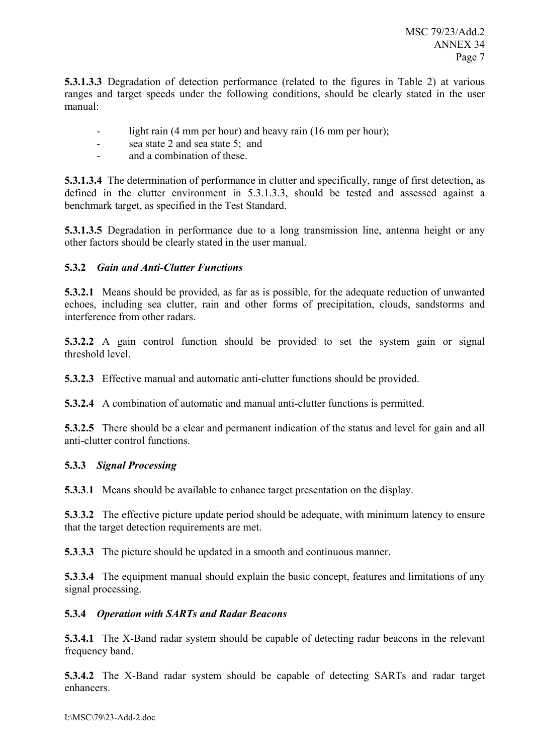**5.3.1.3.3** Degradation of detection performance (related to the figures in Table 2) at various ranges and target speeds under the following conditions, should be clearly stated in the user manual:

- light rain (4 mm per hour) and heavy rain (16 mm per hour);
- $-$  sea state 2 and sea state 5; and
- and a combination of these

**5.3.1.3.4** The determination of performance in clutter and specifically, range of first detection, as defined in the clutter environment in 5.3.1.3.3, should be tested and assessed against a benchmark target, as specified in the Test Standard.

**5.3.1.3.5** Degradation in performance due to a long transmission line, antenna height or any other factors should be clearly stated in the user manual.

# **5.3.2** *Gain and Anti-Clutter Functions*

**5.3.2.1** Means should be provided, as far as is possible, for the adequate reduction of unwanted echoes, including sea clutter, rain and other forms of precipitation, clouds, sandstorms and interference from other radars.

**5.3.2.2** A gain control function should be provided to set the system gain or signal threshold level.

**5.3.2.3** Effective manual and automatic anti-clutter functions should be provided.

**5.3.2.4** A combination of automatic and manual anti-clutter functions is permitted.

**5.3.2.5** There should be a clear and permanent indication of the status and level for gain and all anti-clutter control functions.

# **5.3.3** *Signal Processing*

**5.3.3**.**1** Means should be available to enhance target presentation on the display.

**5.3**.**3.2** The effective picture update period should be adequate, with minimum latency to ensure that the target detection requirements are met.

**5.3**.**3.3** The picture should be updated in a smooth and continuous manner.

**5.3**.**3.4** The equipment manual should explain the basic concept, features and limitations of any signal processing.

# **5.3.4** *Operation with SARTs and Radar Beacons*

**5.3.4.1** The X-Band radar system should be capable of detecting radar beacons in the relevant frequency band.

**5.3.4.2** The X-Band radar system should be capable of detecting SARTs and radar target enhancers.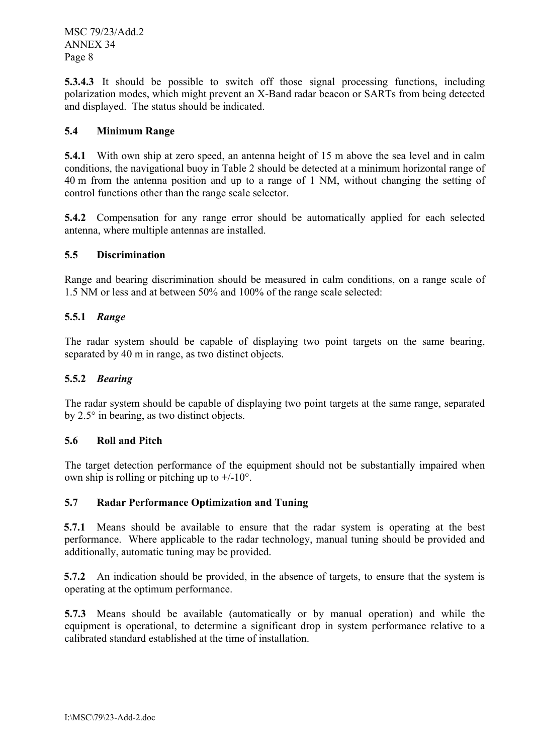**5.3.4.3** It should be possible to switch off those signal processing functions, including polarization modes, which might prevent an X-Band radar beacon or SARTs from being detected and displayed. The status should be indicated.

# **5.4 Minimum Range**

**5.4.1** With own ship at zero speed, an antenna height of 15 m above the sea level and in calm conditions, the navigational buoy in Table 2 should be detected at a minimum horizontal range of 40 m from the antenna position and up to a range of 1 NM, without changing the setting of control functions other than the range scale selector.

**5.4.2** Compensation for any range error should be automatically applied for each selected antenna, where multiple antennas are installed.

# **5.5 Discrimination**

Range and bearing discrimination should be measured in calm conditions, on a range scale of 1.5 NM or less and at between 50% and 100% of the range scale selected:

# **5.5.1** *Range*

The radar system should be capable of displaying two point targets on the same bearing, separated by 40 m in range, as two distinct objects.

# **5.5.2** *Bearing*

The radar system should be capable of displaying two point targets at the same range, separated by 2.5° in bearing, as two distinct objects.

### **5.6 Roll and Pitch**

The target detection performance of the equipment should not be substantially impaired when own ship is rolling or pitching up to  $+/-10^{\circ}$ .

### **5.7 Radar Performance Optimization and Tuning**

**5.7.1** Means should be available to ensure that the radar system is operating at the best performance. Where applicable to the radar technology, manual tuning should be provided and additionally, automatic tuning may be provided.

**5.7.2** An indication should be provided, in the absence of targets, to ensure that the system is operating at the optimum performance.

**5.7.3** Means should be available (automatically or by manual operation) and while the equipment is operational, to determine a significant drop in system performance relative to a calibrated standard established at the time of installation.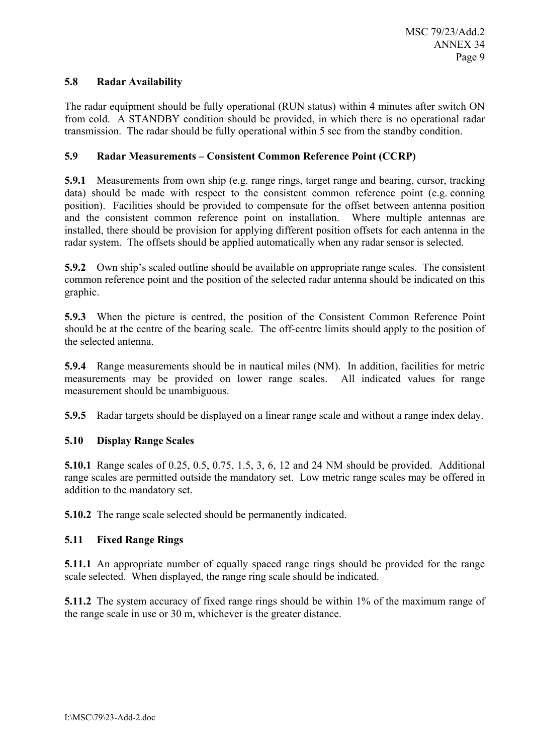# **5.8 Radar Availability**

The radar equipment should be fully operational (RUN status) within 4 minutes after switch ON from cold. A STANDBY condition should be provided, in which there is no operational radar transmission. The radar should be fully operational within 5 sec from the standby condition.

# **5.9 Radar Measurements – Consistent Common Reference Point (CCRP)**

**5.9.1** Measurements from own ship (e.g. range rings, target range and bearing, cursor, tracking data) should be made with respect to the consistent common reference point (e.g. conning position). Facilities should be provided to compensate for the offset between antenna position and the consistent common reference point on installation. Where multiple antennas are installed, there should be provision for applying different position offsets for each antenna in the radar system. The offsets should be applied automatically when any radar sensor is selected.

**5.9.2** Own ship's scaled outline should be available on appropriate range scales. The consistent common reference point and the position of the selected radar antenna should be indicated on this graphic.

**5.9.3** When the picture is centred, the position of the Consistent Common Reference Point should be at the centre of the bearing scale. The off-centre limits should apply to the position of the selected antenna.

**5.9.4** Range measurements should be in nautical miles (NM). In addition, facilities for metric measurements may be provided on lower range scales. All indicated values for range measurement should be unambiguous.

**5.9.5** Radar targets should be displayed on a linear range scale and without a range index delay.

### **5.10 Display Range Scales**

**5.10.1** Range scales of 0.25, 0.5, 0.75, 1.5, 3, 6, 12 and 24 NM should be provided. Additional range scales are permitted outside the mandatory set. Low metric range scales may be offered in addition to the mandatory set.

**5.10.2** The range scale selected should be permanently indicated.

### **5.11 Fixed Range Rings**

**5.11.1** An appropriate number of equally spaced range rings should be provided for the range scale selected. When displayed, the range ring scale should be indicated.

**5.11.2** The system accuracy of fixed range rings should be within 1% of the maximum range of the range scale in use or 30 m, whichever is the greater distance.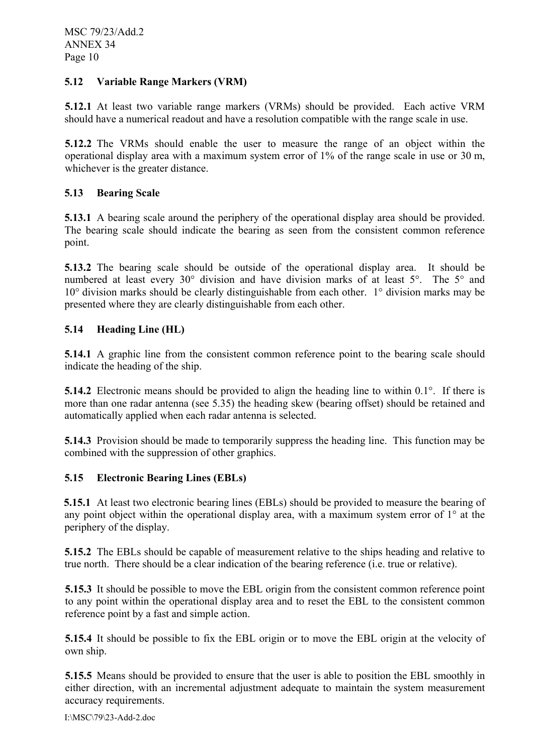# **5.12 Variable Range Markers (VRM)**

**5.12.1** At least two variable range markers (VRMs) should be provided. Each active VRM should have a numerical readout and have a resolution compatible with the range scale in use.

**5.12.2** The VRMs should enable the user to measure the range of an object within the operational display area with a maximum system error of 1% of the range scale in use or 30 m, whichever is the greater distance.

# **5.13 Bearing Scale**

**5.13.1** A bearing scale around the periphery of the operational display area should be provided. The bearing scale should indicate the bearing as seen from the consistent common reference point.

**5.13.2** The bearing scale should be outside of the operational display area. It should be numbered at least every 30° division and have division marks of at least 5°. The 5° and 10° division marks should be clearly distinguishable from each other. 1° division marks may be presented where they are clearly distinguishable from each other.

# **5.14 Heading Line (HL)**

**5.14.1** A graphic line from the consistent common reference point to the bearing scale should indicate the heading of the ship.

**5.14.2** Electronic means should be provided to align the heading line to within 0.1°. If there is more than one radar antenna (see 5.35) the heading skew (bearing offset) should be retained and automatically applied when each radar antenna is selected.

**5.14.3** Provision should be made to temporarily suppress the heading line. This function may be combined with the suppression of other graphics.

# **5.15 Electronic Bearing Lines (EBLs)**

**5.15.1** At least two electronic bearing lines (EBLs) should be provided to measure the bearing of any point object within the operational display area, with a maximum system error of 1° at the periphery of the display.

**5.15.2** The EBLs should be capable of measurement relative to the ships heading and relative to true north. There should be a clear indication of the bearing reference (i.e. true or relative).

**5.15.3** It should be possible to move the EBL origin from the consistent common reference point to any point within the operational display area and to reset the EBL to the consistent common reference point by a fast and simple action.

**5.15.4** It should be possible to fix the EBL origin or to move the EBL origin at the velocity of own ship.

**5.15.5** Means should be provided to ensure that the user is able to position the EBL smoothly in either direction, with an incremental adjustment adequate to maintain the system measurement accuracy requirements.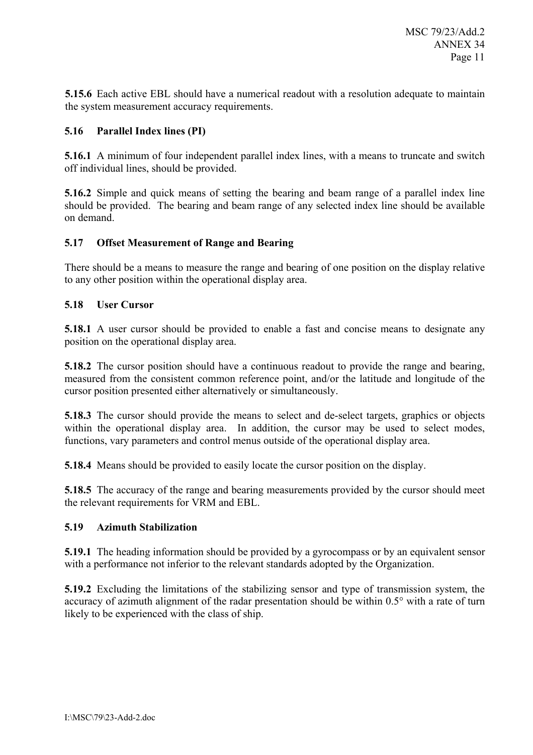**5.15.6** Each active EBL should have a numerical readout with a resolution adequate to maintain the system measurement accuracy requirements.

### **5.16 Parallel Index lines (PI)**

**5.16.1** A minimum of four independent parallel index lines, with a means to truncate and switch off individual lines, should be provided.

**5.16.2** Simple and quick means of setting the bearing and beam range of a parallel index line should be provided. The bearing and beam range of any selected index line should be available on demand.

# **5.17 Offset Measurement of Range and Bearing**

There should be a means to measure the range and bearing of one position on the display relative to any other position within the operational display area.

# **5.18 User Cursor**

**5.18.1** A user cursor should be provided to enable a fast and concise means to designate any position on the operational display area.

**5.18.2** The cursor position should have a continuous readout to provide the range and bearing, measured from the consistent common reference point, and/or the latitude and longitude of the cursor position presented either alternatively or simultaneously.

**5.18.3** The cursor should provide the means to select and de-select targets, graphics or objects within the operational display area. In addition, the cursor may be used to select modes, functions, vary parameters and control menus outside of the operational display area.

**5.18.4** Means should be provided to easily locate the cursor position on the display.

**5.18.5** The accuracy of the range and bearing measurements provided by the cursor should meet the relevant requirements for VRM and EBL.

### **5.19 Azimuth Stabilization**

**5.19.1** The heading information should be provided by a gyrocompass or by an equivalent sensor with a performance not inferior to the relevant standards adopted by the Organization.

**5.19.2** Excluding the limitations of the stabilizing sensor and type of transmission system, the accuracy of azimuth alignment of the radar presentation should be within 0.5° with a rate of turn likely to be experienced with the class of ship.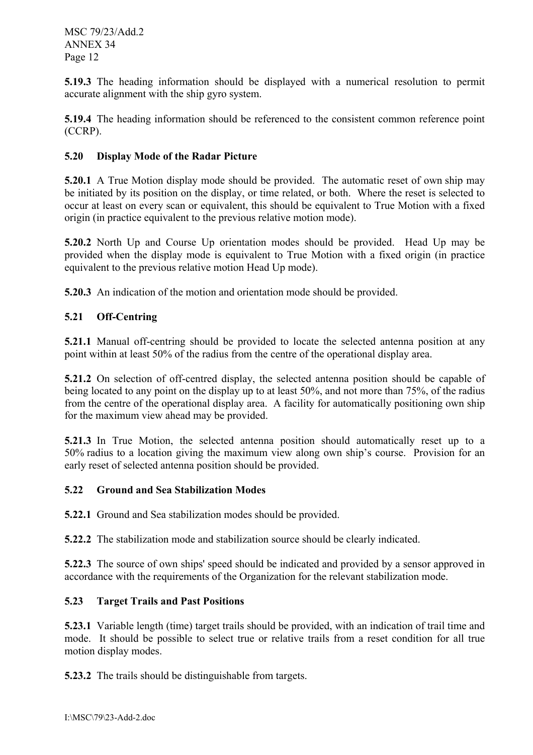**5.19.3** The heading information should be displayed with a numerical resolution to permit accurate alignment with the ship gyro system.

**5.19.4** The heading information should be referenced to the consistent common reference point (CCRP).

# **5.20 Display Mode of the Radar Picture**

**5.20.1** A True Motion display mode should be provided. The automatic reset of own ship may be initiated by its position on the display, or time related, or both. Where the reset is selected to occur at least on every scan or equivalent, this should be equivalent to True Motion with a fixed origin (in practice equivalent to the previous relative motion mode).

**5.20.2** North Up and Course Up orientation modes should be provided. Head Up may be provided when the display mode is equivalent to True Motion with a fixed origin (in practice equivalent to the previous relative motion Head Up mode).

**5.20.3** An indication of the motion and orientation mode should be provided.

# **5.21 Off-Centring**

**5.21.1** Manual off-centring should be provided to locate the selected antenna position at any point within at least 50% of the radius from the centre of the operational display area.

**5.21.2** On selection of off-centred display, the selected antenna position should be capable of being located to any point on the display up to at least 50%, and not more than 75%, of the radius from the centre of the operational display area. A facility for automatically positioning own ship for the maximum view ahead may be provided.

**5.21.3** In True Motion, the selected antenna position should automatically reset up to a 50% radius to a location giving the maximum view along own ship's course. Provision for an early reset of selected antenna position should be provided.

# **5.22 Ground and Sea Stabilization Modes**

**5.22.1** Ground and Sea stabilization modes should be provided.

**5.22.2** The stabilization mode and stabilization source should be clearly indicated.

**5.22.3** The source of own ships' speed should be indicated and provided by a sensor approved in accordance with the requirements of the Organization for the relevant stabilization mode.

# **5.23 Target Trails and Past Positions**

**5.23.1** Variable length (time) target trails should be provided, with an indication of trail time and mode. It should be possible to select true or relative trails from a reset condition for all true motion display modes.

**5.23.2** The trails should be distinguishable from targets.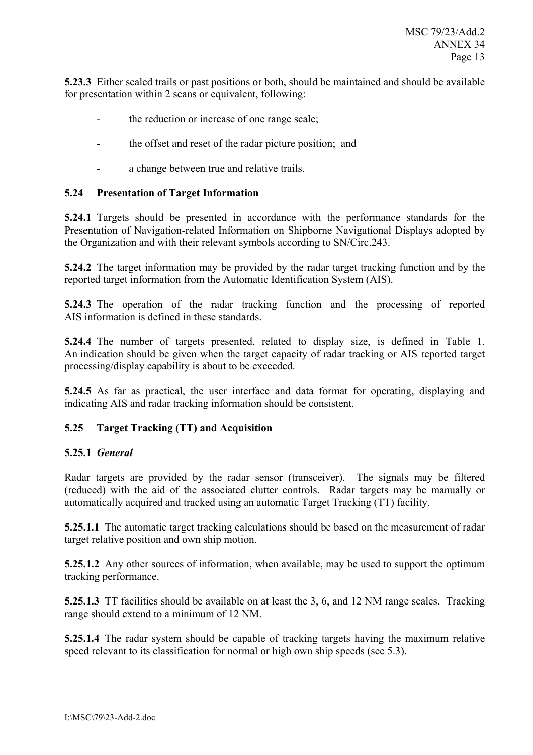**5.23.3** Either scaled trails or past positions or both, should be maintained and should be available for presentation within 2 scans or equivalent, following:

- the reduction or increase of one range scale;
- the offset and reset of the radar picture position; and
- a change between true and relative trails.

### **5.24 Presentation of Target Information**

**5.24.1** Targets should be presented in accordance with the performance standards for the Presentation of Navigation-related Information on Shipborne Navigational Displays adopted by the Organization and with their relevant symbols according to SN/Circ.243.

**5.24.2** The target information may be provided by the radar target tracking function and by the reported target information from the Automatic Identification System (AIS).

**5.24.3** The operation of the radar tracking function and the processing of reported AIS information is defined in these standards.

**5.24.4** The number of targets presented, related to display size, is defined in Table 1. An indication should be given when the target capacity of radar tracking or AIS reported target processing/display capability is about to be exceeded.

**5.24.5** As far as practical, the user interface and data format for operating, displaying and indicating AIS and radar tracking information should be consistent.

# **5.25 Target Tracking (TT) and Acquisition**

### **5.25.1** *General*

Radar targets are provided by the radar sensor (transceiver). The signals may be filtered (reduced) with the aid of the associated clutter controls. Radar targets may be manually or automatically acquired and tracked using an automatic Target Tracking (TT) facility.

**5.25.1.1** The automatic target tracking calculations should be based on the measurement of radar target relative position and own ship motion.

**5.25.1.2** Any other sources of information, when available, may be used to support the optimum tracking performance.

**5.25.1.3** TT facilities should be available on at least the 3, 6, and 12 NM range scales. Tracking range should extend to a minimum of 12 NM.

**5.25.1.4** The radar system should be capable of tracking targets having the maximum relative speed relevant to its classification for normal or high own ship speeds (see 5.3).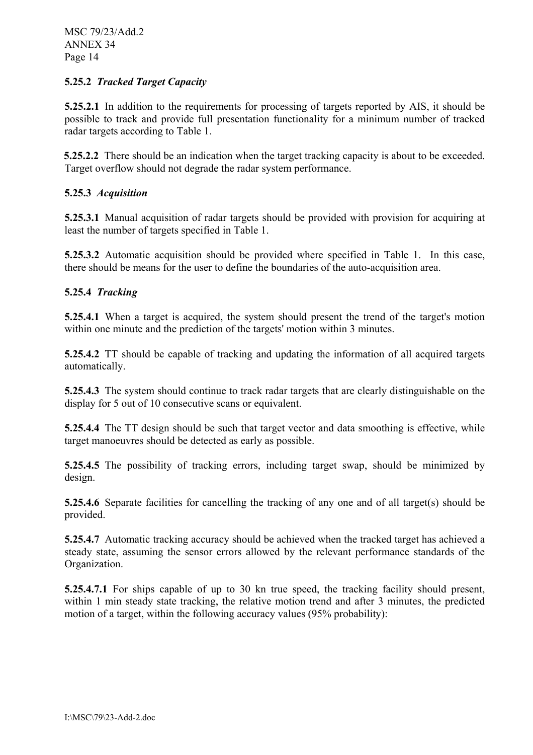# **5.25.2** *Tracked Target Capacity*

**5.25.2.1** In addition to the requirements for processing of targets reported by AIS, it should be possible to track and provide full presentation functionality for a minimum number of tracked radar targets according to Table 1.

**5.25.2.2** There should be an indication when the target tracking capacity is about to be exceeded. Target overflow should not degrade the radar system performance.

# **5.25.3** *Acquisition*

**5.25.3.1** Manual acquisition of radar targets should be provided with provision for acquiring at least the number of targets specified in Table 1.

**5.25.3.2** Automatic acquisition should be provided where specified in Table 1. In this case, there should be means for the user to define the boundaries of the auto-acquisition area.

# **5.25.4** *Tracking*

**5.25.4.1** When a target is acquired, the system should present the trend of the target's motion within one minute and the prediction of the targets' motion within 3 minutes.

**5.25.4.2** TT should be capable of tracking and updating the information of all acquired targets automatically.

**5.25.4.3** The system should continue to track radar targets that are clearly distinguishable on the display for 5 out of 10 consecutive scans or equivalent.

**5.25.4.4** The TT design should be such that target vector and data smoothing is effective, while target manoeuvres should be detected as early as possible.

**5.25.4.5** The possibility of tracking errors, including target swap, should be minimized by design.

**5.25.4.6** Separate facilities for cancelling the tracking of any one and of all target(s) should be provided.

**5.25.4.7** Automatic tracking accuracy should be achieved when the tracked target has achieved a steady state, assuming the sensor errors allowed by the relevant performance standards of the Organization.

**5.25.4.7.1** For ships capable of up to 30 kn true speed, the tracking facility should present, within 1 min steady state tracking, the relative motion trend and after 3 minutes, the predicted motion of a target, within the following accuracy values (95% probability):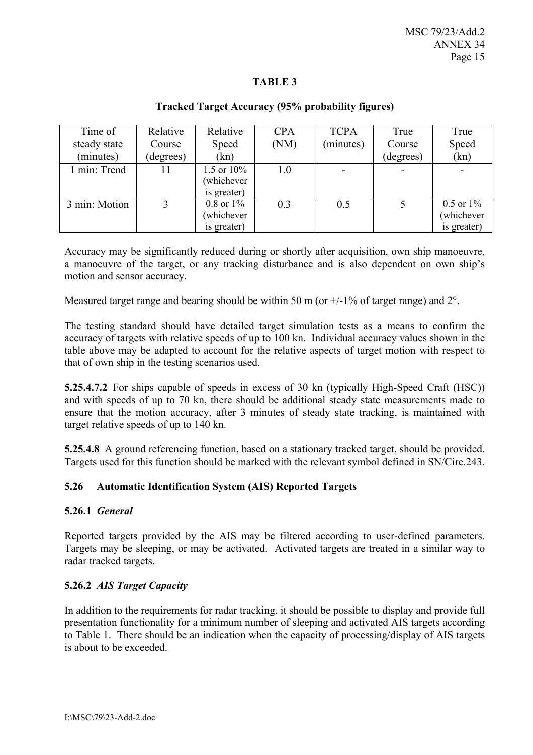# **TABLE 3**

# **Tracked Target Accuracy (95% probability figures)**

| Time of       | Relative  | Relative                                    | <b>CPA</b> | <b>TCPA</b> | True      | True                                        |
|---------------|-----------|---------------------------------------------|------------|-------------|-----------|---------------------------------------------|
| steady state  | Course    | Speed                                       | (NM)       | (minutes)   | Course    | Speed                                       |
| (minutes)     | (degrees) | (kn)                                        |            |             | (degrees) | (kn)                                        |
| 1 min: Trend  | 11        | 1.5 or $10\%$<br>(whichever<br>is greater)  | 1.0        |             |           |                                             |
| 3 min: Motion | 3         | $0.8$ or $1\%$<br>(whichever<br>is greater) | 0.3        | 0.5         |           | $0.5$ or $1\%$<br>(whichever<br>is greater) |

Accuracy may be significantly reduced during or shortly after acquisition, own ship manoeuvre, a manoeuvre of the target, or any tracking disturbance and is also dependent on own ship's motion and sensor accuracy.

Measured target range and bearing should be within 50 m (or  $+/-1\%$  of target range) and  $2^{\circ}$ .

The testing standard should have detailed target simulation tests as a means to confirm the accuracy of targets with relative speeds of up to 100 kn. Individual accuracy values shown in the table above may be adapted to account for the relative aspects of target motion with respect to that of own ship in the testing scenarios used.

**5.25.4.7.2** For ships capable of speeds in excess of 30 kn (typically High-Speed Craft (HSC)) and with speeds of up to 70 kn, there should be additional steady state measurements made to ensure that the motion accuracy, after 3 minutes of steady state tracking, is maintained with target relative speeds of up to 140 kn.

**5.25.4.8** A ground referencing function, based on a stationary tracked target, should be provided. Targets used for this function should be marked with the relevant symbol defined in SN/Circ.243.

### **5.26 Automatic Identification System (AIS) Reported Targets**

### **5.26.1** *General*

Reported targets provided by the AIS may be filtered according to user-defined parameters. Targets may be sleeping, or may be activated. Activated targets are treated in a similar way to radar tracked targets.

### **5.26.2** *AIS Target Capacity*

In addition to the requirements for radar tracking, it should be possible to display and provide full presentation functionality for a minimum number of sleeping and activated AIS targets according to Table 1. There should be an indication when the capacity of processing/display of AIS targets is about to be exceeded.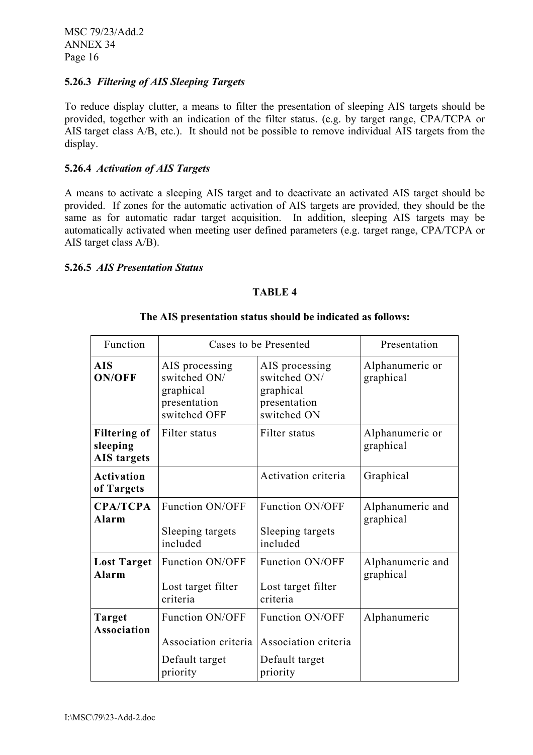# **5.26.3** *Filtering of AIS Sleeping Targets*

To reduce display clutter, a means to filter the presentation of sleeping AIS targets should be provided, together with an indication of the filter status. (e.g. by target range, CPA/TCPA or AIS target class A/B, etc.). It should not be possible to remove individual AIS targets from the display.

# **5.26.4** *Activation of AIS Targets*

A means to activate a sleeping AIS target and to deactivate an activated AIS target should be provided. If zones for the automatic activation of AIS targets are provided, they should be the same as for automatic radar target acquisition. In addition, sleeping AIS targets may be automatically activated when meeting user defined parameters (e.g. target range, CPA/TCPA or AIS target class A/B).

#### **5.26.5** *AIS Presentation Status*

#### **TABLE 4**

| Function                                       | Cases to be Presented                                                       |                                                                              | Presentation                  |
|------------------------------------------------|-----------------------------------------------------------------------------|------------------------------------------------------------------------------|-------------------------------|
| <b>AIS</b><br><b>ON/OFF</b>                    | AIS processing<br>switched ON/<br>graphical<br>presentation<br>switched OFF | AIS processing<br>switched ON/<br>graphical<br>presentation<br>switched ON   | Alphanumeric or<br>graphical  |
| <b>Filtering of</b><br>sleeping<br>AIS targets | Filter status                                                               | Filter status                                                                | Alphanumeric or<br>graphical  |
| <b>Activation</b><br>of Targets                |                                                                             | Activation criteria                                                          | Graphical                     |
| <b>CPA/TCPA</b><br>Alarm                       | Function ON/OFF<br>Sleeping targets<br>included                             | Function ON/OFF<br>Sleeping targets<br>included                              | Alphanumeric and<br>graphical |
| <b>Lost Target</b><br>Alarm                    | Function ON/OFF<br>Lost target filter<br>criteria                           | <b>Function ON/OFF</b><br>Lost target filter<br>criteria                     | Alphanumeric and<br>graphical |
| <b>Target</b><br><b>Association</b>            | Function ON/OFF<br>Association criteria<br>Default target<br>priority       | <b>Function ON/OFF</b><br>Association criteria<br>Default target<br>priority | Alphanumeric                  |

#### **The AIS presentation status should be indicated as follows:**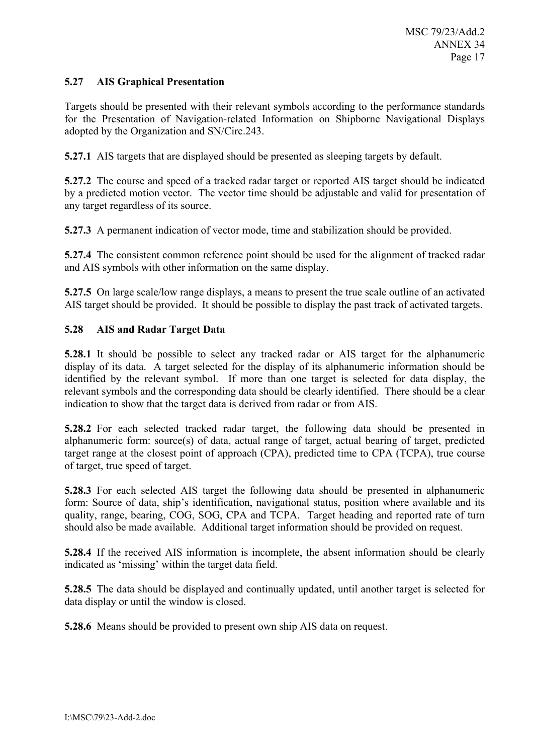# **5.27 AIS Graphical Presentation**

Targets should be presented with their relevant symbols according to the performance standards for the Presentation of Navigation-related Information on Shipborne Navigational Displays adopted by the Organization and SN/Circ.243.

**5.27.1** AIS targets that are displayed should be presented as sleeping targets by default.

**5.27.2** The course and speed of a tracked radar target or reported AIS target should be indicated by a predicted motion vector. The vector time should be adjustable and valid for presentation of any target regardless of its source.

**5.27.3** A permanent indication of vector mode, time and stabilization should be provided.

**5.27.4** The consistent common reference point should be used for the alignment of tracked radar and AIS symbols with other information on the same display.

**5.27.5** On large scale/low range displays, a means to present the true scale outline of an activated AIS target should be provided. It should be possible to display the past track of activated targets.

### **5.28 AIS and Radar Target Data**

**5.28.1** It should be possible to select any tracked radar or AIS target for the alphanumeric display of its data. A target selected for the display of its alphanumeric information should be identified by the relevant symbol. If more than one target is selected for data display, the relevant symbols and the corresponding data should be clearly identified. There should be a clear indication to show that the target data is derived from radar or from AIS.

**5.28.2** For each selected tracked radar target, the following data should be presented in alphanumeric form: source(s) of data, actual range of target, actual bearing of target, predicted target range at the closest point of approach (CPA), predicted time to CPA (TCPA), true course of target, true speed of target.

**5.28.3** For each selected AIS target the following data should be presented in alphanumeric form: Source of data, ship's identification, navigational status, position where available and its quality, range, bearing, COG, SOG, CPA and TCPA. Target heading and reported rate of turn should also be made available. Additional target information should be provided on request.

**5.28.4** If the received AIS information is incomplete, the absent information should be clearly indicated as 'missing' within the target data field.

**5.28.5** The data should be displayed and continually updated, until another target is selected for data display or until the window is closed.

**5.28.6** Means should be provided to present own ship AIS data on request.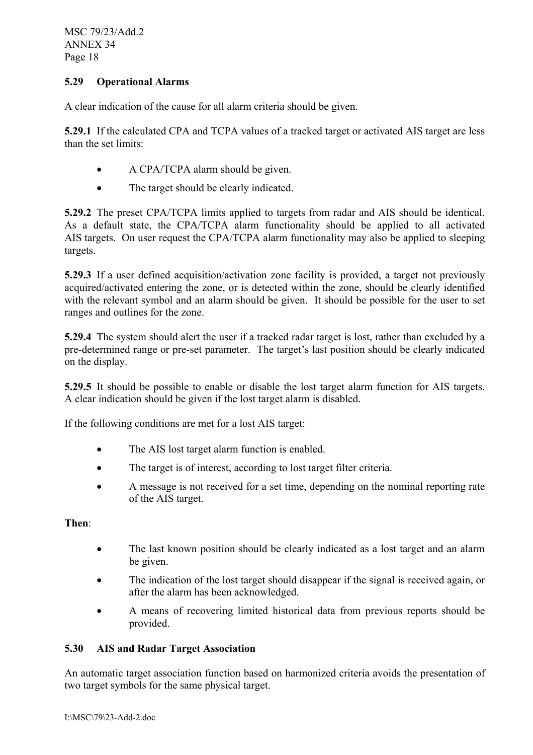# **5.29 Operational Alarms**

A clear indication of the cause for all alarm criteria should be given.

**5.29.1** If the calculated CPA and TCPA values of a tracked target or activated AIS target are less than the set limits:

- A CPA/TCPA alarm should be given.
- The target should be clearly indicated.

**5.29.2** The preset CPA/TCPA limits applied to targets from radar and AIS should be identical. As a default state, the CPA/TCPA alarm functionality should be applied to all activated AIS targets. On user request the CPA/TCPA alarm functionality may also be applied to sleeping targets.

**5.29.3** If a user defined acquisition/activation zone facility is provided, a target not previously acquired/activated entering the zone, or is detected within the zone, should be clearly identified with the relevant symbol and an alarm should be given. It should be possible for the user to set ranges and outlines for the zone.

**5.29.4** The system should alert the user if a tracked radar target is lost, rather than excluded by a pre-determined range or pre-set parameter. The target's last position should be clearly indicated on the display.

**5.29.5** It should be possible to enable or disable the lost target alarm function for AIS targets. A clear indication should be given if the lost target alarm is disabled.

If the following conditions are met for a lost AIS target:

- The AIS lost target alarm function is enabled.
- The target is of interest, according to lost target filter criteria.
- A message is not received for a set time, depending on the nominal reporting rate of the AIS target.

**Then**:

- The last known position should be clearly indicated as a lost target and an alarm be given.
- The indication of the lost target should disappear if the signal is received again, or after the alarm has been acknowledged.
- A means of recovering limited historical data from previous reports should be provided.

# **5.30 AIS and Radar Target Association**

An automatic target association function based on harmonized criteria avoids the presentation of two target symbols for the same physical target.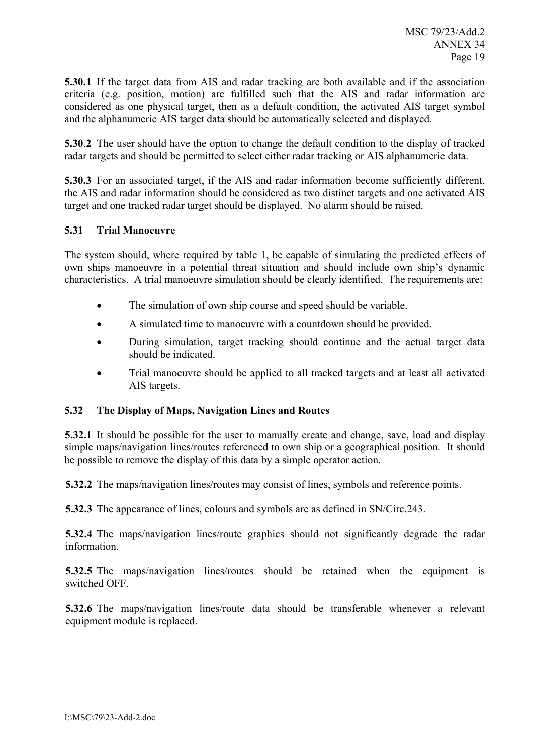**5.30.1** If the target data from AIS and radar tracking are both available and if the association criteria (e.g. position, motion) are fulfilled such that the AIS and radar information are considered as one physical target, then as a default condition, the activated AIS target symbol and the alphanumeric AIS target data should be automatically selected and displayed.

**5.30**.**2** The user should have the option to change the default condition to the display of tracked radar targets and should be permitted to select either radar tracking or AIS alphanumeric data.

**5.30.3** For an associated target, if the AIS and radar information become sufficiently different, the AIS and radar information should be considered as two distinct targets and one activated AIS target and one tracked radar target should be displayed. No alarm should be raised.

# **5.31 Trial Manoeuvre**

The system should, where required by table 1, be capable of simulating the predicted effects of own ships manoeuvre in a potential threat situation and should include own ship's dynamic characteristics. A trial manoeuvre simulation should be clearly identified. The requirements are:

- The simulation of own ship course and speed should be variable.
- A simulated time to manoeuvre with a countdown should be provided.
- During simulation, target tracking should continue and the actual target data should be indicated.
- Trial manoeuvre should be applied to all tracked targets and at least all activated AIS targets.

### **5.32 The Display of Maps, Navigation Lines and Routes**

**5.32.1** It should be possible for the user to manually create and change, save, load and display simple maps/navigation lines/routes referenced to own ship or a geographical position. It should be possible to remove the display of this data by a simple operator action.

**5.32.2** The maps/navigation lines/routes may consist of lines, symbols and reference points.

**5.32.3** The appearance of lines, colours and symbols are as defined in SN/Circ.243.

**5.32.4** The maps/navigation lines/route graphics should not significantly degrade the radar information.

**5.32.5** The maps/navigation lines/routes should be retained when the equipment is switched OFF.

**5.32.6** The maps/navigation lines/route data should be transferable whenever a relevant equipment module is replaced.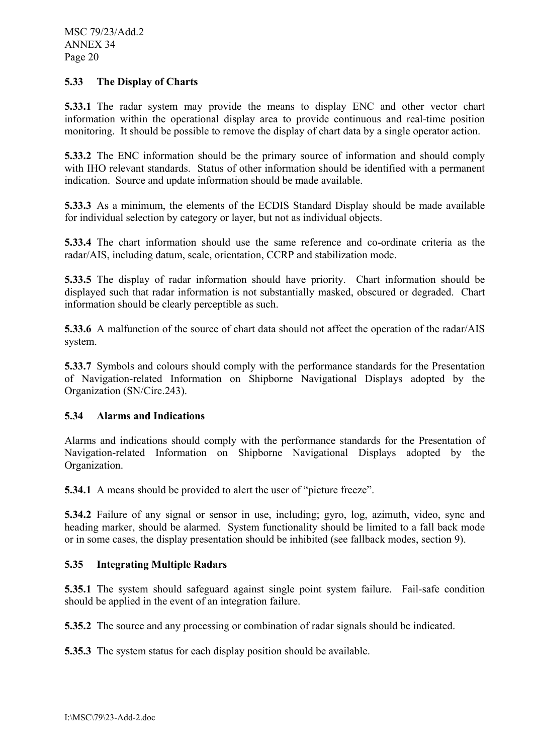# **5.33 The Display of Charts**

**5.33.1** The radar system may provide the means to display ENC and other vector chart information within the operational display area to provide continuous and real-time position monitoring. It should be possible to remove the display of chart data by a single operator action.

**5.33.2** The ENC information should be the primary source of information and should comply with IHO relevant standards. Status of other information should be identified with a permanent indication. Source and update information should be made available.

**5.33.3** As a minimum, the elements of the ECDIS Standard Display should be made available for individual selection by category or layer, but not as individual objects.

**5.33.4** The chart information should use the same reference and co-ordinate criteria as the radar/AIS, including datum, scale, orientation, CCRP and stabilization mode.

**5.33.5** The display of radar information should have priority. Chart information should be displayed such that radar information is not substantially masked, obscured or degraded. Chart information should be clearly perceptible as such.

**5.33.6** A malfunction of the source of chart data should not affect the operation of the radar/AIS system.

**5.33.7** Symbols and colours should comply with the performance standards for the Presentation of Navigation-related Information on Shipborne Navigational Displays adopted by the Organization (SN/Circ.243).

### **5.34 Alarms and Indications**

Alarms and indications should comply with the performance standards for the Presentation of Navigation-related Information on Shipborne Navigational Displays adopted by the Organization.

**5.34.1** A means should be provided to alert the user of "picture freeze".

**5.34.2** Failure of any signal or sensor in use, including; gyro, log, azimuth, video, sync and heading marker, should be alarmed. System functionality should be limited to a fall back mode or in some cases, the display presentation should be inhibited (see fallback modes, section 9).

### **5.35 Integrating Multiple Radars**

**5.35.1** The system should safeguard against single point system failure. Fail-safe condition should be applied in the event of an integration failure.

**5.35.2** The source and any processing or combination of radar signals should be indicated.

**5.35.3** The system status for each display position should be available.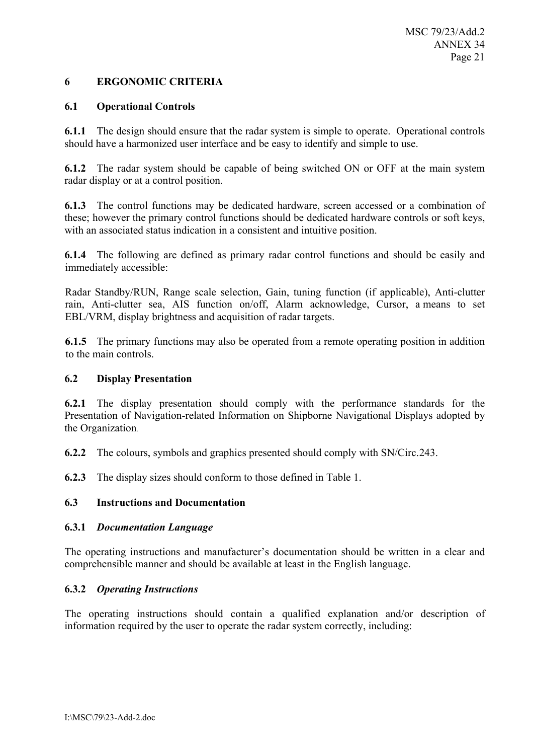# **6 ERGONOMIC CRITERIA**

### **6.1 Operational Controls**

**6.1.1** The design should ensure that the radar system is simple to operate. Operational controls should have a harmonized user interface and be easy to identify and simple to use.

**6.1.2** The radar system should be capable of being switched ON or OFF at the main system radar display or at a control position.

**6.1.3** The control functions may be dedicated hardware, screen accessed or a combination of these; however the primary control functions should be dedicated hardware controls or soft keys, with an associated status indication in a consistent and intuitive position.

**6.1.4** The following are defined as primary radar control functions and should be easily and immediately accessible:

Radar Standby/RUN, Range scale selection, Gain, tuning function (if applicable), Anti-clutter rain, Anti-clutter sea, AIS function on/off, Alarm acknowledge, Cursor, a means to set EBL/VRM, display brightness and acquisition of radar targets.

**6.1.5** The primary functions may also be operated from a remote operating position in addition to the main controls.

### **6.2 Display Presentation**

**6.2.1** The display presentation should comply with the performance standards for the Presentation of Navigation-related Information on Shipborne Navigational Displays adopted by the Organization.

**6.2.2** The colours, symbols and graphics presented should comply with SN/Circ. 243.

**6.2.3** The display sizes should conform to those defined in Table 1.

### **6.3 Instructions and Documentation**

### **6.3.1** *Documentation Language*

The operating instructions and manufacturer's documentation should be written in a clear and comprehensible manner and should be available at least in the English language.

### **6.3.2** *Operating Instructions*

The operating instructions should contain a qualified explanation and/or description of information required by the user to operate the radar system correctly, including: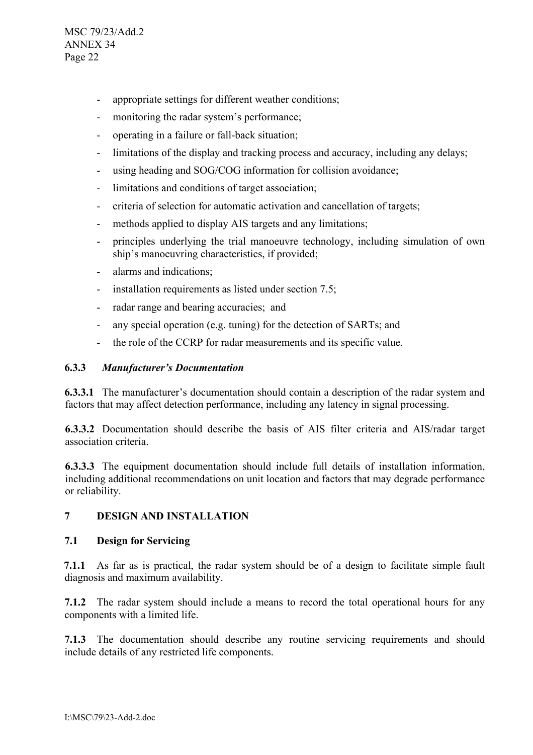- appropriate settings for different weather conditions;
- monitoring the radar system's performance;
- operating in a failure or fall-back situation;
- limitations of the display and tracking process and accuracy, including any delays;
- using heading and SOG/COG information for collision avoidance;
- limitations and conditions of target association;
- criteria of selection for automatic activation and cancellation of targets;
- methods applied to display AIS targets and any limitations;
- principles underlying the trial manoeuvre technology, including simulation of own ship's manoeuvring characteristics, if provided;
- alarms and indications;
- installation requirements as listed under section 7.5;
- radar range and bearing accuracies; and
- any special operation (e.g. tuning) for the detection of SARTs; and
- the role of the CCRP for radar measurements and its specific value.

### **6.3.3** *Manufacturer's Documentation*

**6.3.3.1** The manufacturer's documentation should contain a description of the radar system and factors that may affect detection performance, including any latency in signal processing.

**6.3.3.2** Documentation should describe the basis of AIS filter criteria and AIS/radar target association criteria.

**6.3.3.3** The equipment documentation should include full details of installation information, including additional recommendations on unit location and factors that may degrade performance or reliability.

# **7 DESIGN AND INSTALLATION**

### **7.1 Design for Servicing**

**7.1.1** As far as is practical, the radar system should be of a design to facilitate simple fault diagnosis and maximum availability.

**7.1.2** The radar system should include a means to record the total operational hours for any components with a limited life.

**7.1.3** The documentation should describe any routine servicing requirements and should include details of any restricted life components.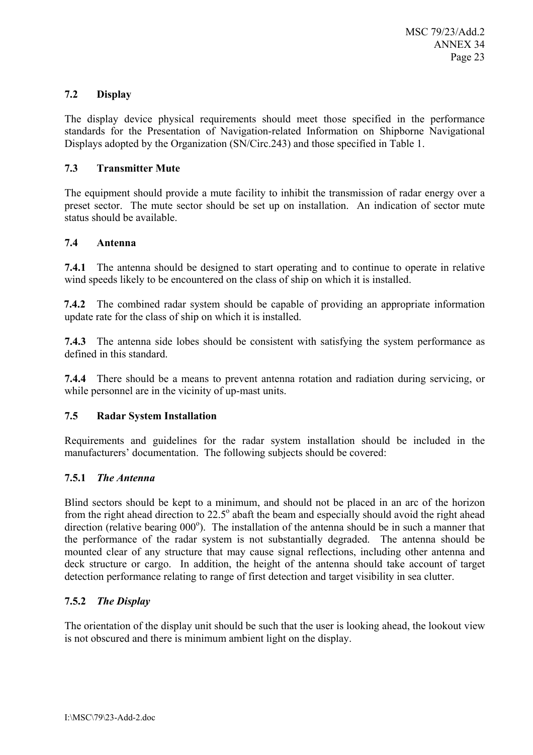# **7.2 Display**

The display device physical requirements should meet those specified in the performance standards for the Presentation of Navigation-related Information on Shipborne Navigational Displays adopted by the Organization (SN/Circ.243) and those specified in Table 1.

### **7.3 Transmitter Mute**

The equipment should provide a mute facility to inhibit the transmission of radar energy over a preset sector. The mute sector should be set up on installation. An indication of sector mute status should be available.

### **7.4 Antenna**

**7.4.1** The antenna should be designed to start operating and to continue to operate in relative wind speeds likely to be encountered on the class of ship on which it is installed.

**7.4.2** The combined radar system should be capable of providing an appropriate information update rate for the class of ship on which it is installed.

**7.4.3** The antenna side lobes should be consistent with satisfying the system performance as defined in this standard.

**7.4.4** There should be a means to prevent antenna rotation and radiation during servicing, or while personnel are in the vicinity of up-mast units.

# **7.5 Radar System Installation**

Requirements and guidelines for the radar system installation should be included in the manufacturers' documentation. The following subjects should be covered:

# **7.5.1** *The Antenna*

Blind sectors should be kept to a minimum, and should not be placed in an arc of the horizon from the right ahead direction to  $22.5^{\circ}$  abaft the beam and especially should avoid the right ahead direction (relative bearing  $000^{\circ}$ ). The installation of the antenna should be in such a manner that the performance of the radar system is not substantially degraded. The antenna should be mounted clear of any structure that may cause signal reflections, including other antenna and deck structure or cargo. In addition, the height of the antenna should take account of target detection performance relating to range of first detection and target visibility in sea clutter.

### **7.5.2** *The Display*

The orientation of the display unit should be such that the user is looking ahead, the lookout view is not obscured and there is minimum ambient light on the display.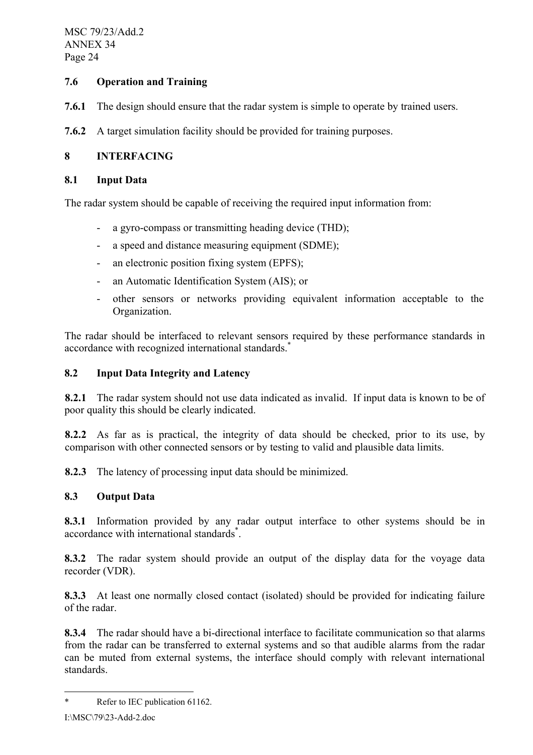# **7.6 Operation and Training**

- **7.6.1** The design should ensure that the radar system is simple to operate by trained users.
- **7.6.2** A target simulation facility should be provided for training purposes.

# **8 INTERFACING**

# **8.1 Input Data**

The radar system should be capable of receiving the required input information from:

- a gyro-compass or transmitting heading device (THD);
- a speed and distance measuring equipment (SDME);
- an electronic position fixing system (EPFS);
- an Automatic Identification System (AIS); or
- other sensors or networks providing equivalent information acceptable to the Organization.

The radar should be interfaced to relevant sensors required by these performance standards in accordance with recognized international standards.<sup>\*</sup>

# **8.2 Input Data Integrity and Latency**

**8.2.1** The radar system should not use data indicated as invalid. If input data is known to be of poor quality this should be clearly indicated.

**8.2.2** As far as is practical, the integrity of data should be checked, prior to its use, by comparison with other connected sensors or by testing to valid and plausible data limits.

**8.2.3** The latency of processing input data should be minimized.

# **8.3 Output Data**

**8.3.1** Information provided by any radar output interface to other systems should be in accordance with international standards\* .

**8.3.2** The radar system should provide an output of the display data for the voyage data recorder (VDR).

**8.3.3** At least one normally closed contact (isolated) should be provided for indicating failure of the radar.

**8.3.4** The radar should have a bi-directional interface to facilitate communication so that alarms from the radar can be transferred to external systems and so that audible alarms from the radar can be muted from external systems, the interface should comply with relevant international standards.

 $\overline{a}$ \* Refer to IEC publication 61162.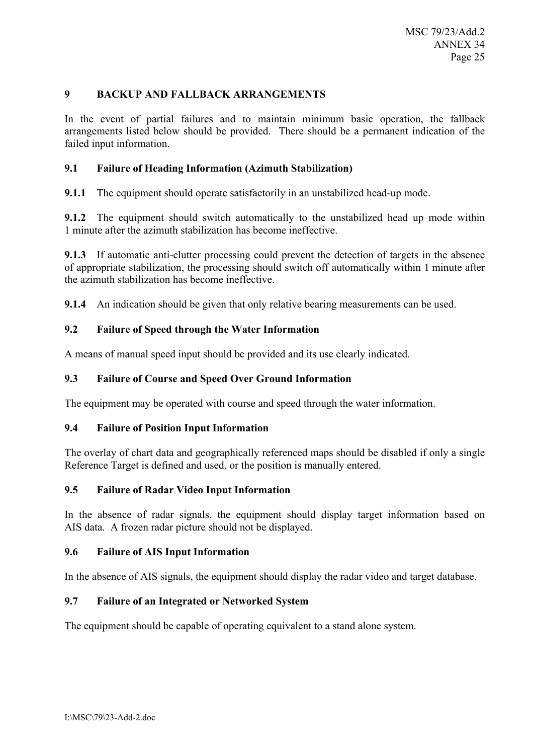# **9 BACKUP AND FALLBACK ARRANGEMENTS**

In the event of partial failures and to maintain minimum basic operation, the fallback arrangements listed below should be provided. There should be a permanent indication of the failed input information.

# **9.1 Failure of Heading Information (Azimuth Stabilization)**

**9.1.1** The equipment should operate satisfactorily in an unstabilized head-up mode.

**9.1.2** The equipment should switch automatically to the unstabilized head up mode within 1 minute after the azimuth stabilization has become ineffective.

**9.1.3** If automatic anti-clutter processing could prevent the detection of targets in the absence of appropriate stabilization, the processing should switch off automatically within 1 minute after the azimuth stabilization has become ineffective.

**9.1.4** An indication should be given that only relative bearing measurements can be used.

# **9.2 Failure of Speed through the Water Information**

A means of manual speed input should be provided and its use clearly indicated.

### **9.3 Failure of Course and Speed Over Ground Information**

The equipment may be operated with course and speed through the water information.

### **9.4 Failure of Position Input Information**

The overlay of chart data and geographically referenced maps should be disabled if only a single Reference Target is defined and used, or the position is manually entered.

# **9.5 Failure of Radar Video Input Information**

In the absence of radar signals, the equipment should display target information based on AIS data. A frozen radar picture should not be displayed.

### **9.6 Failure of AIS Input Information**

In the absence of AIS signals, the equipment should display the radar video and target database.

# **9.7 Failure of an Integrated or Networked System**

The equipment should be capable of operating equivalent to a stand alone system.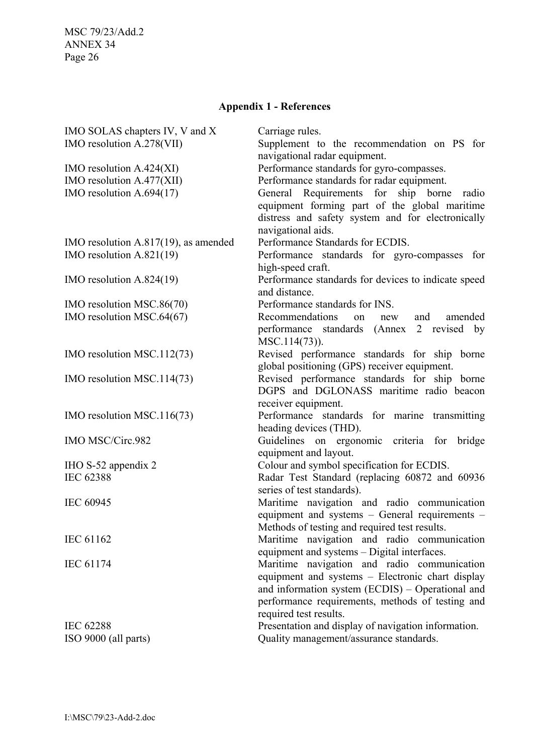# **Appendix 1 - References**

| IMO SOLAS chapters IV, V and X          | Carriage rules.                                     |
|-----------------------------------------|-----------------------------------------------------|
| IMO resolution A.278(VII)               | Supplement to the recommendation on PS for          |
|                                         | navigational radar equipment.                       |
| IMO resolution $A.424(XI)$              | Performance standards for gyro-compasses.           |
| IMO resolution $A.477(XII)$             | Performance standards for radar equipment.          |
| IMO resolution $A.694(17)$              | General Requirements for ship borne<br>radio        |
|                                         | equipment forming part of the global maritime       |
|                                         | distress and safety system and for electronically   |
|                                         | navigational aids.                                  |
| IMO resolution $A.817(19)$ , as amended | Performance Standards for ECDIS.                    |
| IMO resolution $A.821(19)$              | Performance standards for gyro-compasses for        |
|                                         | high-speed craft.                                   |
| IMO resolution $A.824(19)$              | Performance standards for devices to indicate speed |
|                                         | and distance.                                       |
| IMO resolution MSC.86(70)               | Performance standards for INS.                      |
| IMO resolution MSC.64(67)               | Recommendations<br>amended<br>and<br>on<br>new      |
|                                         | performance standards (Annex 2 revised by           |
|                                         | $MSC.114(73)$ ).                                    |
| IMO resolution MSC.112 $(73)$           | Revised performance standards for ship borne        |
|                                         | global positioning (GPS) receiver equipment.        |
| IMO resolution MSC.114(73)              | Revised performance standards for ship borne        |
|                                         | DGPS and DGLONASS maritime radio beacon             |
|                                         | receiver equipment.                                 |
| IMO resolution MSC.116(73)              | Performance standards for marine transmitting       |
|                                         | heading devices (THD).                              |
| IMO MSC/Circ.982                        | Guidelines on ergonomic criteria for<br>bridge      |
|                                         | equipment and layout.                               |
| IHO S-52 appendix 2                     | Colour and symbol specification for ECDIS.          |
| <b>IEC 62388</b>                        | Radar Test Standard (replacing 60872 and 60936      |
|                                         | series of test standards).                          |
| <b>IEC 60945</b>                        | Maritime navigation and radio communication         |
|                                         | equipment and systems - General requirements -      |
|                                         | Methods of testing and required test results.       |
| IEC 61162                               | Maritime navigation and radio communication         |
|                                         | equipment and systems – Digital interfaces.         |
| <b>IEC 61174</b>                        | Maritime navigation and radio communication         |
|                                         | equipment and systems - Electronic chart display    |
|                                         | and information system (ECDIS) – Operational and    |
|                                         | performance requirements, methods of testing and    |
|                                         | required test results.                              |
| <b>IEC 62288</b>                        | Presentation and display of navigation information. |
| ISO 9000 (all parts)                    | Quality management/assurance standards.             |
|                                         |                                                     |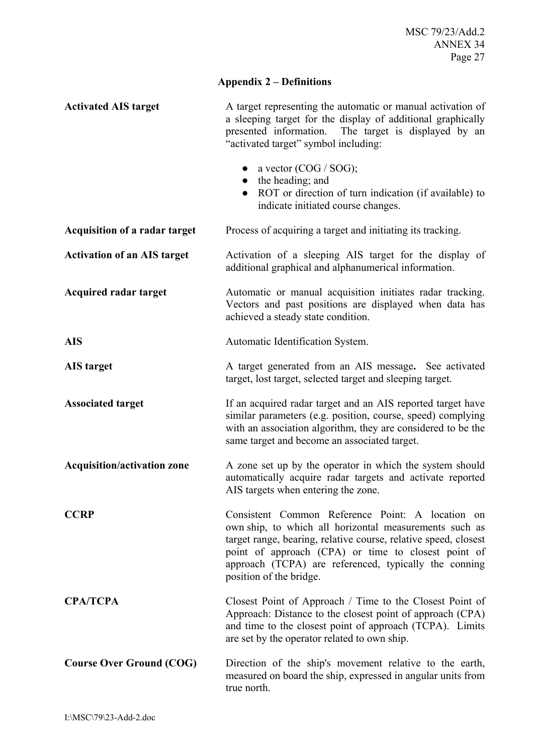# **Appendix 2 – Definitions**

| <b>Activated AIS target</b>          | A target representing the automatic or manual activation of<br>a sleeping target for the display of additional graphically<br>presented information. The target is displayed by an<br>"activated target" symbol including:<br>a vector $(COG / SOG)$ ;<br>the heading; and                                               |
|--------------------------------------|--------------------------------------------------------------------------------------------------------------------------------------------------------------------------------------------------------------------------------------------------------------------------------------------------------------------------|
|                                      | ROT or direction of turn indication (if available) to<br>indicate initiated course changes.                                                                                                                                                                                                                              |
| <b>Acquisition of a radar target</b> | Process of acquiring a target and initiating its tracking.                                                                                                                                                                                                                                                               |
| <b>Activation of an AIS target</b>   | Activation of a sleeping AIS target for the display of<br>additional graphical and alphanumerical information.                                                                                                                                                                                                           |
| <b>Acquired radar target</b>         | Automatic or manual acquisition initiates radar tracking.<br>Vectors and past positions are displayed when data has<br>achieved a steady state condition.                                                                                                                                                                |
| <b>AIS</b>                           | Automatic Identification System.                                                                                                                                                                                                                                                                                         |
| AIS target                           | A target generated from an AIS message. See activated<br>target, lost target, selected target and sleeping target.                                                                                                                                                                                                       |
| <b>Associated target</b>             | If an acquired radar target and an AIS reported target have<br>similar parameters (e.g. position, course, speed) complying<br>with an association algorithm, they are considered to be the<br>same target and become an associated target.                                                                               |
| <b>Acquisition/activation zone</b>   | A zone set up by the operator in which the system should<br>automatically acquire radar targets and activate reported<br>AIS targets when entering the zone.                                                                                                                                                             |
| <b>CCRP</b>                          | Consistent Common Reference Point: A location on<br>own ship, to which all horizontal measurements such as<br>target range, bearing, relative course, relative speed, closest<br>point of approach (CPA) or time to closest point of<br>approach (TCPA) are referenced, typically the conning<br>position of the bridge. |
| <b>CPA/TCPA</b>                      | Closest Point of Approach / Time to the Closest Point of<br>Approach: Distance to the closest point of approach (CPA)<br>and time to the closest point of approach (TCPA). Limits<br>are set by the operator related to own ship.                                                                                        |
| <b>Course Over Ground (COG)</b>      | Direction of the ship's movement relative to the earth,<br>measured on board the ship, expressed in angular units from<br>true north.                                                                                                                                                                                    |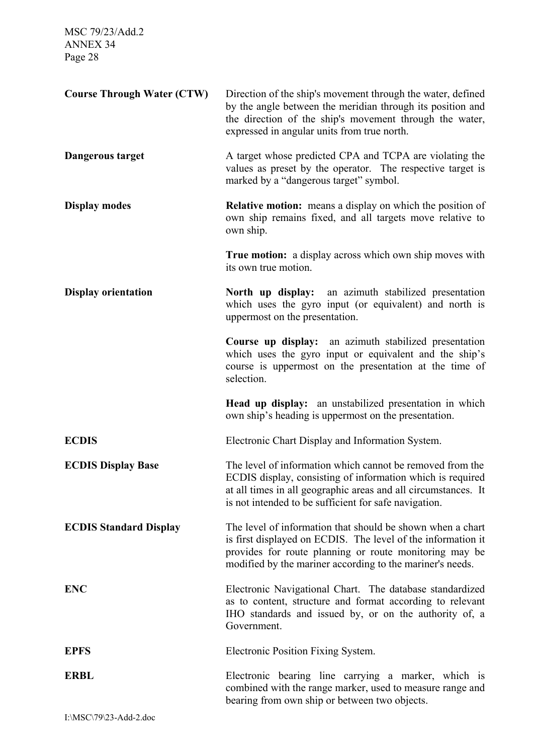| <b>Course Through Water (CTW)</b> | Direction of the ship's movement through the water, defined<br>by the angle between the meridian through its position and<br>the direction of the ship's movement through the water,<br>expressed in angular units from true north.                |
|-----------------------------------|----------------------------------------------------------------------------------------------------------------------------------------------------------------------------------------------------------------------------------------------------|
| Dangerous target                  | A target whose predicted CPA and TCPA are violating the<br>values as preset by the operator. The respective target is<br>marked by a "dangerous target" symbol.                                                                                    |
| <b>Display modes</b>              | <b>Relative motion:</b> means a display on which the position of<br>own ship remains fixed, and all targets move relative to<br>own ship.                                                                                                          |
|                                   | <b>True motion:</b> a display across which own ship moves with<br>its own true motion.                                                                                                                                                             |
| <b>Display orientation</b>        | North up display: an azimuth stabilized presentation<br>which uses the gyro input (or equivalent) and north is<br>uppermost on the presentation.                                                                                                   |
|                                   | Course up display: an azimuth stabilized presentation<br>which uses the gyro input or equivalent and the ship's<br>course is uppermost on the presentation at the time of<br>selection.                                                            |
|                                   | Head up display: an unstabilized presentation in which<br>own ship's heading is uppermost on the presentation.                                                                                                                                     |
| <b>ECDIS</b>                      | Electronic Chart Display and Information System.                                                                                                                                                                                                   |
| <b>ECDIS Display Base</b>         | The level of information which cannot be removed from the<br>ECDIS display, consisting of information which is required<br>at all times in all geographic areas and all circumstances. It<br>is not intended to be sufficient for safe navigation. |
| <b>ECDIS Standard Display</b>     | The level of information that should be shown when a chart<br>is first displayed on ECDIS. The level of the information it<br>provides for route planning or route monitoring may be<br>modified by the mariner according to the mariner's needs.  |
| <b>ENC</b>                        | Electronic Navigational Chart. The database standardized<br>as to content, structure and format according to relevant<br>IHO standards and issued by, or on the authority of, a<br>Government.                                                     |
| <b>EPFS</b>                       | Electronic Position Fixing System.                                                                                                                                                                                                                 |
| <b>ERBL</b>                       | Electronic bearing line carrying a marker, which is<br>combined with the range marker, used to measure range and<br>bearing from own ship or between two objects.                                                                                  |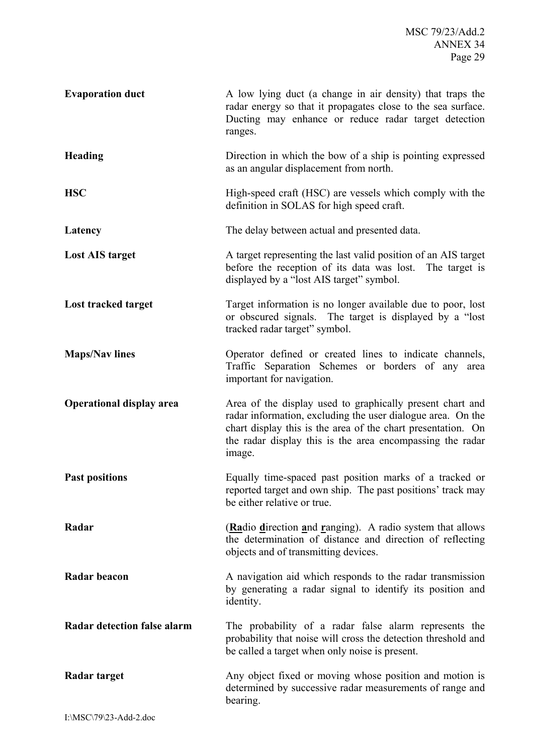| <b>Evaporation duct</b>         | A low lying duct (a change in air density) that traps the<br>radar energy so that it propagates close to the sea surface.<br>Ducting may enhance or reduce radar target detection<br>ranges.                                                                    |
|---------------------------------|-----------------------------------------------------------------------------------------------------------------------------------------------------------------------------------------------------------------------------------------------------------------|
| <b>Heading</b>                  | Direction in which the bow of a ship is pointing expressed<br>as an angular displacement from north.                                                                                                                                                            |
| <b>HSC</b>                      | High-speed craft (HSC) are vessels which comply with the<br>definition in SOLAS for high speed craft.                                                                                                                                                           |
| Latency                         | The delay between actual and presented data.                                                                                                                                                                                                                    |
| <b>Lost AIS target</b>          | A target representing the last valid position of an AIS target<br>before the reception of its data was lost. The target is<br>displayed by a "lost AIS target" symbol.                                                                                          |
| Lost tracked target             | Target information is no longer available due to poor, lost<br>or obscured signals. The target is displayed by a "lost<br>tracked radar target" symbol.                                                                                                         |
| <b>Maps/Nav lines</b>           | Operator defined or created lines to indicate channels,<br>Traffic Separation Schemes or borders of any area<br>important for navigation.                                                                                                                       |
| <b>Operational display area</b> | Area of the display used to graphically present chart and<br>radar information, excluding the user dialogue area. On the<br>chart display this is the area of the chart presentation. On<br>the radar display this is the area encompassing the radar<br>image. |
| <b>Past positions</b>           | Equally time-spaced past position marks of a tracked or<br>reported target and own ship. The past positions' track may<br>be either relative or true.                                                                                                           |
| Radar                           | ( <b>Radio direction and ranging</b> ). A radio system that allows<br>the determination of distance and direction of reflecting<br>objects and of transmitting devices.                                                                                         |
| <b>Radar beacon</b>             | A navigation aid which responds to the radar transmission<br>by generating a radar signal to identify its position and<br>identity.                                                                                                                             |
| Radar detection false alarm     | The probability of a radar false alarm represents the<br>probability that noise will cross the detection threshold and<br>be called a target when only noise is present.                                                                                        |
| Radar target                    | Any object fixed or moving whose position and motion is<br>determined by successive radar measurements of range and<br>bearing.                                                                                                                                 |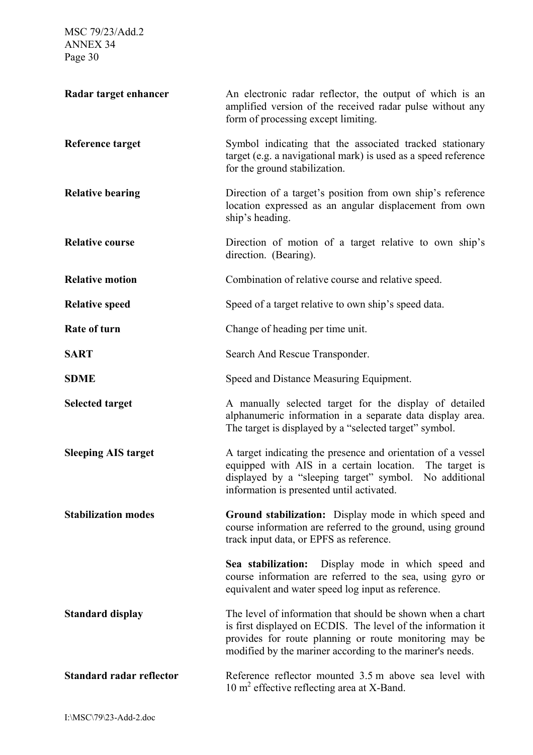| Radar target enhancer           | An electronic radar reflector, the output of which is an<br>amplified version of the received radar pulse without any<br>form of processing except limiting.                                                                                      |
|---------------------------------|---------------------------------------------------------------------------------------------------------------------------------------------------------------------------------------------------------------------------------------------------|
| <b>Reference target</b>         | Symbol indicating that the associated tracked stationary<br>target (e.g. a navigational mark) is used as a speed reference<br>for the ground stabilization.                                                                                       |
| <b>Relative bearing</b>         | Direction of a target's position from own ship's reference<br>location expressed as an angular displacement from own<br>ship's heading.                                                                                                           |
| <b>Relative course</b>          | Direction of motion of a target relative to own ship's<br>direction. (Bearing).                                                                                                                                                                   |
| <b>Relative motion</b>          | Combination of relative course and relative speed.                                                                                                                                                                                                |
| <b>Relative speed</b>           | Speed of a target relative to own ship's speed data.                                                                                                                                                                                              |
| <b>Rate of turn</b>             | Change of heading per time unit.                                                                                                                                                                                                                  |
| <b>SART</b>                     | Search And Rescue Transponder.                                                                                                                                                                                                                    |
| <b>SDME</b>                     | Speed and Distance Measuring Equipment.                                                                                                                                                                                                           |
| <b>Selected target</b>          | A manually selected target for the display of detailed<br>alphanumeric information in a separate data display area.<br>The target is displayed by a "selected target" symbol.                                                                     |
| <b>Sleeping AIS target</b>      | A target indicating the presence and orientation of a vessel<br>equipped with AIS in a certain location. The target is<br>displayed by a "sleeping target" symbol. No additional<br>information is presented until activated.                     |
| <b>Stabilization modes</b>      | Ground stabilization: Display mode in which speed and<br>course information are referred to the ground, using ground<br>track input data, or EPFS as reference.                                                                                   |
|                                 | Display mode in which speed and<br>Sea stabilization:<br>course information are referred to the sea, using gyro or<br>equivalent and water speed log input as reference.                                                                          |
| <b>Standard display</b>         | The level of information that should be shown when a chart<br>is first displayed on ECDIS. The level of the information it<br>provides for route planning or route monitoring may be<br>modified by the mariner according to the mariner's needs. |
| <b>Standard radar reflector</b> | Reference reflector mounted 3.5 m above sea level with<br>10 $m2$ effective reflecting area at X-Band.                                                                                                                                            |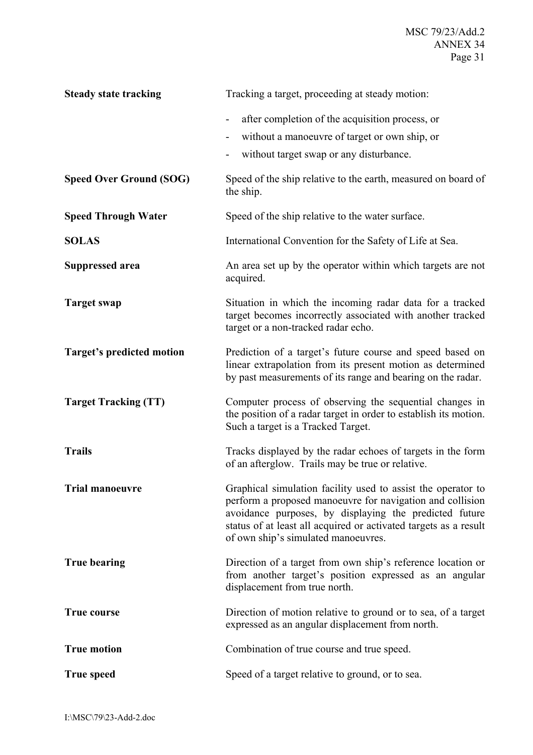| <b>Steady state tracking</b>     | Tracking a target, proceeding at steady motion:                                                                                                                                                                                                                                                |
|----------------------------------|------------------------------------------------------------------------------------------------------------------------------------------------------------------------------------------------------------------------------------------------------------------------------------------------|
|                                  | after completion of the acquisition process, or<br>$\blacksquare$<br>without a manoeuvre of target or own ship, or<br>without target swap or any disturbance.                                                                                                                                  |
| <b>Speed Over Ground (SOG)</b>   | Speed of the ship relative to the earth, measured on board of<br>the ship.                                                                                                                                                                                                                     |
| <b>Speed Through Water</b>       | Speed of the ship relative to the water surface.                                                                                                                                                                                                                                               |
| <b>SOLAS</b>                     | International Convention for the Safety of Life at Sea.                                                                                                                                                                                                                                        |
| <b>Suppressed area</b>           | An area set up by the operator within which targets are not<br>acquired.                                                                                                                                                                                                                       |
| <b>Target swap</b>               | Situation in which the incoming radar data for a tracked<br>target becomes incorrectly associated with another tracked<br>target or a non-tracked radar echo.                                                                                                                                  |
| <b>Target's predicted motion</b> | Prediction of a target's future course and speed based on<br>linear extrapolation from its present motion as determined<br>by past measurements of its range and bearing on the radar.                                                                                                         |
|                                  |                                                                                                                                                                                                                                                                                                |
| <b>Target Tracking (TT)</b>      | Computer process of observing the sequential changes in<br>the position of a radar target in order to establish its motion.<br>Such a target is a Tracked Target.                                                                                                                              |
| <b>Trails</b>                    | Tracks displayed by the radar echoes of targets in the form<br>of an afterglow. Trails may be true or relative.                                                                                                                                                                                |
| <b>Trial manoeuvre</b>           | Graphical simulation facility used to assist the operator to<br>perform a proposed manoeuvre for navigation and collision<br>avoidance purposes, by displaying the predicted future<br>status of at least all acquired or activated targets as a result<br>of own ship's simulated manoeuvres. |
| <b>True bearing</b>              | Direction of a target from own ship's reference location or<br>from another target's position expressed as an angular<br>displacement from true north.                                                                                                                                         |
| <b>True course</b>               | Direction of motion relative to ground or to sea, of a target<br>expressed as an angular displacement from north.                                                                                                                                                                              |
| <b>True motion</b>               | Combination of true course and true speed.                                                                                                                                                                                                                                                     |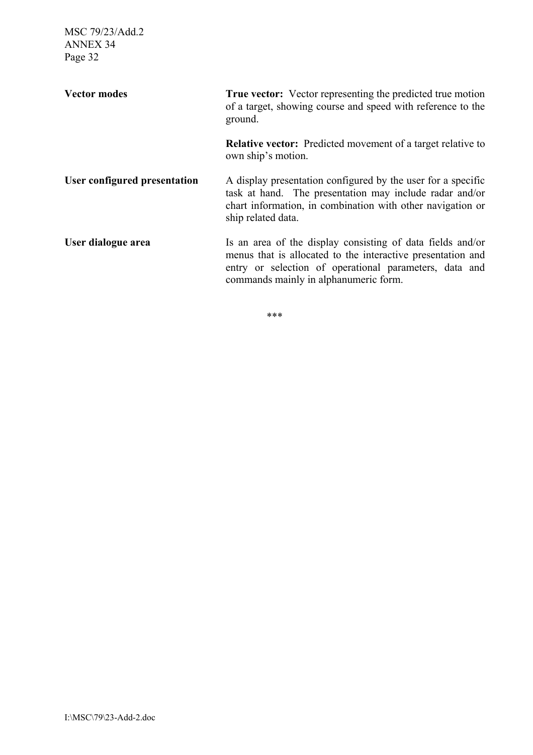| <b>Vector modes</b>          | <b>True vector:</b> Vector representing the predicted true motion<br>of a target, showing course and speed with reference to the<br>ground.                                                                                  |
|------------------------------|------------------------------------------------------------------------------------------------------------------------------------------------------------------------------------------------------------------------------|
|                              | <b>Relative vector:</b> Predicted movement of a target relative to<br>own ship's motion.                                                                                                                                     |
| User configured presentation | A display presentation configured by the user for a specific<br>task at hand. The presentation may include radar and/or<br>chart information, in combination with other navigation or<br>ship related data.                  |
| User dialogue area           | Is an area of the display consisting of data fields and/or<br>menus that is allocated to the interactive presentation and<br>entry or selection of operational parameters, data and<br>commands mainly in alphanumeric form. |

\*\*\*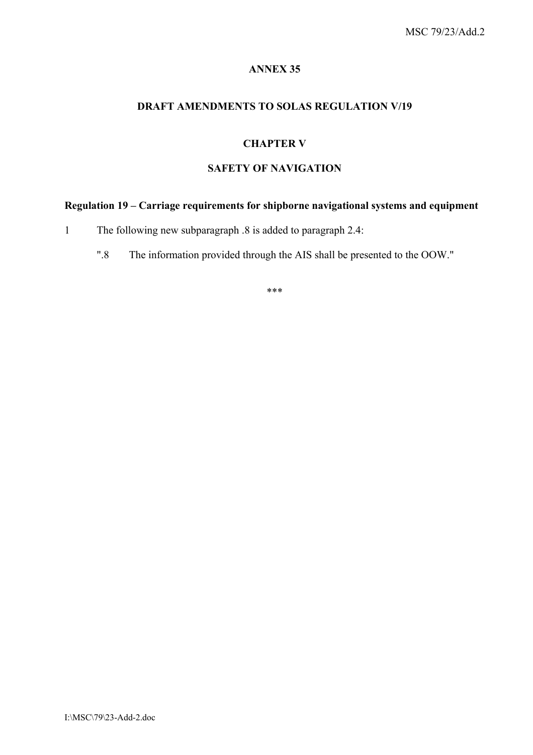# **ANNEX 35**

# **DRAFT AMENDMENTS TO SOLAS REGULATION V/19**

# **CHAPTER V**

# **SAFETY OF NAVIGATION**

# Regulation 19 – Carriage requirements for shipborne navigational systems and equipment

- 1 The following new subparagraph .8 is added to paragraph 2.4:
	- ".8 The information provided through the AIS shall be presented to the OOW."

\*\*\*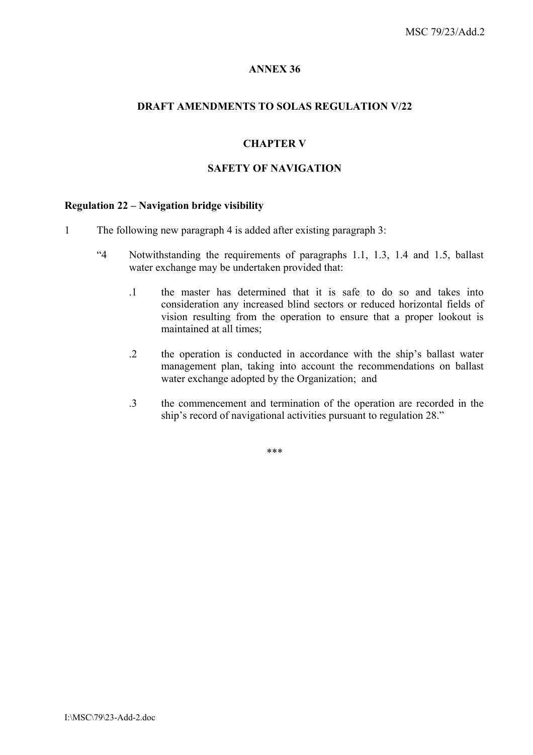### **ANNEX 36**

#### **DRAFT AMENDMENTS TO SOLAS REGULATION V/22**

### **CHAPTER V**

### **SAFETY OF NAVIGATION**

#### **Regulation 22 – Navigation bridge visibility**

- 1 The following new paragraph 4 is added after existing paragraph 3:
	- ì4 Notwithstanding the requirements of paragraphs 1.1, 1.3, 1.4 and 1.5, ballast water exchange may be undertaken provided that:
		- .1 the master has determined that it is safe to do so and takes into consideration any increased blind sectors or reduced horizontal fields of vision resulting from the operation to ensure that a proper lookout is maintained at all times;
		- .2 the operation is conducted in accordance with the ship's ballast water management plan, taking into account the recommendations on ballast water exchange adopted by the Organization; and
		- .3 the commencement and termination of the operation are recorded in the ship's record of navigational activities pursuant to regulation 28."

\*\*\*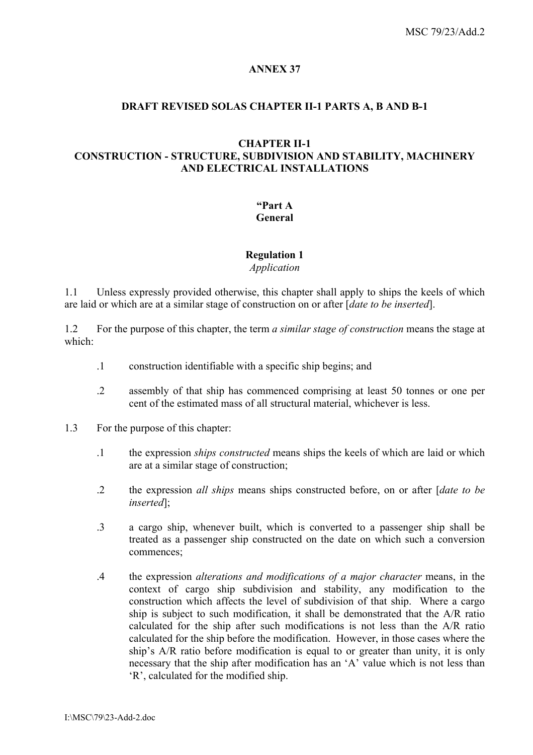#### **ANNEX 37**

#### **DRAFT REVISED SOLAS CHAPTER II-1 PARTS A, B AND B-1**

#### **CHAPTER II-1 CONSTRUCTION - STRUCTURE, SUBDIVISION AND STABILITY, MACHINERY AND ELECTRICAL INSTALLATIONS**

#### **ìPart A General**

#### **Regulation 1**

*Application* 

1.1 Unless expressly provided otherwise, this chapter shall apply to ships the keels of which are laid or which are at a similar stage of construction on or after [*date to be inserted*].

1.2 For the purpose of this chapter, the term *a similar stage of construction* means the stage at which:

- .1 construction identifiable with a specific ship begins; and
- .2 assembly of that ship has commenced comprising at least 50 tonnes or one per cent of the estimated mass of all structural material, whichever is less.
- 1.3 For the purpose of this chapter:
	- .1 the expression *ships constructed* means ships the keels of which are laid or which are at a similar stage of construction;
	- .2 the expression *all ships* means ships constructed before, on or after [*date to be inserted*];
	- .3 a cargo ship, whenever built, which is converted to a passenger ship shall be treated as a passenger ship constructed on the date on which such a conversion commences;
	- .4 the expression *alterations and modifications of a major character* means, in the context of cargo ship subdivision and stability, any modification to the construction which affects the level of subdivision of that ship. Where a cargo ship is subject to such modification, it shall be demonstrated that the A/R ratio calculated for the ship after such modifications is not less than the A/R ratio calculated for the ship before the modification. However, in those cases where the ship's A/R ratio before modification is equal to or greater than unity, it is only necessary that the ship after modification has an 'A' value which is not less than 'R', calculated for the modified ship.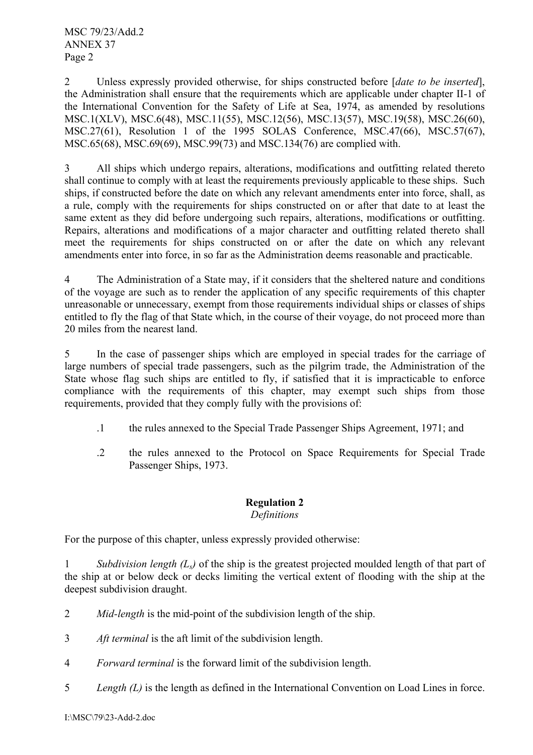MSC 79/23/Add.2 ANNEX 37 Page 2

2 Unless expressly provided otherwise, for ships constructed before [*date to be inserted*], the Administration shall ensure that the requirements which are applicable under chapter II-1 of the International Convention for the Safety of Life at Sea, 1974, as amended by resolutions MSC.1(XLV), MSC.6(48), MSC.11(55), MSC.12(56), MSC.13(57), MSC.19(58), MSC.26(60), MSC.27(61), Resolution 1 of the 1995 SOLAS Conference, MSC.47(66), MSC.57(67), MSC.65(68), MSC.69(69), MSC.99(73) and MSC.134(76) are complied with.

3 All ships which undergo repairs, alterations, modifications and outfitting related thereto shall continue to comply with at least the requirements previously applicable to these ships. Such ships, if constructed before the date on which any relevant amendments enter into force, shall, as a rule, comply with the requirements for ships constructed on or after that date to at least the same extent as they did before undergoing such repairs, alterations, modifications or outfitting. Repairs, alterations and modifications of a major character and outfitting related thereto shall meet the requirements for ships constructed on or after the date on which any relevant amendments enter into force, in so far as the Administration deems reasonable and practicable.

4 The Administration of a State may, if it considers that the sheltered nature and conditions of the voyage are such as to render the application of any specific requirements of this chapter unreasonable or unnecessary, exempt from those requirements individual ships or classes of ships entitled to fly the flag of that State which, in the course of their voyage, do not proceed more than 20 miles from the nearest land.

5 In the case of passenger ships which are employed in special trades for the carriage of large numbers of special trade passengers, such as the pilgrim trade, the Administration of the State whose flag such ships are entitled to fly, if satisfied that it is impracticable to enforce compliance with the requirements of this chapter, may exempt such ships from those requirements, provided that they comply fully with the provisions of:

- .1 the rules annexed to the Special Trade Passenger Ships Agreement, 1971; and
- .2 the rules annexed to the Protocol on Space Requirements for Special Trade Passenger Ships, 1973.

## **Regulation 2**

## *Definitions*

For the purpose of this chapter, unless expressly provided otherwise:

1 *Subdivision length (Ls)* of the ship is the greatest projected moulded length of that part of the ship at or below deck or decks limiting the vertical extent of flooding with the ship at the deepest subdivision draught.

- 2 *Mid-length* is the mid-point of the subdivision length of the ship.
- 3 *Aft terminal* is the aft limit of the subdivision length.
- 4 *Forward terminal* is the forward limit of the subdivision length.
- 5 *Length (L)* is the length as defined in the International Convention on Load Lines in force.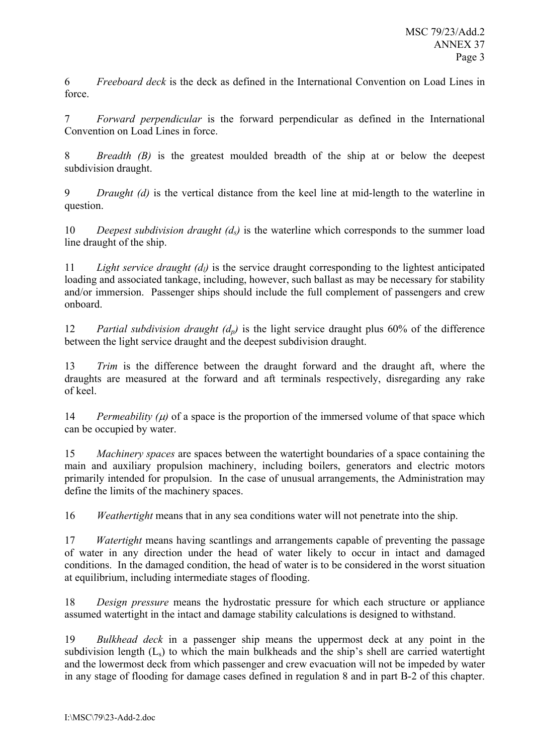6 *Freeboard deck* is the deck as defined in the International Convention on Load Lines in force.

7 *Forward perpendicular* is the forward perpendicular as defined in the International Convention on Load Lines in force.

8 *Breadth (B)* is the greatest moulded breadth of the ship at or below the deepest subdivision draught.

9 *Draught (d)* is the vertical distance from the keel line at mid-length to the waterline in question.

10 *Deepest subdivision draught (ds)* is the waterline which corresponds to the summer load line draught of the ship.

11 *Light service draught (dl)* is the service draught corresponding to the lightest anticipated loading and associated tankage, including, however, such ballast as may be necessary for stability and/or immersion. Passenger ships should include the full complement of passengers and crew onboard.

12 *Partial subdivision draught*  $(d<sub>n</sub>)$  is the light service draught plus 60% of the difference between the light service draught and the deepest subdivision draught.

13 *Trim* is the difference between the draught forward and the draught aft, where the draughts are measured at the forward and aft terminals respectively, disregarding any rake of keel.

14 *Permeability (* $\mu$ *)* of a space is the proportion of the immersed volume of that space which can be occupied by water.

15 *Machinery spaces* are spaces between the watertight boundaries of a space containing the main and auxiliary propulsion machinery, including boilers, generators and electric motors primarily intended for propulsion. In the case of unusual arrangements, the Administration may define the limits of the machinery spaces.

16 *Weathertight* means that in any sea conditions water will not penetrate into the ship.

17 *Watertight* means having scantlings and arrangements capable of preventing the passage of water in any direction under the head of water likely to occur in intact and damaged conditions. In the damaged condition, the head of water is to be considered in the worst situation at equilibrium, including intermediate stages of flooding.

18 *Design pressure* means the hydrostatic pressure for which each structure or appliance assumed watertight in the intact and damage stability calculations is designed to withstand.

19 *Bulkhead deck* in a passenger ship means the uppermost deck at any point in the subdivision length  $(L_s)$  to which the main bulkheads and the ship's shell are carried watertight and the lowermost deck from which passenger and crew evacuation will not be impeded by water in any stage of flooding for damage cases defined in regulation 8 and in part B-2 of this chapter.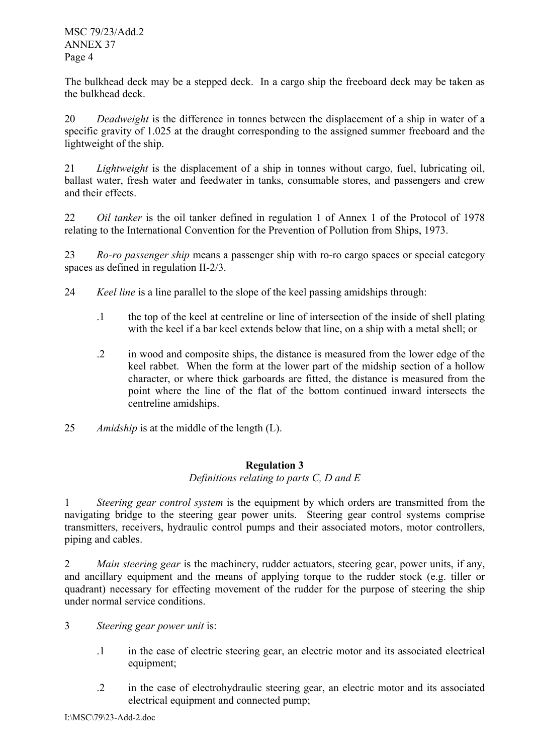MSC 79/23/Add.2 ANNEX 37 Page 4

The bulkhead deck may be a stepped deck. In a cargo ship the freeboard deck may be taken as the bulkhead deck.

20 *Deadweight* is the difference in tonnes between the displacement of a ship in water of a specific gravity of 1.025 at the draught corresponding to the assigned summer freeboard and the lightweight of the ship.

21 *Lightweight* is the displacement of a ship in tonnes without cargo, fuel, lubricating oil, ballast water, fresh water and feedwater in tanks, consumable stores, and passengers and crew and their effects.

22 *Oil tanker* is the oil tanker defined in regulation 1 of Annex 1 of the Protocol of 1978 relating to the International Convention for the Prevention of Pollution from Ships, 1973.

23 *Ro-ro passenger ship* means a passenger ship with ro-ro cargo spaces or special category spaces as defined in regulation II-2/3.

24 *Keel line* is a line parallel to the slope of the keel passing amidships through:

- .1 the top of the keel at centreline or line of intersection of the inside of shell plating with the keel if a bar keel extends below that line, on a ship with a metal shell; or
- .2 in wood and composite ships, the distance is measured from the lower edge of the keel rabbet. When the form at the lower part of the midship section of a hollow character, or where thick garboards are fitted, the distance is measured from the point where the line of the flat of the bottom continued inward intersects the centreline amidships.
- 25 *Amidship* is at the middle of the length (L).

#### **Regulation 3**

#### *Definitions relating to parts C, D and E*

1 *Steering gear control system* is the equipment by which orders are transmitted from the navigating bridge to the steering gear power units. Steering gear control systems comprise transmitters, receivers, hydraulic control pumps and their associated motors, motor controllers, piping and cables.

2 *Main steering gear* is the machinery, rudder actuators, steering gear, power units, if any, and ancillary equipment and the means of applying torque to the rudder stock (e.g. tiller or quadrant) necessary for effecting movement of the rudder for the purpose of steering the ship under normal service conditions.

3 *Steering gear power unit* is:

- .1 in the case of electric steering gear, an electric motor and its associated electrical equipment;
- .2 in the case of electrohydraulic steering gear, an electric motor and its associated electrical equipment and connected pump;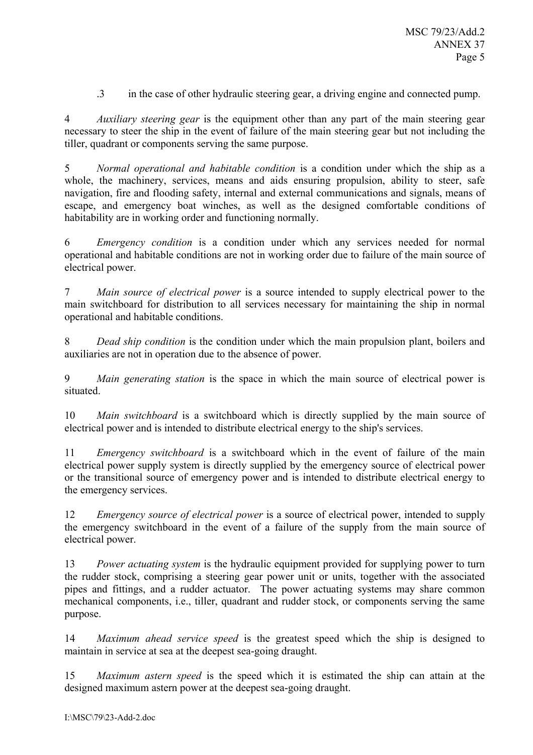.3 in the case of other hydraulic steering gear, a driving engine and connected pump.

4 *Auxiliary steering gear* is the equipment other than any part of the main steering gear necessary to steer the ship in the event of failure of the main steering gear but not including the tiller, quadrant or components serving the same purpose.

5 *Normal operational and habitable condition* is a condition under which the ship as a whole, the machinery, services, means and aids ensuring propulsion, ability to steer, safe navigation, fire and flooding safety, internal and external communications and signals, means of escape, and emergency boat winches, as well as the designed comfortable conditions of habitability are in working order and functioning normally.

6 *Emergency condition* is a condition under which any services needed for normal operational and habitable conditions are not in working order due to failure of the main source of electrical power.

7 *Main source of electrical power* is a source intended to supply electrical power to the main switchboard for distribution to all services necessary for maintaining the ship in normal operational and habitable conditions.

8 *Dead ship condition* is the condition under which the main propulsion plant, boilers and auxiliaries are not in operation due to the absence of power.

9 *Main generating station* is the space in which the main source of electrical power is situated.

10 *Main switchboard* is a switchboard which is directly supplied by the main source of electrical power and is intended to distribute electrical energy to the ship's services.

11 *Emergency switchboard* is a switchboard which in the event of failure of the main electrical power supply system is directly supplied by the emergency source of electrical power or the transitional source of emergency power and is intended to distribute electrical energy to the emergency services.

12 *Emergency source of electrical power* is a source of electrical power, intended to supply the emergency switchboard in the event of a failure of the supply from the main source of electrical power.

13 *Power actuating system* is the hydraulic equipment provided for supplying power to turn the rudder stock, comprising a steering gear power unit or units, together with the associated pipes and fittings, and a rudder actuator. The power actuating systems may share common mechanical components, i.e., tiller, quadrant and rudder stock, or components serving the same purpose.

14 *Maximum ahead service speed* is the greatest speed which the ship is designed to maintain in service at sea at the deepest sea-going draught.

15 *Maximum astern speed* is the speed which it is estimated the ship can attain at the designed maximum astern power at the deepest sea-going draught.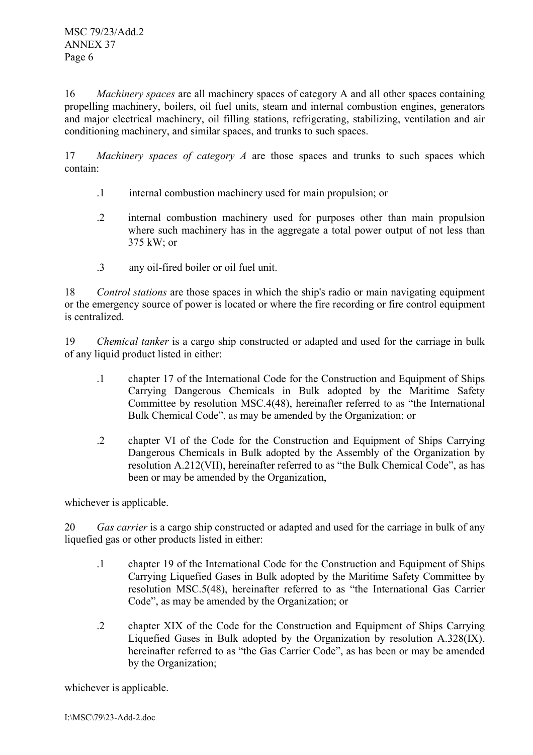16 *Machinery spaces* are all machinery spaces of category A and all other spaces containing propelling machinery, boilers, oil fuel units, steam and internal combustion engines, generators and major electrical machinery, oil filling stations, refrigerating, stabilizing, ventilation and air conditioning machinery, and similar spaces, and trunks to such spaces.

17 *Machinery spaces of category A* are those spaces and trunks to such spaces which contain:

- .1 internal combustion machinery used for main propulsion; or
- .2 internal combustion machinery used for purposes other than main propulsion where such machinery has in the aggregate a total power output of not less than 375 kW; or
- .3 any oil-fired boiler or oil fuel unit.

18 *Control stations* are those spaces in which the ship's radio or main navigating equipment or the emergency source of power is located or where the fire recording or fire control equipment is centralized.

19 *Chemical tanker* is a cargo ship constructed or adapted and used for the carriage in bulk of any liquid product listed in either:

- .1 chapter 17 of the International Code for the Construction and Equipment of Ships Carrying Dangerous Chemicals in Bulk adopted by the Maritime Safety Committee by resolution MSC.4(48), hereinafter referred to as "the International Bulk Chemical Code", as may be amended by the Organization; or
- .2 chapter VI of the Code for the Construction and Equipment of Ships Carrying Dangerous Chemicals in Bulk adopted by the Assembly of the Organization by resolution A.212(VII), hereinafter referred to as "the Bulk Chemical Code", as has been or may be amended by the Organization,

whichever is applicable.

20 *Gas carrier* is a cargo ship constructed or adapted and used for the carriage in bulk of any liquefied gas or other products listed in either:

- .1 chapter 19 of the International Code for the Construction and Equipment of Ships Carrying Liquefied Gases in Bulk adopted by the Maritime Safety Committee by resolution MSC.5(48), hereinafter referred to as "the International Gas Carrier Code", as may be amended by the Organization; or
- .2 chapter XIX of the Code for the Construction and Equipment of Ships Carrying Liquefied Gases in Bulk adopted by the Organization by resolution A.328(IX), hereinafter referred to as "the Gas Carrier Code", as has been or may be amended by the Organization;

whichever is applicable.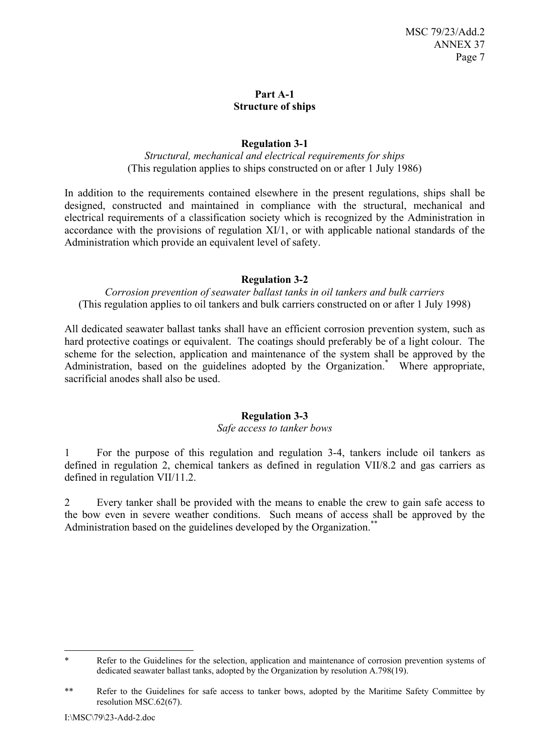## **Part A-1 Structure of ships**

#### **Regulation 3-1**

*Structural, mechanical and electrical requirements for ships*  (This regulation applies to ships constructed on or after 1 July 1986)

In addition to the requirements contained elsewhere in the present regulations, ships shall be designed, constructed and maintained in compliance with the structural, mechanical and electrical requirements of a classification society which is recognized by the Administration in accordance with the provisions of regulation XI/1, or with applicable national standards of the Administration which provide an equivalent level of safety.

#### **Regulation 3-2**

*Corrosion prevention of seawater ballast tanks in oil tankers and bulk carriers*  (This regulation applies to oil tankers and bulk carriers constructed on or after 1 July 1998)

All dedicated seawater ballast tanks shall have an efficient corrosion prevention system, such as hard protective coatings or equivalent. The coatings should preferably be of a light colour. The scheme for the selection, application and maintenance of the system shall be approved by the Administration, based on the guidelines adopted by the Organization.\* Where appropriate, sacrificial anodes shall also be used.

#### **Regulation 3-3**

#### *Safe access to tanker bows*

1 For the purpose of this regulation and regulation 3-4, tankers include oil tankers as defined in regulation 2, chemical tankers as defined in regulation VII/8.2 and gas carriers as defined in regulation VII/11.2.

2 Every tanker shall be provided with the means to enable the crew to gain safe access to the bow even in severe weather conditions. Such means of access shall be approved by the Administration based on the guidelines developed by the Organization.<sup>\*\*</sup>

Refer to the Guidelines for the selection, application and maintenance of corrosion prevention systems of dedicated seawater ballast tanks, adopted by the Organization by resolution A.798(19).

<sup>\*\*</sup> Refer to the Guidelines for safe access to tanker bows, adopted by the Maritime Safety Committee by resolution MSC.62(67).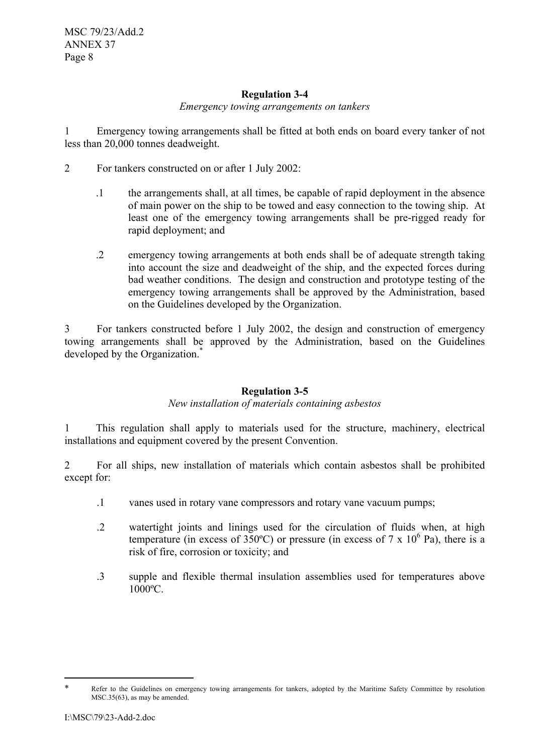## **Regulation 3-4**

#### *Emergency towing arrangements on tankers*

1 Emergency towing arrangements shall be fitted at both ends on board every tanker of not less than 20,000 tonnes deadweight.

- 2 For tankers constructed on or after 1 July 2002:
	- .1 the arrangements shall, at all times, be capable of rapid deployment in the absence of main power on the ship to be towed and easy connection to the towing ship. At least one of the emergency towing arrangements shall be pre-rigged ready for rapid deployment; and
	- .2 emergency towing arrangements at both ends shall be of adequate strength taking into account the size and deadweight of the ship, and the expected forces during bad weather conditions. The design and construction and prototype testing of the emergency towing arrangements shall be approved by the Administration, based on the Guidelines developed by the Organization.

3 For tankers constructed before 1 July 2002, the design and construction of emergency towing arrangements shall be approved by the Administration, based on the Guidelines developed by the Organization.<sup>\*</sup>

#### **Regulation 3-5**

#### *New installation of materials containing asbestos*

1 This regulation shall apply to materials used for the structure, machinery, electrical installations and equipment covered by the present Convention.

2 For all ships, new installation of materials which contain asbestos shall be prohibited except for:

- .1 vanes used in rotary vane compressors and rotary vane vacuum pumps;
- .2 watertight joints and linings used for the circulation of fluids when, at high temperature (in excess of  $350^{\circ}$ C) or pressure (in excess of 7 x  $10^{\circ}$  Pa), there is a risk of fire, corrosion or toxicity; and
- .3 supple and flexible thermal insulation assemblies used for temperatures above 1000ºC.

Refer to the Guidelines on emergency towing arrangements for tankers, adopted by the Maritime Safety Committee by resolution MSC.35(63), as may be amended.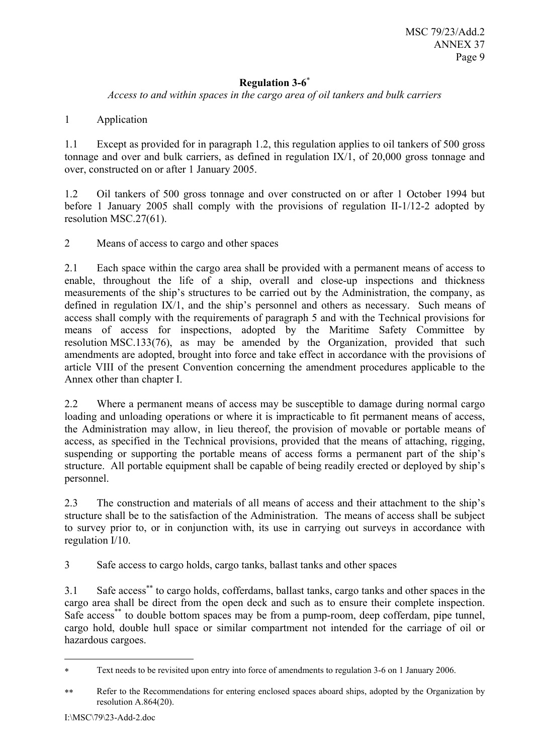## **Regulation 3-6**<sup>∗</sup>

*Access to and within spaces in the cargo area of oil tankers and bulk carriers* 

1 Application

1.1 Except as provided for in paragraph 1.2, this regulation applies to oil tankers of 500 gross tonnage and over and bulk carriers, as defined in regulation IX/1, of 20,000 gross tonnage and over, constructed on or after 1 January 2005.

1.2 Oil tankers of 500 gross tonnage and over constructed on or after 1 October 1994 but before 1 January 2005 shall comply with the provisions of regulation II-1/12-2 adopted by resolution MSC.27(61).

2 Means of access to cargo and other spaces

2.1 Each space within the cargo area shall be provided with a permanent means of access to enable, throughout the life of a ship, overall and close-up inspections and thickness measurements of the ship's structures to be carried out by the Administration, the company, as defined in regulation  $IX/1$ , and the ship's personnel and others as necessary. Such means of access shall comply with the requirements of paragraph 5 and with the Technical provisions for means of access for inspections, adopted by the Maritime Safety Committee by resolution MSC.133(76), as may be amended by the Organization, provided that such amendments are adopted, brought into force and take effect in accordance with the provisions of article VIII of the present Convention concerning the amendment procedures applicable to the Annex other than chapter I.

2.2 Where a permanent means of access may be susceptible to damage during normal cargo loading and unloading operations or where it is impracticable to fit permanent means of access, the Administration may allow, in lieu thereof, the provision of movable or portable means of access, as specified in the Technical provisions, provided that the means of attaching, rigging, suspending or supporting the portable means of access forms a permanent part of the ship's structure. All portable equipment shall be capable of being readily erected or deployed by ship's personnel.

2.3 The construction and materials of all means of access and their attachment to the ship's structure shall be to the satisfaction of the Administration. The means of access shall be subject to survey prior to, or in conjunction with, its use in carrying out surveys in accordance with regulation I/10.

3 Safe access to cargo holds, cargo tanks, ballast tanks and other spaces

3.1 Safe access<sup>\*\*</sup> to cargo holds, cofferdams, ballast tanks, cargo tanks and other spaces in the cargo area shall be direct from the open deck and such as to ensure their complete inspection. Safe access<sup>\*\*</sup> to double bottom spaces may be from a pump-room, deep cofferdam, pipe tunnel, cargo hold, double hull space or similar compartment not intended for the carriage of oil or hazardous cargoes.

<sup>∗</sup> Text needs to be revisited upon entry into force of amendments to regulation 3-6 on 1 January 2006.

<sup>∗∗</sup> Refer to the Recommendations for entering enclosed spaces aboard ships, adopted by the Organization by resolution A.864(20).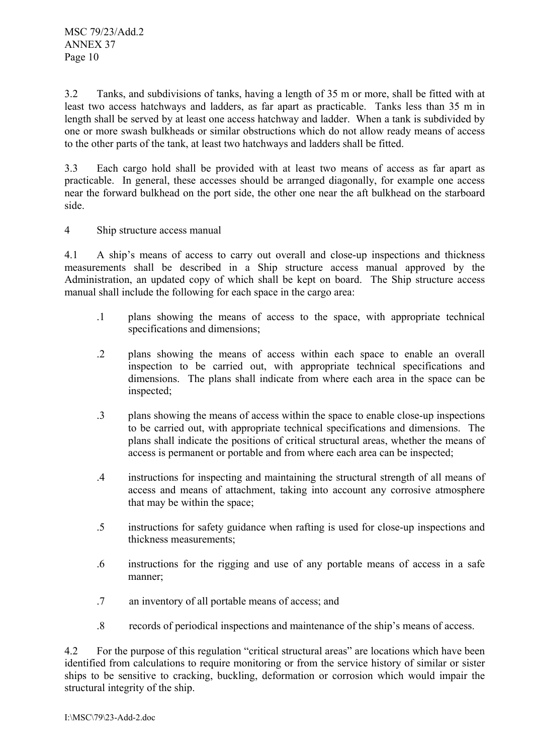3.2 Tanks, and subdivisions of tanks, having a length of 35 m or more, shall be fitted with at least two access hatchways and ladders, as far apart as practicable. Tanks less than 35 m in length shall be served by at least one access hatchway and ladder. When a tank is subdivided by one or more swash bulkheads or similar obstructions which do not allow ready means of access to the other parts of the tank, at least two hatchways and ladders shall be fitted.

3.3 Each cargo hold shall be provided with at least two means of access as far apart as practicable. In general, these accesses should be arranged diagonally, for example one access near the forward bulkhead on the port side, the other one near the aft bulkhead on the starboard side.

#### 4 Ship structure access manual

4.1 A ship's means of access to carry out overall and close-up inspections and thickness measurements shall be described in a Ship structure access manual approved by the Administration, an updated copy of which shall be kept on board. The Ship structure access manual shall include the following for each space in the cargo area:

- .1 plans showing the means of access to the space, with appropriate technical specifications and dimensions:
- .2 plans showing the means of access within each space to enable an overall inspection to be carried out, with appropriate technical specifications and dimensions. The plans shall indicate from where each area in the space can be inspected;
- .3 plans showing the means of access within the space to enable close-up inspections to be carried out, with appropriate technical specifications and dimensions. The plans shall indicate the positions of critical structural areas, whether the means of access is permanent or portable and from where each area can be inspected;
- .4 instructions for inspecting and maintaining the structural strength of all means of access and means of attachment, taking into account any corrosive atmosphere that may be within the space;
- .5 instructions for safety guidance when rafting is used for close-up inspections and thickness measurements;
- .6 instructions for the rigging and use of any portable means of access in a safe manner;
- .7 an inventory of all portable means of access; and
- .8 records of periodical inspections and maintenance of the shipís means of access.

4.2 For the purpose of this regulation "critical structural areas" are locations which have been identified from calculations to require monitoring or from the service history of similar or sister ships to be sensitive to cracking, buckling, deformation or corrosion which would impair the structural integrity of the ship.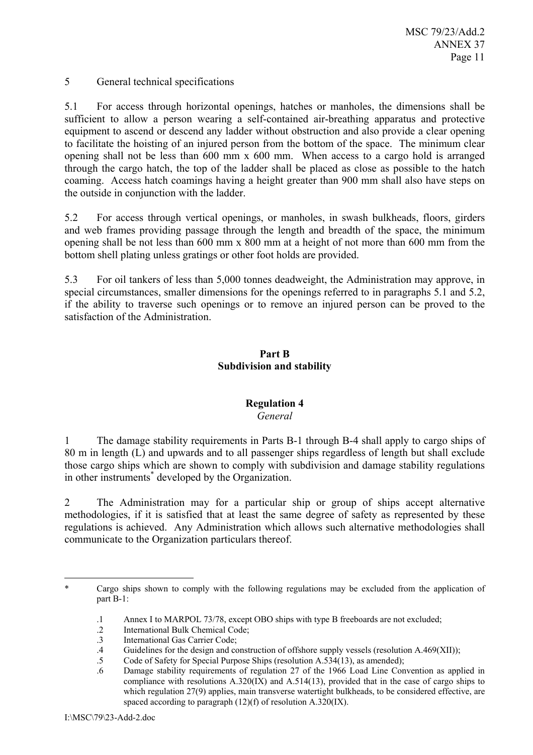5 General technical specifications

5.1 For access through horizontal openings, hatches or manholes, the dimensions shall be sufficient to allow a person wearing a self-contained air-breathing apparatus and protective equipment to ascend or descend any ladder without obstruction and also provide a clear opening to facilitate the hoisting of an injured person from the bottom of the space. The minimum clear opening shall not be less than 600 mm x 600 mm. When access to a cargo hold is arranged through the cargo hatch, the top of the ladder shall be placed as close as possible to the hatch coaming. Access hatch coamings having a height greater than 900 mm shall also have steps on the outside in conjunction with the ladder.

5.2 For access through vertical openings, or manholes, in swash bulkheads, floors, girders and web frames providing passage through the length and breadth of the space, the minimum opening shall be not less than 600 mm x 800 mm at a height of not more than 600 mm from the bottom shell plating unless gratings or other foot holds are provided.

5.3 For oil tankers of less than 5,000 tonnes deadweight, the Administration may approve, in special circumstances, smaller dimensions for the openings referred to in paragraphs 5.1 and 5.2, if the ability to traverse such openings or to remove an injured person can be proved to the satisfaction of the Administration.

#### **Part B Subdivision and stability**

# **Regulation 4**

#### *General*

1 The damage stability requirements in Parts B-1 through B-4 shall apply to cargo ships of 80 m in length (L) and upwards and to all passenger ships regardless of length but shall exclude those cargo ships which are shown to comply with subdivision and damage stability regulations in other instruments\* developed by the Organization.

2 The Administration may for a particular ship or group of ships accept alternative methodologies, if it is satisfied that at least the same degree of safety as represented by these regulations is achieved. Any Administration which allows such alternative methodologies shall communicate to the Organization particulars thereof.

 $\overline{a}$ \* Cargo ships shown to comply with the following regulations may be excluded from the application of part B-1:

<sup>.1</sup> Annex I to MARPOL 73/78, except OBO ships with type B freeboards are not excluded;

<sup>.2</sup> International Bulk Chemical Code;

<sup>.3</sup> International Gas Carrier Code;

<sup>.4</sup> Guidelines for the design and construction of offshore supply vessels (resolution A.469(XII));

<sup>.5</sup> Code of Safety for Special Purpose Ships (resolution A.534(13), as amended);

<sup>.6</sup> Damage stability requirements of regulation 27 of the 1966 Load Line Convention as applied in compliance with resolutions A.320(IX) and A.514(13), provided that in the case of cargo ships to which regulation 27(9) applies, main transverse watertight bulkheads, to be considered effective, are spaced according to paragraph (12)(f) of resolution A.320(IX).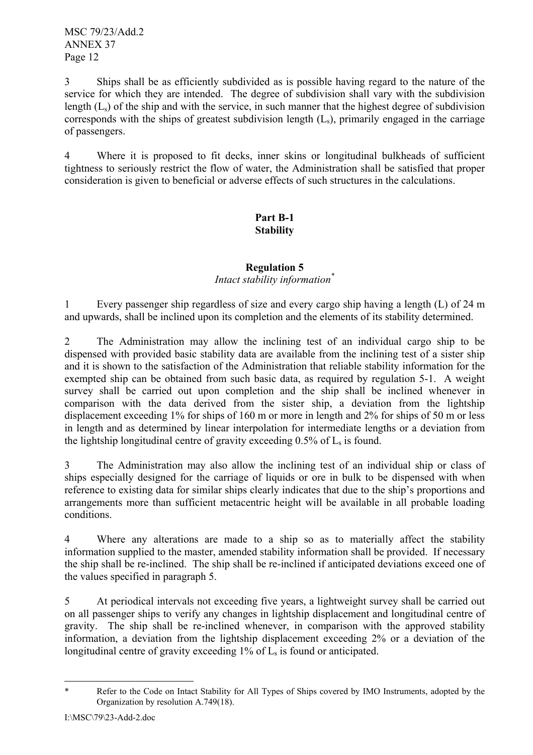MSC 79/23/Add.2 ANNEX 37 Page 12

3 Ships shall be as efficiently subdivided as is possible having regard to the nature of the service for which they are intended. The degree of subdivision shall vary with the subdivision length  $(L<sub>s</sub>)$  of the ship and with the service, in such manner that the highest degree of subdivision corresponds with the ships of greatest subdivision length  $(L_s)$ , primarily engaged in the carriage of passengers.

4 Where it is proposed to fit decks, inner skins or longitudinal bulkheads of sufficient tightness to seriously restrict the flow of water, the Administration shall be satisfied that proper consideration is given to beneficial or adverse effects of such structures in the calculations.

## **Part B-1 Stability**

## **Regulation 5** *Intact stability information\**

1 Every passenger ship regardless of size and every cargo ship having a length (L) of 24 m and upwards, shall be inclined upon its completion and the elements of its stability determined.

2 The Administration may allow the inclining test of an individual cargo ship to be dispensed with provided basic stability data are available from the inclining test of a sister ship and it is shown to the satisfaction of the Administration that reliable stability information for the exempted ship can be obtained from such basic data, as required by regulation 5-1. A weight survey shall be carried out upon completion and the ship shall be inclined whenever in comparison with the data derived from the sister ship, a deviation from the lightship displacement exceeding 1% for ships of 160 m or more in length and 2% for ships of 50 m or less in length and as determined by linear interpolation for intermediate lengths or a deviation from the lightship longitudinal centre of gravity exceeding  $0.5\%$  of  $L_s$  is found.

3 The Administration may also allow the inclining test of an individual ship or class of ships especially designed for the carriage of liquids or ore in bulk to be dispensed with when reference to existing data for similar ships clearly indicates that due to the ship's proportions and arrangements more than sufficient metacentric height will be available in all probable loading conditions.

4 Where any alterations are made to a ship so as to materially affect the stability information supplied to the master, amended stability information shall be provided. If necessary the ship shall be re-inclined. The ship shall be re-inclined if anticipated deviations exceed one of the values specified in paragraph 5.

5 At periodical intervals not exceeding five years, a lightweight survey shall be carried out on all passenger ships to verify any changes in lightship displacement and longitudinal centre of gravity. The ship shall be re-inclined whenever, in comparison with the approved stability information, a deviation from the lightship displacement exceeding 2% or a deviation of the longitudinal centre of gravity exceeding  $1\%$  of  $L_s$  is found or anticipated.

 $\overline{a}$ Refer to the Code on Intact Stability for All Types of Ships covered by IMO Instruments, adopted by the Organization by resolution A.749(18).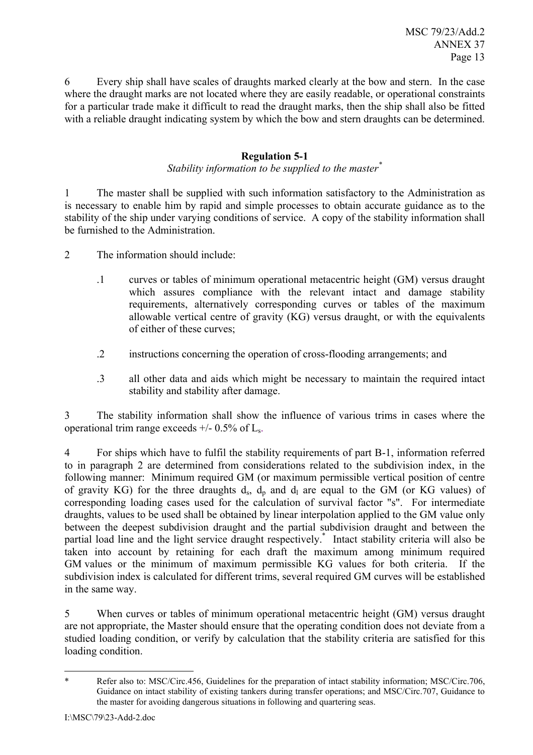6 Every ship shall have scales of draughts marked clearly at the bow and stern. In the case where the draught marks are not located where they are easily readable, or operational constraints for a particular trade make it difficult to read the draught marks, then the ship shall also be fitted with a reliable draught indicating system by which the bow and stern draughts can be determined.

## **Regulation 5-1**

#### *Stability information to be supplied to the master\**

1 The master shall be supplied with such information satisfactory to the Administration as is necessary to enable him by rapid and simple processes to obtain accurate guidance as to the stability of the ship under varying conditions of service. A copy of the stability information shall be furnished to the Administration.

- 2 The information should include:
	- .1 curves or tables of minimum operational metacentric height (GM) versus draught which assures compliance with the relevant intact and damage stability requirements, alternatively corresponding curves or tables of the maximum allowable vertical centre of gravity (KG) versus draught, or with the equivalents of either of these curves;
	- .2 instructions concerning the operation of cross-flooding arrangements; and
	- .3 all other data and aids which might be necessary to maintain the required intact stability and stability after damage.

3 The stability information shall show the influence of various trims in cases where the operational trim range exceeds  $+/- 0.5\%$  of  $L_s$ .

4 For ships which have to fulfil the stability requirements of part B-1, information referred to in paragraph 2 are determined from considerations related to the subdivision index, in the following manner: Minimum required GM (or maximum permissible vertical position of centre of gravity KG) for the three draughts  $d_s$ ,  $d_p$  and  $d_l$  are equal to the GM (or KG values) of corresponding loading cases used for the calculation of survival factor "s". For intermediate draughts, values to be used shall be obtained by linear interpolation applied to the GM value only between the deepest subdivision draught and the partial subdivision draught and between the partial load line and the light service draught respectively.\* Intact stability criteria will also be taken into account by retaining for each draft the maximum among minimum required GM values or the minimum of maximum permissible KG values for both criteria. If the subdivision index is calculated for different trims, several required GM curves will be established in the same way.

5 When curves or tables of minimum operational metacentric height (GM) versus draught are not appropriate, the Master should ensure that the operating condition does not deviate from a studied loading condition, or verify by calculation that the stability criteria are satisfied for this loading condition.

 $\overline{a}$ Refer also to: MSC/Circ.456, Guidelines for the preparation of intact stability information; MSC/Circ.706, Guidance on intact stability of existing tankers during transfer operations; and MSC/Circ.707, Guidance to the master for avoiding dangerous situations in following and quartering seas.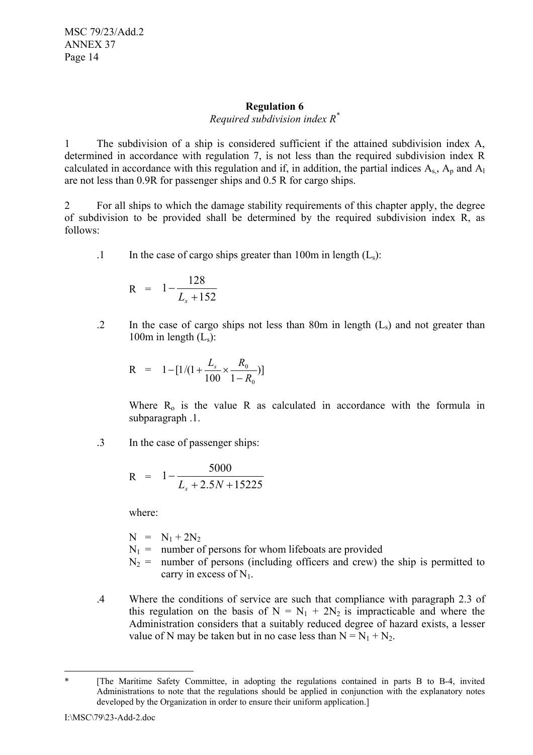#### **Regulation 6**

*Required subdivision index R\**

1 The subdivision of a ship is considered sufficient if the attained subdivision index A, determined in accordance with regulation 7, is not less than the required subdivision index R calculated in accordance with this regulation and if, in addition, the partial indices  $A_s$ ,  $A_p$  and  $A_l$ are not less than 0.9R for passenger ships and 0.5 R for cargo ships.

2 For all ships to which the damage stability requirements of this chapter apply, the degree of subdivision to be provided shall be determined by the required subdivision index R, as follows:

.1 In the case of cargo ships greater than 100m in length  $(L_s)$ :

$$
R = 1 - \frac{128}{L_s + 152}
$$

.2 In the case of cargo ships not less than 80m in length (Ls) and not greater than 100m in length  $(L_s)$ :

$$
R = 1 - [1/(1 + \frac{L_s}{100} \times \frac{R_0}{1 - R_0})]
$$

Where  $R_0$  is the value R as calculated in accordance with the formula in subparagraph .1.

.3 In the case of passenger ships:

$$
R = 1 - \frac{5000}{L_s + 2.5N + 15225}
$$

where:

 $N = N_1 + 2N_2$ 

 $N_1$  = number of persons for whom lifeboats are provided

- $N_2$  = number of persons (including officers and crew) the ship is permitted to carry in excess of  $N_1$ .
- .4 Where the conditions of service are such that compliance with paragraph 2.3 of this regulation on the basis of  $N = N_1 + 2N_2$  is impracticable and where the Administration considers that a suitably reduced degree of hazard exists, a lesser value of N may be taken but in no case less than  $N = N_1 + N_2$ .

 $\overline{a}$ [The Maritime Safety Committee, in adopting the regulations contained in parts B to B-4, invited Administrations to note that the regulations should be applied in conjunction with the explanatory notes developed by the Organization in order to ensure their uniform application.]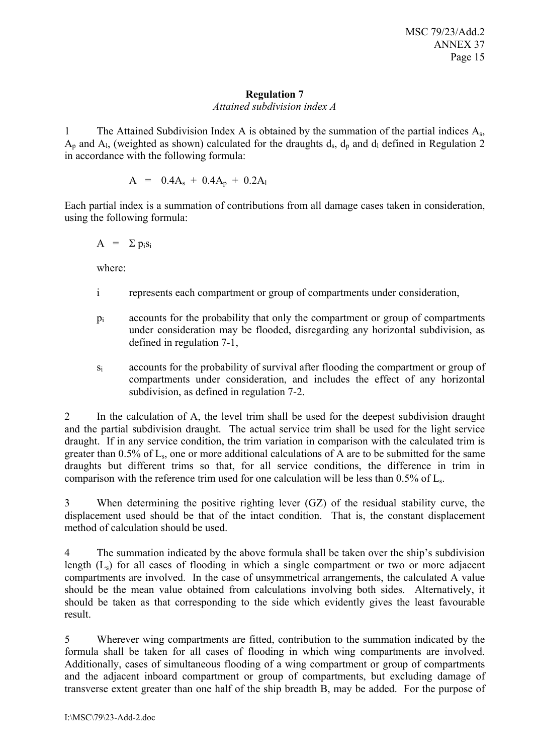#### **Regulation 7**

#### *Attained subdivision index A*

1 The Attained Subdivision Index A is obtained by the summation of the partial indices A<sub>s</sub>,  $A_n$  and  $A_l$ , (weighted as shown) calculated for the draughts  $d_s$ ,  $d_n$  and  $d_l$  defined in Regulation 2 in accordance with the following formula:

$$
A = 0.4A_s + 0.4A_p + 0.2A_l
$$

Each partial index is a summation of contributions from all damage cases taken in consideration, using the following formula:

 $A = \sum p_i s_i$ 

where:

- i represents each compartment or group of compartments under consideration,
- $p_i$  accounts for the probability that only the compartment or group of compartments under consideration may be flooded, disregarding any horizontal subdivision, as defined in regulation 7-1,
- $s_i$  accounts for the probability of survival after flooding the compartment or group of compartments under consideration, and includes the effect of any horizontal subdivision, as defined in regulation 7-2.

2 In the calculation of A, the level trim shall be used for the deepest subdivision draught and the partial subdivision draught. The actual service trim shall be used for the light service draught. If in any service condition, the trim variation in comparison with the calculated trim is greater than  $0.5\%$  of  $L_s$ , one or more additional calculations of A are to be submitted for the same draughts but different trims so that, for all service conditions, the difference in trim in comparison with the reference trim used for one calculation will be less than 0.5% of Ls.

3 When determining the positive righting lever (GZ) of the residual stability curve, the displacement used should be that of the intact condition. That is, the constant displacement method of calculation should be used.

4 The summation indicated by the above formula shall be taken over the ship's subdivision length  $(L<sub>s</sub>)$  for all cases of flooding in which a single compartment or two or more adjacent compartments are involved. In the case of unsymmetrical arrangements, the calculated A value should be the mean value obtained from calculations involving both sides. Alternatively, it should be taken as that corresponding to the side which evidently gives the least favourable result.

5 Wherever wing compartments are fitted, contribution to the summation indicated by the formula shall be taken for all cases of flooding in which wing compartments are involved. Additionally, cases of simultaneous flooding of a wing compartment or group of compartments and the adjacent inboard compartment or group of compartments, but excluding damage of transverse extent greater than one half of the ship breadth B, may be added. For the purpose of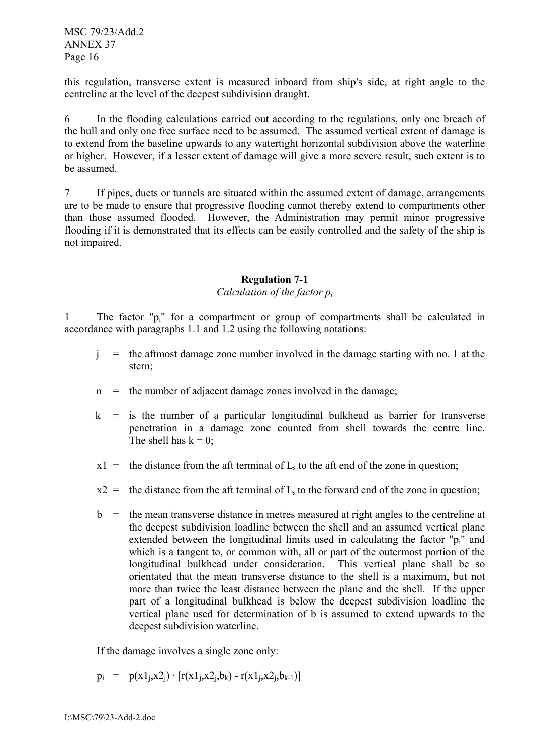this regulation, transverse extent is measured inboard from ship's side, at right angle to the centreline at the level of the deepest subdivision draught.

6 In the flooding calculations carried out according to the regulations, only one breach of the hull and only one free surface need to be assumed. The assumed vertical extent of damage is to extend from the baseline upwards to any watertight horizontal subdivision above the waterline or higher. However, if a lesser extent of damage will give a more severe result, such extent is to be assumed.

7 If pipes, ducts or tunnels are situated within the assumed extent of damage, arrangements are to be made to ensure that progressive flooding cannot thereby extend to compartments other than those assumed flooded. However, the Administration may permit minor progressive flooding if it is demonstrated that its effects can be easily controlled and the safety of the ship is not impaired.

#### **Regulation 7-1**

#### *Calculation of the factor pi*

1 The factor "pi" for a compartment or group of compartments shall be calculated in accordance with paragraphs 1.1 and 1.2 using the following notations:

- $j =$  the aftmost damage zone number involved in the damage starting with no. 1 at the stern;
- n = the number of adjacent damage zones involved in the damage;
- $k =$  is the number of a particular longitudinal bulkhead as barrier for transverse penetration in a damage zone counted from shell towards the centre line. The shell has  $k = 0$ :
- $x1 =$  the distance from the aft terminal of L<sub>s</sub> to the aft end of the zone in question;
- $x2 =$  the distance from the aft terminal of L<sub>s</sub> to the forward end of the zone in question;
- $b =$  the mean transverse distance in metres measured at right angles to the centreline at the deepest subdivision loadline between the shell and an assumed vertical plane extended between the longitudinal limits used in calculating the factor "p<sub>i</sub>" and which is a tangent to, or common with, all or part of the outermost portion of the longitudinal bulkhead under consideration. This vertical plane shall be so orientated that the mean transverse distance to the shell is a maximum, but not more than twice the least distance between the plane and the shell. If the upper part of a longitudinal bulkhead is below the deepest subdivision loadline the vertical plane used for determination of b is assumed to extend upwards to the deepest subdivision waterline.

If the damage involves a single zone only:

$$
p_i = p(x1_j, x2_j) \cdot [r(x1_j, x2_j, b_k) - r(x1_j, x2_j, b_{k-1})]
$$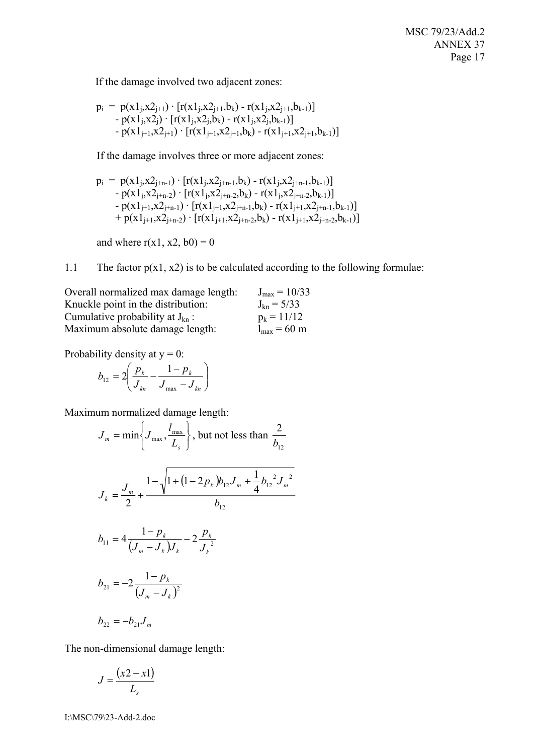If the damage involved two adjacent zones:

$$
p_{i} = p(x1_{j}, x2_{j+1}) \cdot [r(x1_{j}, x2_{j+1}, b_{k}) - r(x1_{j}, x2_{j+1}, b_{k-1})] - p(x1_{j}, x2_{j}) \cdot [r(x1_{j}, x2_{j}, b_{k}) - r(x1_{j}, x2_{j}, b_{k-1})] - p(x1_{j+1}, x2_{j+1}) \cdot [r(x1_{j+1}, x2_{j+1}, b_{k}) - r(x1_{j+1}, x2_{j+1}, b_{k-1})]
$$

If the damage involves three or more adjacent zones:

$$
p_i = p(x1_j,x2_{j+n-1}) \cdot [r(x1_j,x2_{j+n-1},b_k) - r(x1_j,x2_{j+n-1},b_{k-1})] - p(x1_j,x2_{j+n-2}) \cdot [r(x1_j,x2_{j+n-2},b_k) - r(x1_j,x2_{j+n-2},b_{k-1})] - p(x1_{j+1},x2_{j+n-1}) \cdot [r(x1_{j+1},x2_{j+n-1},b_k) - r(x1_{j+1},x2_{j+n-1},b_{k-1})] + p(x1_{j+1},x2_{j+n-2}) \cdot [r(x1_{j+1},x2_{j+n-2},b_k) - r(x1_{j+1},x2_{j+n-2},b_{k-1})]
$$

and where  $r(x1, x2, b0) = 0$ 

## 1.1 The factor  $p(x1, x2)$  is to be calculated according to the following formulae:

| Overall normalized max damage length: | $J_{\text{max}} = 10/33$ |
|---------------------------------------|--------------------------|
| Knuckle point in the distribution:    | $J_{\rm kn} = 5/33$      |
| Cumulative probability at $J_{kn}$ :  | $p_k = 11/12$            |
| Maximum absolute damage length:       | $l_{\text{max}} = 60$ m  |

Probability density at  $y = 0$ :

$$
b_{12} = 2\left(\frac{p_k}{J_{kn}} - \frac{1 - p_k}{J_{max} - J_{kn}}\right)
$$

Maximum normalized damage length:

$$
J_m = \min\left\{J_{\text{max}}, \frac{l_{\text{max}}}{L_s}\right\}, \text{ but not less than } \frac{2}{b_{12}}
$$
  

$$
J_k = \frac{J_m}{2} + \frac{1 - \sqrt{1 + (1 - 2p_k)b_{12}J_m + \frac{1}{4}b_{12}^2J_m^2}}{b_{12}}
$$
  

$$
b_{11} = 4\frac{1 - p_k}{(J_m - J_k)J_k} - 2\frac{p_k}{J_k^2}
$$
  

$$
b_{21} = -2\frac{1 - p_k}{(J_m - J_k)^2}
$$
  

$$
b_{22} = -b_{21}J_m
$$

The non-dimensional damage length:

$$
J = \frac{(x2 - x1)}{L_s}
$$

I:\MSC\79\23-Add-2.doc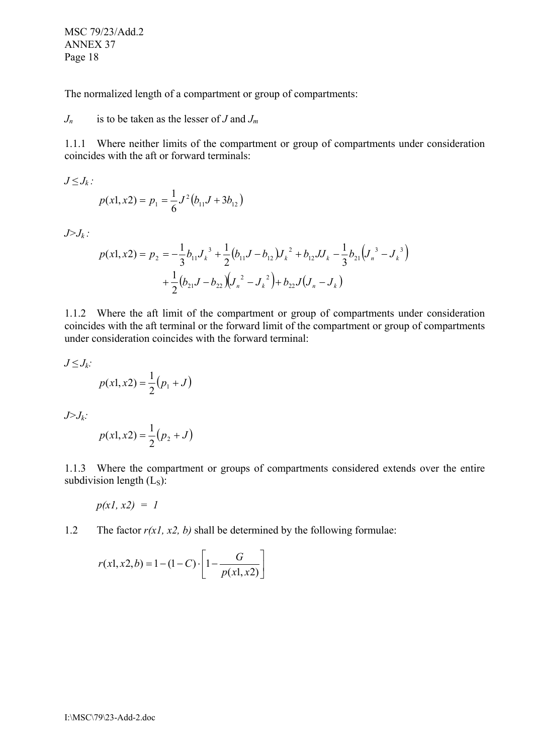MSC 79/23/Add.2 ANNEX 37 Page 18

The normalized length of a compartment or group of compartments:

*Jn* is to be taken as the lesser of *J* and *Jm*

1.1.1 Where neither limits of the compartment or group of compartments under consideration coincides with the aft or forward terminals:

 $J \leq J_k$ :  $_{1} = \frac{1}{6}J^{2}(b_{11}J + 3b_{12})$  $p(x|, x^2) = p_1 = \frac{1}{6}J^2(b_{11}J + 3b)$ 

 $J > J_k$ :

$$
p(x1, x2) = p_2 = -\frac{1}{3}b_{11}J_k^3 + \frac{1}{2}(b_{11}J - b_{12})J_k^2 + b_{12}JJ_k - \frac{1}{3}b_{21}(J_n^3 - J_k^3)
$$
  
+ 
$$
\frac{1}{2}(b_{21}J - b_{22})(J_n^2 - J_k^2) + b_{22}J(J_n - J_k)
$$

1.1.2 Where the aft limit of the compartment or group of compartments under consideration coincides with the aft terminal or the forward limit of the compartment or group of compartments under consideration coincides with the forward terminal:

 $J \leq J_k$ :

$$
p(x1, x2) = \frac{1}{2}(p_1 + J)
$$

 $J > J_k$ :

$$
p(x1, x2) = \frac{1}{2}(p_2 + J)
$$

1.1.3 Where the compartment or groups of compartments considered extends over the entire subdivision length  $(L<sub>S</sub>)$ :

 $p(x_1, x_2) = 1$ 

1.2 The factor  $r(x)$ ,  $x^2$ , b) shall be determined by the following formulae:

$$
r(x1, x2, b) = 1 - (1 - C) \cdot \left[ 1 - \frac{G}{p(x1, x2)} \right]
$$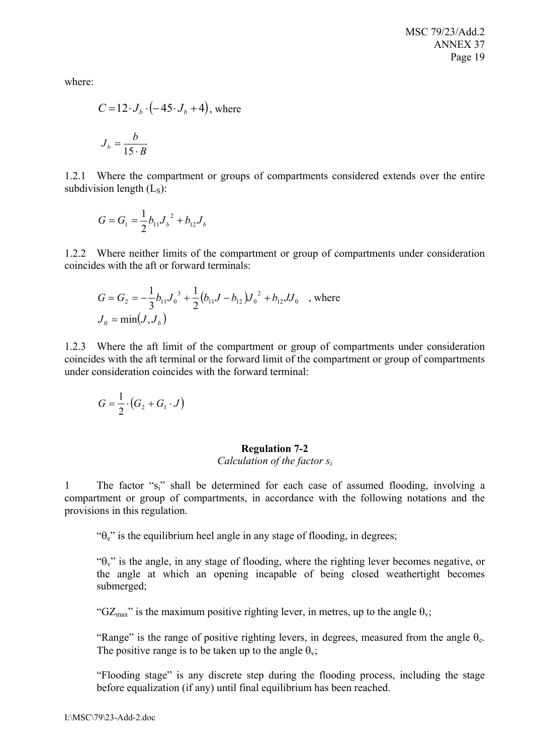where:

$$
C = 12 \cdot J_b \cdot (-45 \cdot J_b + 4), \text{ where}
$$

$$
J_b = \frac{b}{15 \cdot B}
$$

1.2.1 Where the compartment or groups of compartments considered extends over the entire subdivision length  $(L<sub>S</sub>)$ :

$$
G = G_1 = \frac{1}{2} b_{11} J_b^2 + b_{12} J_b
$$

1.2.2 Where neither limits of the compartment or group of compartments under consideration coincides with the aft or forward terminals:

$$
G = G_2 = -\frac{1}{3}b_{11}J_0^3 + \frac{1}{2}(b_{11}J - b_{12})J_0^2 + b_{12}JJ_0
$$
, where  

$$
J_0 = \min(J, J_b)
$$

1.2.3 Where the aft limit of the compartment or group of compartments under consideration coincides with the aft terminal or the forward limit of the compartment or group of compartments under consideration coincides with the forward terminal:

$$
G = \frac{1}{2} \cdot (G_2 + G_1 \cdot J)
$$

#### **Regulation 7-2**

#### *Calculation of the factor si*

1 The factor "s<sub>i</sub>" shall be determined for each case of assumed flooding, involving a compartment or group of compartments, in accordance with the following notations and the provisions in this regulation.

 $\Theta$ <sup>2</sup> is the equilibrium heel angle in any stage of flooding, in degrees;

 $\Theta_v$ <sup>n</sup> is the angle, in any stage of flooding, where the righting lever becomes negative, or the angle at which an opening incapable of being closed weathertight becomes submerged;

" $GZ_{\text{max}}$ " is the maximum positive righting lever, in metres, up to the angle  $\theta_{\text{v}}$ ;

<sup>"</sup>Range" is the range of positive righting levers, in degrees, measured from the angle  $θ_e$ . The positive range is to be taken up to the angle  $\theta_{\rm v}$ ;

ìFlooding stageî is any discrete step during the flooding process, including the stage before equalization (if any) until final equilibrium has been reached.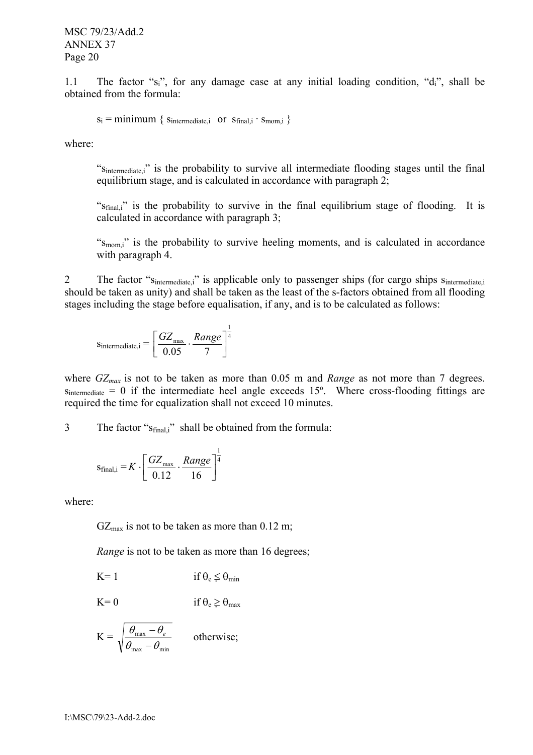MSC 79/23/Add.2 ANNEX 37 Page 20

1.1 The factor " $s_i$ ", for any damage case at any initial loading condition, " $d_i$ ", shall be obtained from the formula:

$$
s_i = minimum
$$
 {  $s_{intermediate,i}$  or  $s_{final,i} \cdot s_{mom,i}$  }

where:

"Sintermediate,i" is the probability to survive all intermediate flooding stages until the final equilibrium stage, and is calculated in accordance with paragraph 2;

"Sfinal," is the probability to survive in the final equilibrium stage of flooding. It is calculated in accordance with paragraph 3;

 $s_{\text{mom}}$  is the probability to survive heeling moments, and is calculated in accordance with paragraph 4.

2 The factor " $S<sub>intermediate</sub>$ " is applicable only to passenger ships (for cargo ships  $S<sub>intermediate</sub>$ ) should be taken as unity) and shall be taken as the least of the s-factors obtained from all flooding stages including the stage before equalisation, if any, and is to be calculated as follows:

$$
s_{intermediate,i} = \left[\frac{GZ_{max}}{0.05} \cdot \frac{Range}{7}\right]^{\frac{1}{4}}
$$

where  $GZ_{max}$  is not to be taken as more than 0.05 m and *Range* as not more than 7 degrees.  $s<sub>intermediate</sub> = 0$  if the intermediate heel angle exceeds 15°. Where cross-flooding fittings are required the time for equalization shall not exceed 10 minutes.

3 The factor " $s_{final,i}$ " shall be obtained from the formula:

$$
s_{\text{final},i} = K \cdot \left[ \frac{GZ_{\text{max}}}{0.12} \cdot \frac{Range}{16} \right]^{\frac{1}{4}}
$$

where:

 $GZ_{\text{max}}$  is not to be taken as more than 0.12 m;

*Range* is not to be taken as more than 16 degrees;

 $K=1$  if  $\theta_e \leq \theta_{\min}$ 

 $K=0$  if  $\theta_e \ge \theta_{\text{max}}$ 

$$
K = \sqrt{\frac{\theta_{\text{max}} - \theta_e}{\theta_{\text{max}} - \theta_{\text{min}}}}
$$
 otherwise;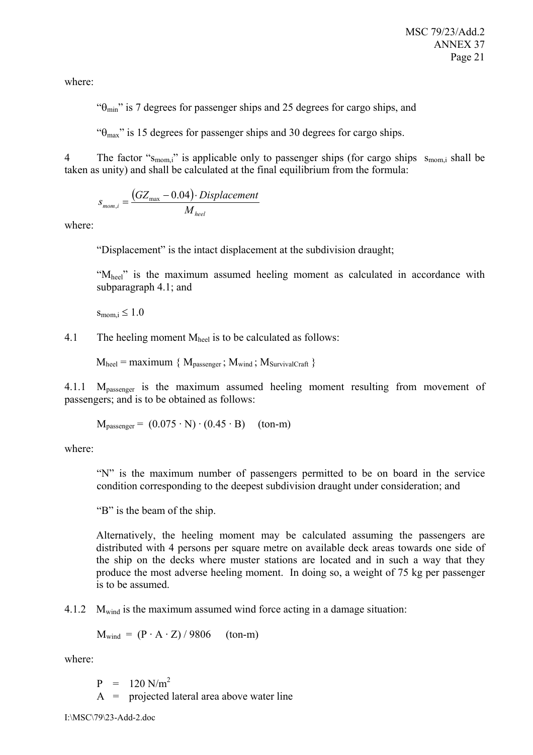where:

 $\Theta_{\text{min}}$  is 7 degrees for passenger ships and 25 degrees for cargo ships, and

 $\Theta_{\text{max}}$ " is 15 degrees for passenger ships and 30 degrees for cargo ships.

4 The factor " $s_{\text{mom,i}}$ " is applicable only to passenger ships (for cargo ships  $s_{\text{mom,i}}$  shall be taken as unity) and shall be calculated at the final equilibrium from the formula:

$$
S_{mom,i} = \frac{(GZ_{\text{max}} - 0.04) \cdot Displacement}{M_{\text{heel}}}
$$

where:

"Displacement" is the intact displacement at the subdivision draught;

 $M_{\text{heel}}$ " is the maximum assumed heeling moment as calculated in accordance with subparagraph 4.1; and

 $s_{\text{mom.i}} \leq 1.0$ 

4.1 The heeling moment  $M_{\text{heel}}$  is to be calculated as follows:

 $M_{\text{heel}} = \text{maximum } \{ M_{\text{passenger}}; M_{\text{wind}}; M_{\text{SurvivalCraff}} \}$ 

4.1.1 Mpassenger is the maximum assumed heeling moment resulting from movement of passengers; and is to be obtained as follows:

 $M_{\text{passenger}} = (0.075 \cdot N) \cdot (0.45 \cdot B)$  (ton-m)

where:

ìNî is the maximum number of passengers permitted to be on board in the service condition corresponding to the deepest subdivision draught under consideration; and

"B" is the beam of the ship.

Alternatively, the heeling moment may be calculated assuming the passengers are distributed with 4 persons per square metre on available deck areas towards one side of the ship on the decks where muster stations are located and in such a way that they produce the most adverse heeling moment. In doing so, a weight of 75 kg per passenger is to be assumed.

4.1.2 Mwind is the maximum assumed wind force acting in a damage situation:

$$
M_{wind} = (P \cdot A \cdot Z) / 9806 \quad (ton-m)
$$

where:

 $P = 120 \text{ N/m}^2$  $A = projected lateral area above water line$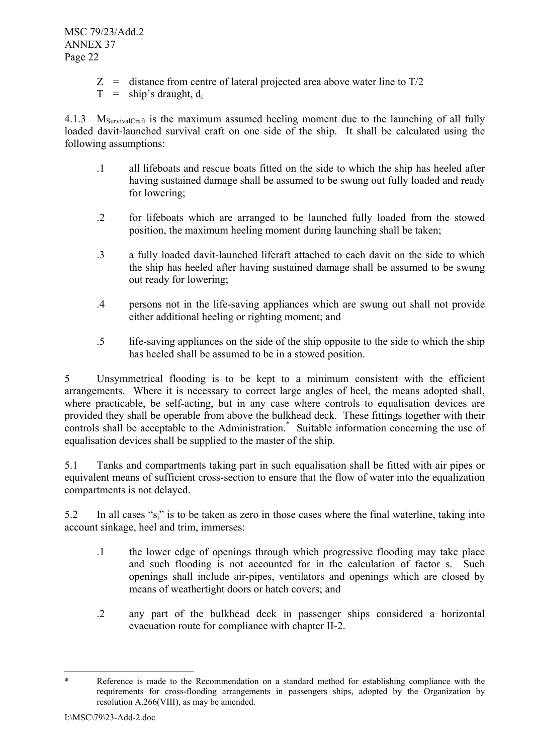- $Z =$  distance from centre of lateral projected area above water line to  $T/2$
- $T =$ ship's draught, d<sub>i</sub>

4.1.3 M<sub>SurvivalCraft</sub> is the maximum assumed heeling moment due to the launching of all fully loaded davit-launched survival craft on one side of the ship. It shall be calculated using the following assumptions:

- .1 all lifeboats and rescue boats fitted on the side to which the ship has heeled after having sustained damage shall be assumed to be swung out fully loaded and ready for lowering;
- .2 for lifeboats which are arranged to be launched fully loaded from the stowed position, the maximum heeling moment during launching shall be taken;
- .3 a fully loaded davit-launched liferaft attached to each davit on the side to which the ship has heeled after having sustained damage shall be assumed to be swung out ready for lowering;
- .4 persons not in the life-saving appliances which are swung out shall not provide either additional heeling or righting moment; and
- .5 life-saving appliances on the side of the ship opposite to the side to which the ship has heeled shall be assumed to be in a stowed position.

5 Unsymmetrical flooding is to be kept to a minimum consistent with the efficient arrangements. Where it is necessary to correct large angles of heel, the means adopted shall, where practicable, be self-acting, but in any case where controls to equalisation devices are provided they shall be operable from above the bulkhead deck. These fittings together with their controls shall be acceptable to the Administration.<sup>\*</sup> Suitable information concerning the use of equalisation devices shall be supplied to the master of the ship.

5.1 Tanks and compartments taking part in such equalisation shall be fitted with air pipes or equivalent means of sufficient cross-section to ensure that the flow of water into the equalization compartments is not delayed.

 $5.2$  In all cases "s<sub>i</sub>" is to be taken as zero in those cases where the final waterline, taking into account sinkage, heel and trim, immerses:

- .1 the lower edge of openings through which progressive flooding may take place and such flooding is not accounted for in the calculation of factor s. Such openings shall include air-pipes, ventilators and openings which are closed by means of weathertight doors or hatch covers; and
- .2 any part of the bulkhead deck in passenger ships considered a horizontal evacuation route for compliance with chapter II-2.

 $\overline{a}$ Reference is made to the Recommendation on a standard method for establishing compliance with the requirements for cross-flooding arrangements in passengers ships, adopted by the Organization by resolution A.266(VIII), as may be amended.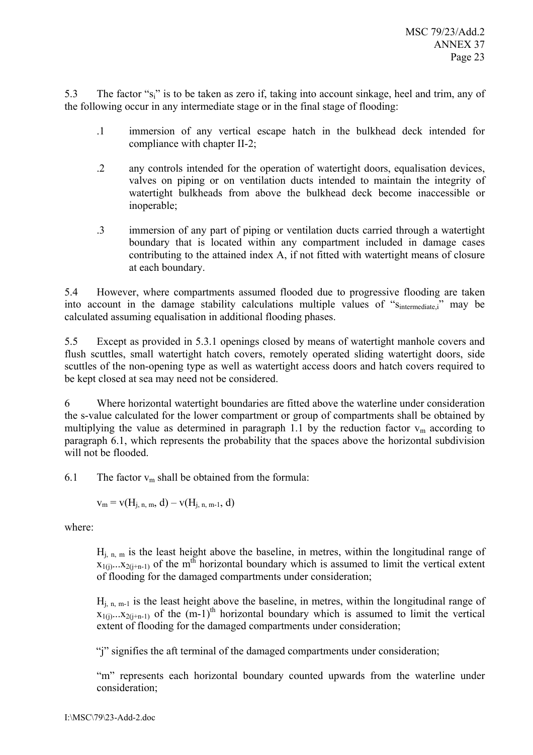5.3 The factor " $s_i$ " is to be taken as zero if, taking into account sinkage, heel and trim, any of the following occur in any intermediate stage or in the final stage of flooding:

- .1 immersion of any vertical escape hatch in the bulkhead deck intended for compliance with chapter II-2;
- .2 any controls intended for the operation of watertight doors, equalisation devices, valves on piping or on ventilation ducts intended to maintain the integrity of watertight bulkheads from above the bulkhead deck become inaccessible or inoperable;
- .3 immersion of any part of piping or ventilation ducts carried through a watertight boundary that is located within any compartment included in damage cases contributing to the attained index A, if not fitted with watertight means of closure at each boundary.

5.4 However, where compartments assumed flooded due to progressive flooding are taken into account in the damage stability calculations multiple values of " $S<sub>intermediate</sub>$ " may be calculated assuming equalisation in additional flooding phases.

5.5 Except as provided in 5.3.1 openings closed by means of watertight manhole covers and flush scuttles, small watertight hatch covers, remotely operated sliding watertight doors, side scuttles of the non-opening type as well as watertight access doors and hatch covers required to be kept closed at sea may need not be considered.

6 Where horizontal watertight boundaries are fitted above the waterline under consideration the s-value calculated for the lower compartment or group of compartments shall be obtained by multiplying the value as determined in paragraph 1.1 by the reduction factor  $v_m$  according to paragraph 6.1, which represents the probability that the spaces above the horizontal subdivision will not be flooded.

6.1 The factor  $v_m$  shall be obtained from the formula:

$$
v_m = v(H_{j, n, m}, d) - v(H_{j, n, m-1}, d)
$$

where:

H<sub>j, n, m</sub> is the least height above the baseline, in metres, within the longitudinal range of  $x_{1(i)\dots x_{2(i+n-1)}}$  of the m<sup>th</sup> horizontal boundary which is assumed to limit the vertical extent of flooding for the damaged compartments under consideration;

 $H_{i, n, m-1}$  is the least height above the baseline, in metres, within the longitudinal range of  $x_{1(i)}...x_{2(i+n-1)}$  of the  $(m-1)^{th}$  horizontal boundary which is assumed to limit the vertical extent of flooding for the damaged compartments under consideration;

ìjî signifies the aft terminal of the damaged compartments under consideration;

ìmî represents each horizontal boundary counted upwards from the waterline under consideration;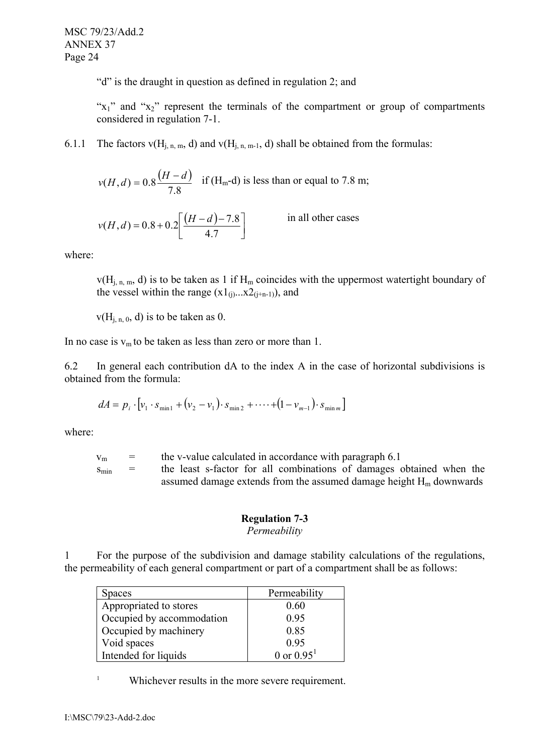$d$ <sup>3</sup> is the draught in question as defined in regulation 2; and

" $x_1$ " and " $x_2$ " represent the terminals of the compartment or group of compartments considered in regulation 7-1.

6.1.1 The factors  $v(H_{i, n, m}, d)$  and  $v(H_{i, n, m-1}, d)$  shall be obtained from the formulas:

$$
v(H, d) = 0.8 \frac{(H - d)}{7.8}
$$
 if (H<sub>m</sub>-d) is less than or equal to 7.8 m;  
 $v(H, d) = 0.8 + 0.2 \frac{(H - d) - 7.8}{4.7}$  in all other cases

where:

 $v(H_{i,n,m}, d)$  is to be taken as 1 if  $H_m$  coincides with the uppermost watertight boundary of the vessel within the range  $(x1_{(i)}...x2_{(i+n-1)})$ , and

 $v(H_{i,n,0}, d)$  is to be taken as 0.

In no case is  $v<sub>m</sub>$  to be taken as less than zero or more than 1.

6.2 In general each contribution dA to the index A in the case of horizontal subdivisions is obtained from the formula:

$$
dA = p_i \cdot [v_1 \cdot s_{\min 1} + (v_2 - v_1) \cdot s_{\min 2} + \cdots + (1 - v_{m-1}) \cdot s_{\min m}]
$$

where:

$$
v_m
$$
 = the v-value calculated in accordance with paragraph 6.1  
\n $s_{min}$  = the least s-factor for all combinations of damages obtained when the

assumed damage extends from the assumed damage height  $H_m$  downwards

#### **Regulation 7-3**  *Permeability*

1 For the purpose of the subdivision and damage stability calculations of the regulations, the permeability of each general compartment or part of a compartment shall be as follows:

| <b>Spaces</b>             | Permeability  |
|---------------------------|---------------|
| Appropriated to stores    | 0.60          |
| Occupied by accommodation | 0.95          |
| Occupied by machinery     | 0.85          |
| Void spaces               | 0.95          |
| Intended for liquids      | 0 or $0.95^1$ |

<sup>1</sup> Whichever results in the more severe requirement.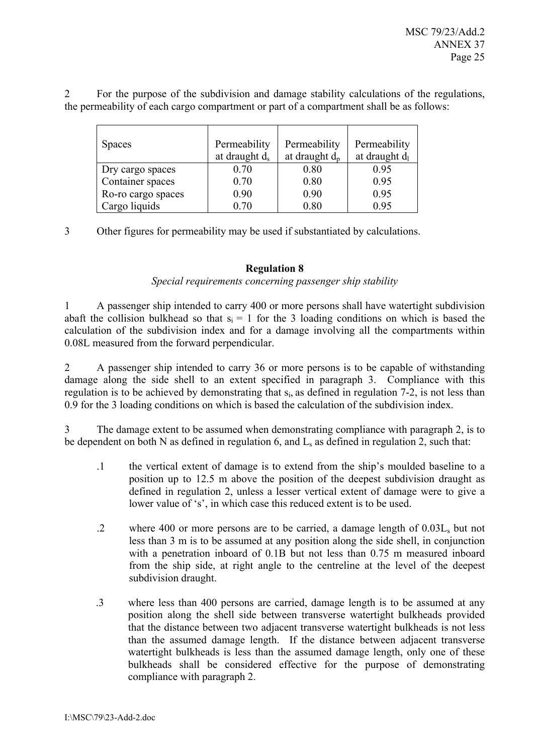| <b>Spaces</b>      | Permeability<br>at draught $d_s$ | Permeability<br>at draught $d_p$ | Permeability<br>at draught d <sub>1</sub> |
|--------------------|----------------------------------|----------------------------------|-------------------------------------------|
| Dry cargo spaces   | 0.70                             | 0.80                             | 0.95                                      |
| Container spaces   | 0.70                             | 0.80                             | 0.95                                      |
| Ro-ro cargo spaces | 0.90                             | 0.90                             | 0.95                                      |
| Cargo liquids      | 0.70                             | 0.80                             | 0.95                                      |

2 For the purpose of the subdivision and damage stability calculations of the regulations, the permeability of each cargo compartment or part of a compartment shall be as follows:

3 Other figures for permeability may be used if substantiated by calculations.

#### **Regulation 8**

*Special requirements concerning passenger ship stability* 

1 A passenger ship intended to carry 400 or more persons shall have watertight subdivision abaft the collision bulkhead so that  $s_i = 1$  for the 3 loading conditions on which is based the calculation of the subdivision index and for a damage involving all the compartments within 0.08L measured from the forward perpendicular.

2 A passenger ship intended to carry 36 or more persons is to be capable of withstanding damage along the side shell to an extent specified in paragraph 3. Compliance with this regulation is to be achieved by demonstrating that si, as defined in regulation 7-2, is not less than 0.9 for the 3 loading conditions on which is based the calculation of the subdivision index.

3 The damage extent to be assumed when demonstrating compliance with paragraph 2, is to be dependent on both N as defined in regulation 6, and  $L_s$  as defined in regulation 2, such that:

- $1$  the vertical extent of damage is to extend from the ship's moulded baseline to a position up to 12.5 m above the position of the deepest subdivision draught as defined in regulation 2, unless a lesser vertical extent of damage were to give a lower value of 's', in which case this reduced extent is to be used.
- .2 where 400 or more persons are to be carried, a damage length of 0.03Ls but not less than 3 m is to be assumed at any position along the side shell, in conjunction with a penetration inboard of 0.1B but not less than 0.75 m measured inboard from the ship side, at right angle to the centreline at the level of the deepest subdivision draught.
- .3 where less than 400 persons are carried, damage length is to be assumed at any position along the shell side between transverse watertight bulkheads provided that the distance between two adjacent transverse watertight bulkheads is not less than the assumed damage length. If the distance between adjacent transverse watertight bulkheads is less than the assumed damage length, only one of these bulkheads shall be considered effective for the purpose of demonstrating compliance with paragraph 2.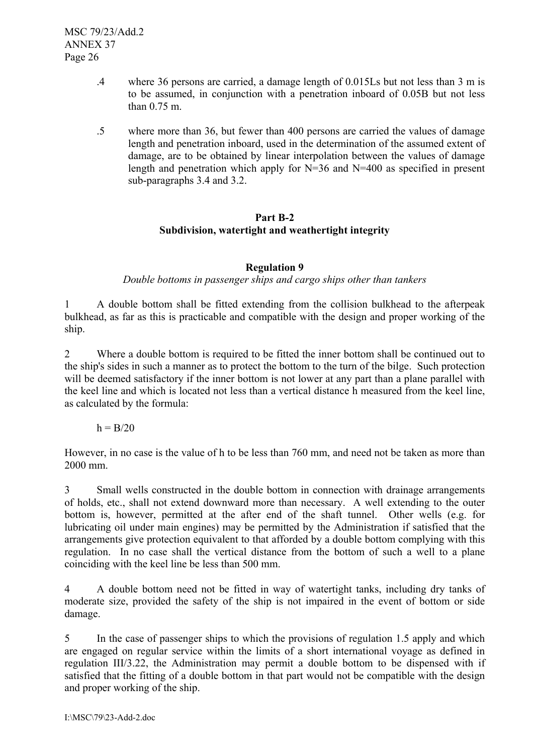- .4 where 36 persons are carried, a damage length of 0.015Ls but not less than 3 m is to be assumed, in conjunction with a penetration inboard of 0.05B but not less than 0.75 m.
- .5 where more than 36, but fewer than 400 persons are carried the values of damage length and penetration inboard, used in the determination of the assumed extent of damage, are to be obtained by linear interpolation between the values of damage length and penetration which apply for N=36 and N=400 as specified in present sub-paragraphs 3.4 and 3.2.

## **Part B-2 Subdivision, watertight and weathertight integrity**

## **Regulation 9**

#### *Double bottoms in passenger ships and cargo ships other than tankers*

1 A double bottom shall be fitted extending from the collision bulkhead to the afterpeak bulkhead, as far as this is practicable and compatible with the design and proper working of the ship.

2 Where a double bottom is required to be fitted the inner bottom shall be continued out to the ship's sides in such a manner as to protect the bottom to the turn of the bilge. Such protection will be deemed satisfactory if the inner bottom is not lower at any part than a plane parallel with the keel line and which is located not less than a vertical distance h measured from the keel line, as calculated by the formula:

#### $h = B/20$

However, in no case is the value of h to be less than 760 mm, and need not be taken as more than 2000 mm.

3 Small wells constructed in the double bottom in connection with drainage arrangements of holds, etc., shall not extend downward more than necessary. A well extending to the outer bottom is, however, permitted at the after end of the shaft tunnel. Other wells (e.g. for lubricating oil under main engines) may be permitted by the Administration if satisfied that the arrangements give protection equivalent to that afforded by a double bottom complying with this regulation. In no case shall the vertical distance from the bottom of such a well to a plane coinciding with the keel line be less than 500 mm.

4 A double bottom need not be fitted in way of watertight tanks, including dry tanks of moderate size, provided the safety of the ship is not impaired in the event of bottom or side damage.

5 In the case of passenger ships to which the provisions of regulation 1.5 apply and which are engaged on regular service within the limits of a short international voyage as defined in regulation III/3.22, the Administration may permit a double bottom to be dispensed with if satisfied that the fitting of a double bottom in that part would not be compatible with the design and proper working of the ship.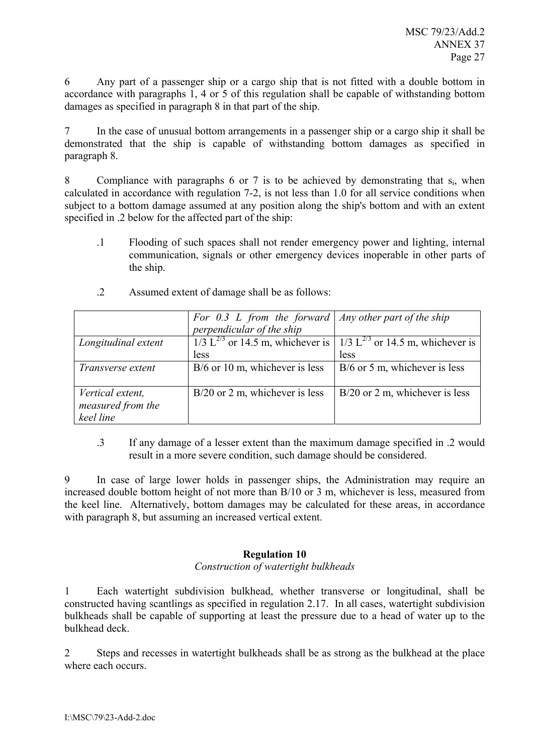6 Any part of a passenger ship or a cargo ship that is not fitted with a double bottom in accordance with paragraphs 1, 4 or 5 of this regulation shall be capable of withstanding bottom damages as specified in paragraph 8 in that part of the ship.

7 In the case of unusual bottom arrangements in a passenger ship or a cargo ship it shall be demonstrated that the ship is capable of withstanding bottom damages as specified in paragraph 8.

8 Compliance with paragraphs 6 or 7 is to be achieved by demonstrating that  $s_i$ , when calculated in accordance with regulation 7-2, is not less than 1.0 for all service conditions when subject to a bottom damage assumed at any position along the ship's bottom and with an extent specified in .2 below for the affected part of the ship:

 .1 Flooding of such spaces shall not render emergency power and lighting, internal communication, signals or other emergency devices inoperable in other parts of the ship.

|                     | For 0.3 L from the forward $\vert$ Any other part of the ship<br>perpendicular of the ship  |                                  |
|---------------------|---------------------------------------------------------------------------------------------|----------------------------------|
|                     |                                                                                             |                                  |
| Longitudinal extent | $1/3$ L <sup>2/3</sup> or 14.5 m, whichever is 1/3 L <sup>2/3</sup> or 14.5 m, whichever is |                                  |
|                     | less                                                                                        | less                             |
| Transverse extent   | B/6 or 10 m, whichever is less                                                              | B/6 or 5 m, whichever is less    |
| Vertical extent,    | $B/20$ or 2 m, whichever is less                                                            | $B/20$ or 2 m, whichever is less |
| measured from the   |                                                                                             |                                  |
| keel line           |                                                                                             |                                  |

.2 Assumed extent of damage shall be as follows:

.3 If any damage of a lesser extent than the maximum damage specified in .2 would result in a more severe condition, such damage should be considered.

9 In case of large lower holds in passenger ships, the Administration may require an increased double bottom height of not more than B/10 or 3 m, whichever is less, measured from the keel line. Alternatively, bottom damages may be calculated for these areas, in accordance with paragraph 8, but assuming an increased vertical extent.

#### **Regulation 10**

*Construction of watertight bulkheads* 

1 Each watertight subdivision bulkhead, whether transverse or longitudinal, shall be constructed having scantlings as specified in regulation 2.17. In all cases, watertight subdivision bulkheads shall be capable of supporting at least the pressure due to a head of water up to the bulkhead deck.

2 Steps and recesses in watertight bulkheads shall be as strong as the bulkhead at the place where each occurs.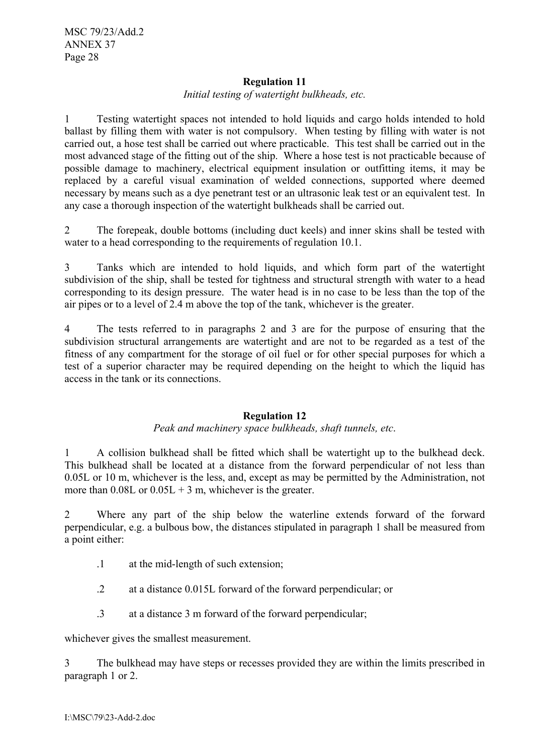#### **Regulation 11**

*Initial testing of watertight bulkheads, etc.*

1 Testing watertight spaces not intended to hold liquids and cargo holds intended to hold ballast by filling them with water is not compulsory. When testing by filling with water is not carried out, a hose test shall be carried out where practicable. This test shall be carried out in the most advanced stage of the fitting out of the ship. Where a hose test is not practicable because of possible damage to machinery, electrical equipment insulation or outfitting items, it may be replaced by a careful visual examination of welded connections, supported where deemed necessary by means such as a dye penetrant test or an ultrasonic leak test or an equivalent test. In any case a thorough inspection of the watertight bulkheads shall be carried out.

2 The forepeak, double bottoms (including duct keels) and inner skins shall be tested with water to a head corresponding to the requirements of regulation 10.1.

3 Tanks which are intended to hold liquids, and which form part of the watertight subdivision of the ship, shall be tested for tightness and structural strength with water to a head corresponding to its design pressure. The water head is in no case to be less than the top of the air pipes or to a level of 2.4 m above the top of the tank, whichever is the greater.

4 The tests referred to in paragraphs 2 and 3 are for the purpose of ensuring that the subdivision structural arrangements are watertight and are not to be regarded as a test of the fitness of any compartment for the storage of oil fuel or for other special purposes for which a test of a superior character may be required depending on the height to which the liquid has access in the tank or its connections.

#### **Regulation 12**

#### *Peak and machinery space bulkheads, shaft tunnels, etc*.

1 A collision bulkhead shall be fitted which shall be watertight up to the bulkhead deck. This bulkhead shall be located at a distance from the forward perpendicular of not less than 0.05L or 10 m, whichever is the less, and, except as may be permitted by the Administration, not more than  $0.08L$  or  $0.05L + 3$  m, whichever is the greater.

2 Where any part of the ship below the waterline extends forward of the forward perpendicular, e.g. a bulbous bow, the distances stipulated in paragraph 1 shall be measured from a point either:

- .1 at the mid-length of such extension;
- .2 at a distance 0.015L forward of the forward perpendicular; or
- .3 at a distance 3 m forward of the forward perpendicular;

whichever gives the smallest measurement.

3 The bulkhead may have steps or recesses provided they are within the limits prescribed in paragraph 1 or 2.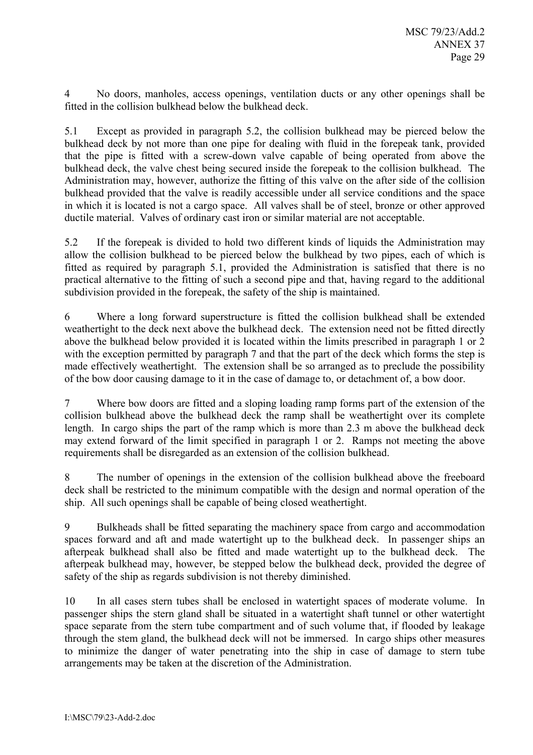4 No doors, manholes, access openings, ventilation ducts or any other openings shall be fitted in the collision bulkhead below the bulkhead deck.

5.1 Except as provided in paragraph 5.2, the collision bulkhead may be pierced below the bulkhead deck by not more than one pipe for dealing with fluid in the forepeak tank, provided that the pipe is fitted with a screw-down valve capable of being operated from above the bulkhead deck, the valve chest being secured inside the forepeak to the collision bulkhead. The Administration may, however, authorize the fitting of this valve on the after side of the collision bulkhead provided that the valve is readily accessible under all service conditions and the space in which it is located is not a cargo space. All valves shall be of steel, bronze or other approved ductile material. Valves of ordinary cast iron or similar material are not acceptable.

5.2 If the forepeak is divided to hold two different kinds of liquids the Administration may allow the collision bulkhead to be pierced below the bulkhead by two pipes, each of which is fitted as required by paragraph 5.1, provided the Administration is satisfied that there is no practical alternative to the fitting of such a second pipe and that, having regard to the additional subdivision provided in the forepeak, the safety of the ship is maintained.

6 Where a long forward superstructure is fitted the collision bulkhead shall be extended weathertight to the deck next above the bulkhead deck. The extension need not be fitted directly above the bulkhead below provided it is located within the limits prescribed in paragraph 1 or 2 with the exception permitted by paragraph 7 and that the part of the deck which forms the step is made effectively weathertight. The extension shall be so arranged as to preclude the possibility of the bow door causing damage to it in the case of damage to, or detachment of, a bow door.

7 Where bow doors are fitted and a sloping loading ramp forms part of the extension of the collision bulkhead above the bulkhead deck the ramp shall be weathertight over its complete length. In cargo ships the part of the ramp which is more than 2.3 m above the bulkhead deck may extend forward of the limit specified in paragraph 1 or 2. Ramps not meeting the above requirements shall be disregarded as an extension of the collision bulkhead.

8 The number of openings in the extension of the collision bulkhead above the freeboard deck shall be restricted to the minimum compatible with the design and normal operation of the ship. All such openings shall be capable of being closed weathertight.

9 Bulkheads shall be fitted separating the machinery space from cargo and accommodation spaces forward and aft and made watertight up to the bulkhead deck. In passenger ships an afterpeak bulkhead shall also be fitted and made watertight up to the bulkhead deck. The afterpeak bulkhead may, however, be stepped below the bulkhead deck, provided the degree of safety of the ship as regards subdivision is not thereby diminished.

10 In all cases stern tubes shall be enclosed in watertight spaces of moderate volume. In passenger ships the stern gland shall be situated in a watertight shaft tunnel or other watertight space separate from the stern tube compartment and of such volume that, if flooded by leakage through the stem gland, the bulkhead deck will not be immersed. In cargo ships other measures to minimize the danger of water penetrating into the ship in case of damage to stern tube arrangements may be taken at the discretion of the Administration.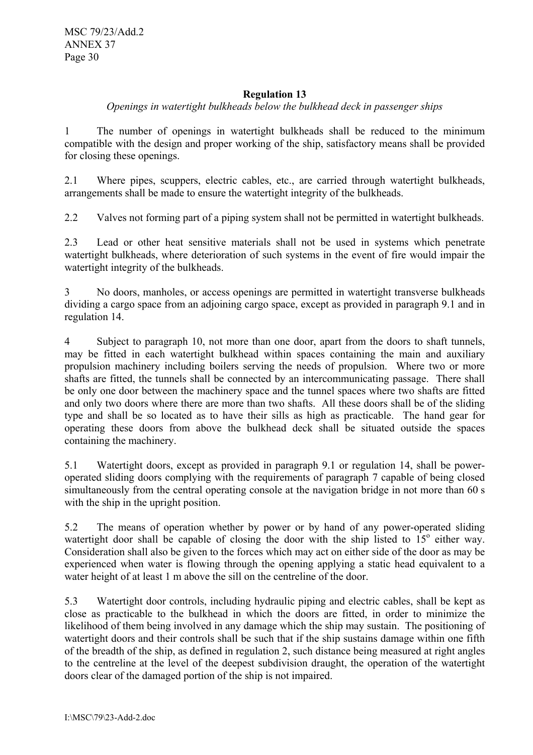## **Regulation 13**

*Openings in watertight bulkheads below the bulkhead deck in passenger ships*

1 The number of openings in watertight bulkheads shall be reduced to the minimum compatible with the design and proper working of the ship, satisfactory means shall be provided for closing these openings.

2.1 Where pipes, scuppers, electric cables, etc., are carried through watertight bulkheads, arrangements shall be made to ensure the watertight integrity of the bulkheads.

2.2 Valves not forming part of a piping system shall not be permitted in watertight bulkheads.

2.3 Lead or other heat sensitive materials shall not be used in systems which penetrate watertight bulkheads, where deterioration of such systems in the event of fire would impair the watertight integrity of the bulkheads.

3 No doors, manholes, or access openings are permitted in watertight transverse bulkheads dividing a cargo space from an adjoining cargo space, except as provided in paragraph 9.1 and in regulation 14.

4 Subject to paragraph 10, not more than one door, apart from the doors to shaft tunnels, may be fitted in each watertight bulkhead within spaces containing the main and auxiliary propulsion machinery including boilers serving the needs of propulsion. Where two or more shafts are fitted, the tunnels shall be connected by an intercommunicating passage. There shall be only one door between the machinery space and the tunnel spaces where two shafts are fitted and only two doors where there are more than two shafts. All these doors shall be of the sliding type and shall be so located as to have their sills as high as practicable. The hand gear for operating these doors from above the bulkhead deck shall be situated outside the spaces containing the machinery.

5.1 Watertight doors, except as provided in paragraph 9.1 or regulation 14, shall be poweroperated sliding doors complying with the requirements of paragraph 7 capable of being closed simultaneously from the central operating console at the navigation bridge in not more than 60 s with the ship in the upright position.

5.2 The means of operation whether by power or by hand of any power-operated sliding watertight door shall be capable of closing the door with the ship listed to  $15^{\circ}$  either way. Consideration shall also be given to the forces which may act on either side of the door as may be experienced when water is flowing through the opening applying a static head equivalent to a water height of at least 1 m above the sill on the centreline of the door.

5.3 Watertight door controls, including hydraulic piping and electric cables, shall be kept as close as practicable to the bulkhead in which the doors are fitted, in order to minimize the likelihood of them being involved in any damage which the ship may sustain. The positioning of watertight doors and their controls shall be such that if the ship sustains damage within one fifth of the breadth of the ship, as defined in regulation 2, such distance being measured at right angles to the centreline at the level of the deepest subdivision draught, the operation of the watertight doors clear of the damaged portion of the ship is not impaired.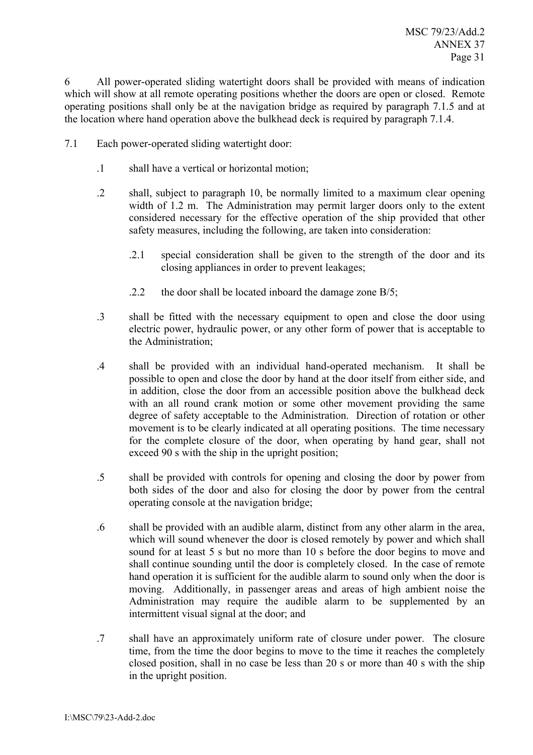6 All power-operated sliding watertight doors shall be provided with means of indication which will show at all remote operating positions whether the doors are open or closed. Remote operating positions shall only be at the navigation bridge as required by paragraph 7.1.5 and at the location where hand operation above the bulkhead deck is required by paragraph 7.1.4.

- 7.1 Each power-operated sliding watertight door:
	- .1 shall have a vertical or horizontal motion;
	- .2 shall, subject to paragraph 10, be normally limited to a maximum clear opening width of 1.2 m. The Administration may permit larger doors only to the extent considered necessary for the effective operation of the ship provided that other safety measures, including the following, are taken into consideration:
		- .2.1 special consideration shall be given to the strength of the door and its closing appliances in order to prevent leakages;
		- .2.2 the door shall be located inboard the damage zone B/5;
	- .3 shall be fitted with the necessary equipment to open and close the door using electric power, hydraulic power, or any other form of power that is acceptable to the Administration;
	- .4 shall be provided with an individual hand-operated mechanism. It shall be possible to open and close the door by hand at the door itself from either side, and in addition, close the door from an accessible position above the bulkhead deck with an all round crank motion or some other movement providing the same degree of safety acceptable to the Administration. Direction of rotation or other movement is to be clearly indicated at all operating positions. The time necessary for the complete closure of the door, when operating by hand gear, shall not exceed 90 s with the ship in the upright position;
	- .5 shall be provided with controls for opening and closing the door by power from both sides of the door and also for closing the door by power from the central operating console at the navigation bridge;
	- .6 shall be provided with an audible alarm, distinct from any other alarm in the area, which will sound whenever the door is closed remotely by power and which shall sound for at least 5 s but no more than 10 s before the door begins to move and shall continue sounding until the door is completely closed. In the case of remote hand operation it is sufficient for the audible alarm to sound only when the door is moving. Additionally, in passenger areas and areas of high ambient noise the Administration may require the audible alarm to be supplemented by an intermittent visual signal at the door; and
	- .7 shall have an approximately uniform rate of closure under power. The closure time, from the time the door begins to move to the time it reaches the completely closed position, shall in no case be less than 20 s or more than 40 s with the ship in the upright position.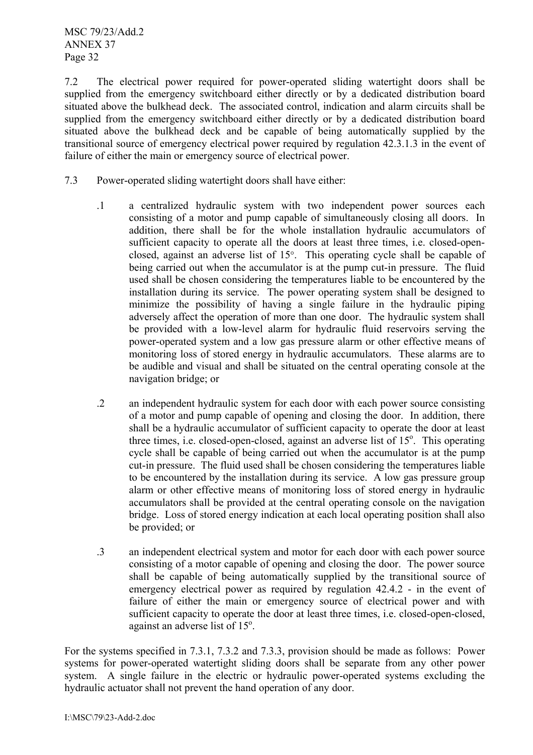MSC 79/23/Add.2 ANNEX 37 Page 32

7.2 The electrical power required for power-operated sliding watertight doors shall be supplied from the emergency switchboard either directly or by a dedicated distribution board situated above the bulkhead deck. The associated control, indication and alarm circuits shall be supplied from the emergency switchboard either directly or by a dedicated distribution board situated above the bulkhead deck and be capable of being automatically supplied by the transitional source of emergency electrical power required by regulation 42.3.1.3 in the event of failure of either the main or emergency source of electrical power.

- 7.3 Power-operated sliding watertight doors shall have either:
	- .1 a centralized hydraulic system with two independent power sources each consisting of a motor and pump capable of simultaneously closing all doors. In addition, there shall be for the whole installation hydraulic accumulators of sufficient capacity to operate all the doors at least three times, i.e. closed-openclosed, against an adverse list of 15°. This operating cycle shall be capable of being carried out when the accumulator is at the pump cut-in pressure. The fluid used shall be chosen considering the temperatures liable to be encountered by the installation during its service. The power operating system shall be designed to minimize the possibility of having a single failure in the hydraulic piping adversely affect the operation of more than one door. The hydraulic system shall be provided with a low-level alarm for hydraulic fluid reservoirs serving the power-operated system and a low gas pressure alarm or other effective means of monitoring loss of stored energy in hydraulic accumulators. These alarms are to be audible and visual and shall be situated on the central operating console at the navigation bridge; or
	- .2 an independent hydraulic system for each door with each power source consisting of a motor and pump capable of opening and closing the door. In addition, there shall be a hydraulic accumulator of sufficient capacity to operate the door at least three times, i.e. closed-open-closed, against an adverse list of 15°. This operating cycle shall be capable of being carried out when the accumulator is at the pump cut-in pressure. The fluid used shall be chosen considering the temperatures liable to be encountered by the installation during its service. A low gas pressure group alarm or other effective means of monitoring loss of stored energy in hydraulic accumulators shall be provided at the central operating console on the navigation bridge. Loss of stored energy indication at each local operating position shall also be provided; or
	- .3 an independent electrical system and motor for each door with each power source consisting of a motor capable of opening and closing the door. The power source shall be capable of being automatically supplied by the transitional source of emergency electrical power as required by regulation 42.4.2 - in the event of failure of either the main or emergency source of electrical power and with sufficient capacity to operate the door at least three times, i.e. closed-open-closed, against an adverse list of 15°.

For the systems specified in 7.3.1, 7.3.2 and 7.3.3, provision should be made as follows: Power systems for power-operated watertight sliding doors shall be separate from any other power system. A single failure in the electric or hydraulic power-operated systems excluding the hydraulic actuator shall not prevent the hand operation of any door.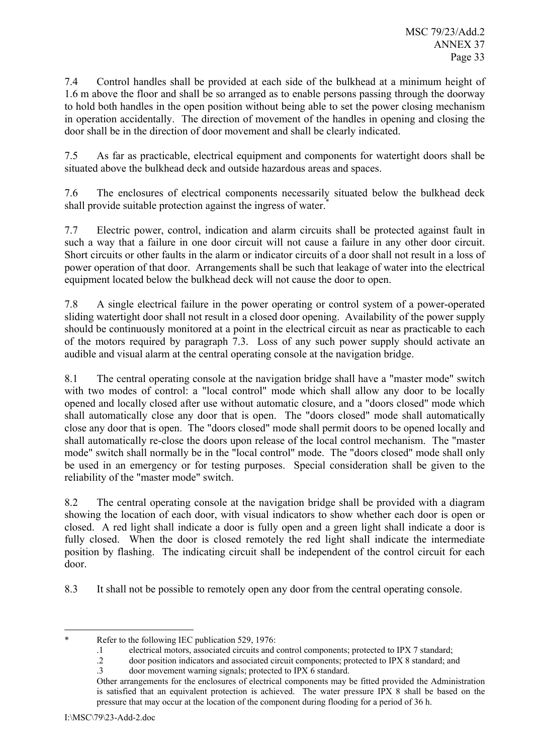7.4 Control handles shall be provided at each side of the bulkhead at a minimum height of 1.6 m above the floor and shall be so arranged as to enable persons passing through the doorway to hold both handles in the open position without being able to set the power closing mechanism in operation accidentally. The direction of movement of the handles in opening and closing the door shall be in the direction of door movement and shall be clearly indicated.

7.5 As far as practicable, electrical equipment and components for watertight doors shall be situated above the bulkhead deck and outside hazardous areas and spaces.

7.6 The enclosures of electrical components necessarily situated below the bulkhead deck shall provide suitable protection against the ingress of water.<sup>\*</sup>

7.7 Electric power, control, indication and alarm circuits shall be protected against fault in such a way that a failure in one door circuit will not cause a failure in any other door circuit. Short circuits or other faults in the alarm or indicator circuits of a door shall not result in a loss of power operation of that door. Arrangements shall be such that leakage of water into the electrical equipment located below the bulkhead deck will not cause the door to open.

7.8 A single electrical failure in the power operating or control system of a power-operated sliding watertight door shall not result in a closed door opening. Availability of the power supply should be continuously monitored at a point in the electrical circuit as near as practicable to each of the motors required by paragraph 7.3. Loss of any such power supply should activate an audible and visual alarm at the central operating console at the navigation bridge.

8.1 The central operating console at the navigation bridge shall have a "master mode" switch with two modes of control: a "local control" mode which shall allow any door to be locally opened and locally closed after use without automatic closure, and a "doors closed" mode which shall automatically close any door that is open. The "doors closed" mode shall automatically close any door that is open. The "doors closed" mode shall permit doors to be opened locally and shall automatically re-close the doors upon release of the local control mechanism. The "master mode" switch shall normally be in the "local control" mode. The "doors closed" mode shall only be used in an emergency or for testing purposes. Special consideration shall be given to the reliability of the "master mode" switch.

8.2 The central operating console at the navigation bridge shall be provided with a diagram showing the location of each door, with visual indicators to show whether each door is open or closed. A red light shall indicate a door is fully open and a green light shall indicate a door is fully closed. When the door is closed remotely the red light shall indicate the intermediate position by flashing. The indicating circuit shall be independent of the control circuit for each door.

8.3 It shall not be possible to remotely open any door from the central operating console.

<sup>\*</sup> Refer to the following IEC publication 529, 1976:

<sup>.1</sup> electrical motors, associated circuits and control components; protected to IPX 7 standard;

<sup>.2</sup> door position indicators and associated circuit components; protected to IPX 8 standard; and

<sup>.3</sup> door movement warning signals; protected to IPX 6 standard.

Other arrangements for the enclosures of electrical components may be fitted provided the Administration is satisfied that an equivalent protection is achieved. The water pressure IPX 8 shall be based on the pressure that may occur at the location of the component during flooding for a period of 36 h.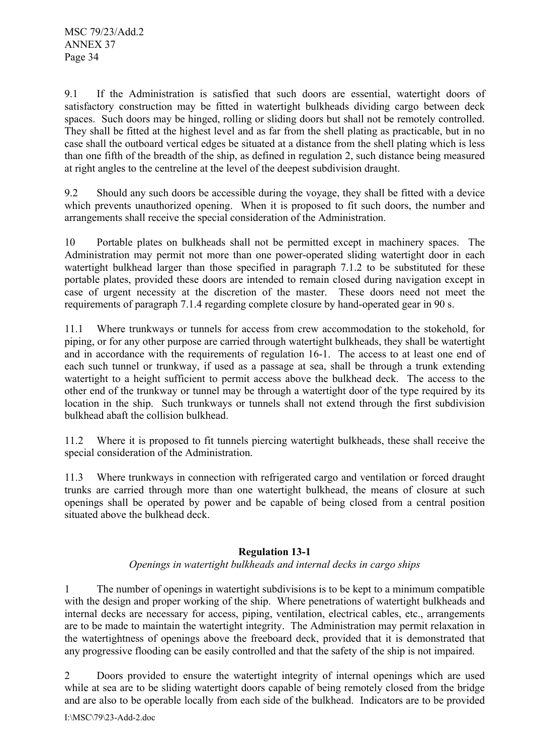9.1 If the Administration is satisfied that such doors are essential, watertight doors of satisfactory construction may be fitted in watertight bulkheads dividing cargo between deck spaces. Such doors may be hinged, rolling or sliding doors but shall not be remotely controlled. They shall be fitted at the highest level and as far from the shell plating as practicable, but in no case shall the outboard vertical edges be situated at a distance from the shell plating which is less than one fifth of the breadth of the ship, as defined in regulation 2, such distance being measured at right angles to the centreline at the level of the deepest subdivision draught.

9.2 Should any such doors be accessible during the voyage, they shall be fitted with a device which prevents unauthorized opening. When it is proposed to fit such doors, the number and arrangements shall receive the special consideration of the Administration.

10 Portable plates on bulkheads shall not be permitted except in machinery spaces. The Administration may permit not more than one power-operated sliding watertight door in each watertight bulkhead larger than those specified in paragraph 7.1.2 to be substituted for these portable plates, provided these doors are intended to remain closed during navigation except in case of urgent necessity at the discretion of the master. These doors need not meet the requirements of paragraph 7.1.4 regarding complete closure by hand-operated gear in 90 s.

11.1 Where trunkways or tunnels for access from crew accommodation to the stokehold, for piping, or for any other purpose are carried through watertight bulkheads, they shall be watertight and in accordance with the requirements of regulation 16-1. The access to at least one end of each such tunnel or trunkway, if used as a passage at sea, shall be through a trunk extending watertight to a height sufficient to permit access above the bulkhead deck. The access to the other end of the trunkway or tunnel may be through a watertight door of the type required by its location in the ship. Such trunkways or tunnels shall not extend through the first subdivision bulkhead abaft the collision bulkhead.

11.2 Where it is proposed to fit tunnels piercing watertight bulkheads, these shall receive the special consideration of the Administration.

11.3 Where trunkways in connection with refrigerated cargo and ventilation or forced draught trunks are carried through more than one watertight bulkhead, the means of closure at such openings shall be operated by power and be capable of being closed from a central position situated above the bulkhead deck.

## **Regulation 13-1**

## *Openings in watertight bulkheads and internal decks in cargo ships*

1 The number of openings in watertight subdivisions is to be kept to a minimum compatible with the design and proper working of the ship. Where penetrations of watertight bulkheads and internal decks are necessary for access, piping, ventilation, electrical cables, etc., arrangements are to be made to maintain the watertight integrity. The Administration may permit relaxation in the watertightness of openings above the freeboard deck, provided that it is demonstrated that any progressive flooding can be easily controlled and that the safety of the ship is not impaired.

2 Doors provided to ensure the watertight integrity of internal openings which are used while at sea are to be sliding watertight doors capable of being remotely closed from the bridge and are also to be operable locally from each side of the bulkhead. Indicators are to be provided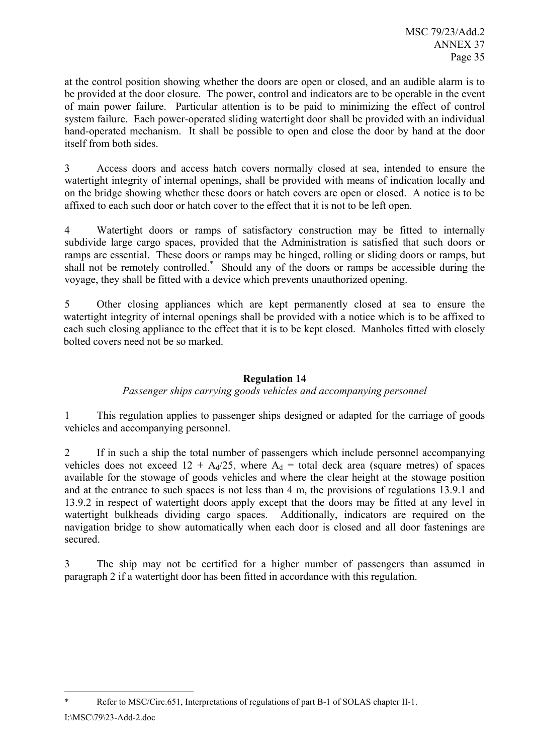at the control position showing whether the doors are open or closed, and an audible alarm is to be provided at the door closure. The power, control and indicators are to be operable in the event of main power failure. Particular attention is to be paid to minimizing the effect of control system failure. Each power-operated sliding watertight door shall be provided with an individual hand-operated mechanism. It shall be possible to open and close the door by hand at the door itself from both sides.

3 Access doors and access hatch covers normally closed at sea, intended to ensure the watertight integrity of internal openings, shall be provided with means of indication locally and on the bridge showing whether these doors or hatch covers are open or closed. A notice is to be affixed to each such door or hatch cover to the effect that it is not to be left open.

4 Watertight doors or ramps of satisfactory construction may be fitted to internally subdivide large cargo spaces, provided that the Administration is satisfied that such doors or ramps are essential. These doors or ramps may be hinged, rolling or sliding doors or ramps, but shall not be remotely controlled.<sup>\*</sup> Should any of the doors or ramps be accessible during the voyage, they shall be fitted with a device which prevents unauthorized opening.

5 Other closing appliances which are kept permanently closed at sea to ensure the watertight integrity of internal openings shall be provided with a notice which is to be affixed to each such closing appliance to the effect that it is to be kept closed. Manholes fitted with closely bolted covers need not be so marked.

#### **Regulation 14**

#### *Passenger ships carrying goods vehicles and accompanying personnel*

1 This regulation applies to passenger ships designed or adapted for the carriage of goods vehicles and accompanying personnel.

2 If in such a ship the total number of passengers which include personnel accompanying vehicles does not exceed  $12 + A_d/25$ , where  $A_d$  = total deck area (square metres) of spaces available for the stowage of goods vehicles and where the clear height at the stowage position and at the entrance to such spaces is not less than 4 m, the provisions of regulations 13.9.1 and 13.9.2 in respect of watertight doors apply except that the doors may be fitted at any level in watertight bulkheads dividing cargo spaces. Additionally, indicators are required on the navigation bridge to show automatically when each door is closed and all door fastenings are secured.

3 The ship may not be certified for a higher number of passengers than assumed in paragraph 2 if a watertight door has been fitted in accordance with this regulation.

 $\overline{a}$ Refer to MSC/Circ.651, Interpretations of regulations of part B-1 of SOLAS chapter II-1.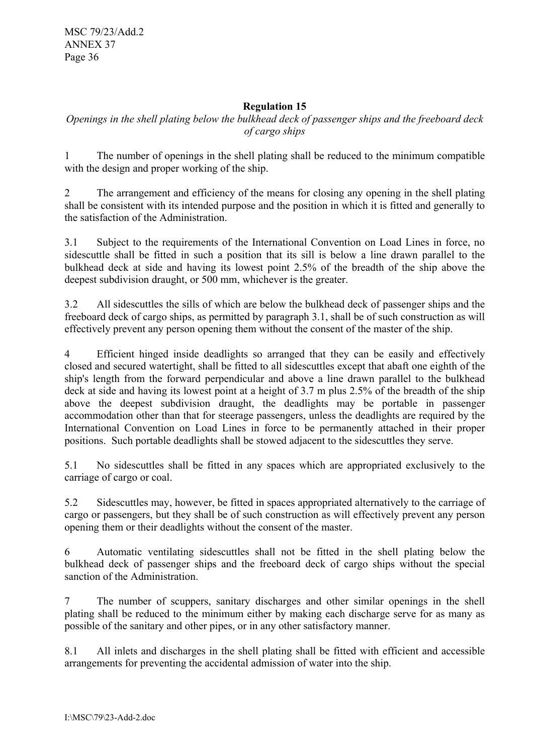## **Regulation 15**

*Openings in the shell plating below the bulkhead deck of passenger ships and the freeboard deck of cargo ships*

1 The number of openings in the shell plating shall be reduced to the minimum compatible with the design and proper working of the ship.

2 The arrangement and efficiency of the means for closing any opening in the shell plating shall be consistent with its intended purpose and the position in which it is fitted and generally to the satisfaction of the Administration.

3.1 Subject to the requirements of the International Convention on Load Lines in force, no sidescuttle shall be fitted in such a position that its sill is below a line drawn parallel to the bulkhead deck at side and having its lowest point 2.5% of the breadth of the ship above the deepest subdivision draught, or 500 mm, whichever is the greater.

3.2 All sidescuttles the sills of which are below the bulkhead deck of passenger ships and the freeboard deck of cargo ships, as permitted by paragraph 3.1, shall be of such construction as will effectively prevent any person opening them without the consent of the master of the ship.

4 Efficient hinged inside deadlights so arranged that they can be easily and effectively closed and secured watertight, shall be fitted to all sidescuttles except that abaft one eighth of the ship's length from the forward perpendicular and above a line drawn parallel to the bulkhead deck at side and having its lowest point at a height of 3.7 m plus 2.5% of the breadth of the ship above the deepest subdivision draught, the deadlights may be portable in passenger accommodation other than that for steerage passengers, unless the deadlights are required by the International Convention on Load Lines in force to be permanently attached in their proper positions. Such portable deadlights shall be stowed adjacent to the sidescuttles they serve.

5.1 No sidescuttles shall be fitted in any spaces which are appropriated exclusively to the carriage of cargo or coal.

5.2 Sidescuttles may, however, be fitted in spaces appropriated alternatively to the carriage of cargo or passengers, but they shall be of such construction as will effectively prevent any person opening them or their deadlights without the consent of the master.

6 Automatic ventilating sidescuttles shall not be fitted in the shell plating below the bulkhead deck of passenger ships and the freeboard deck of cargo ships without the special sanction of the Administration.

7 The number of scuppers, sanitary discharges and other similar openings in the shell plating shall be reduced to the minimum either by making each discharge serve for as many as possible of the sanitary and other pipes, or in any other satisfactory manner.

8.1 All inlets and discharges in the shell plating shall be fitted with efficient and accessible arrangements for preventing the accidental admission of water into the ship.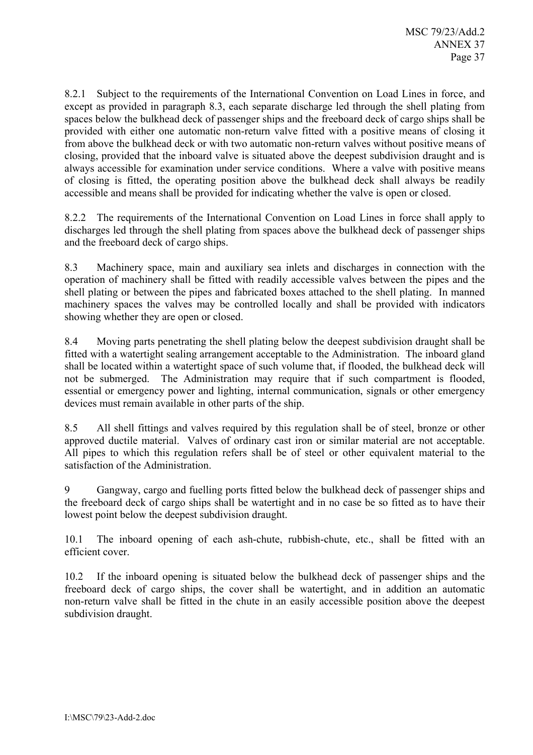8.2.1 Subject to the requirements of the International Convention on Load Lines in force, and except as provided in paragraph 8.3, each separate discharge led through the shell plating from spaces below the bulkhead deck of passenger ships and the freeboard deck of cargo ships shall be provided with either one automatic non-return valve fitted with a positive means of closing it from above the bulkhead deck or with two automatic non-return valves without positive means of closing, provided that the inboard valve is situated above the deepest subdivision draught and is always accessible for examination under service conditions. Where a valve with positive means of closing is fitted, the operating position above the bulkhead deck shall always be readily accessible and means shall be provided for indicating whether the valve is open or closed.

8.2.2 The requirements of the International Convention on Load Lines in force shall apply to discharges led through the shell plating from spaces above the bulkhead deck of passenger ships and the freeboard deck of cargo ships.

8.3 Machinery space, main and auxiliary sea inlets and discharges in connection with the operation of machinery shall be fitted with readily accessible valves between the pipes and the shell plating or between the pipes and fabricated boxes attached to the shell plating. In manned machinery spaces the valves may be controlled locally and shall be provided with indicators showing whether they are open or closed.

8.4 Moving parts penetrating the shell plating below the deepest subdivision draught shall be fitted with a watertight sealing arrangement acceptable to the Administration. The inboard gland shall be located within a watertight space of such volume that, if flooded, the bulkhead deck will not be submerged. The Administration may require that if such compartment is flooded, essential or emergency power and lighting, internal communication, signals or other emergency devices must remain available in other parts of the ship.

8.5 All shell fittings and valves required by this regulation shall be of steel, bronze or other approved ductile material. Valves of ordinary cast iron or similar material are not acceptable. All pipes to which this regulation refers shall be of steel or other equivalent material to the satisfaction of the Administration.

9 Gangway, cargo and fuelling ports fitted below the bulkhead deck of passenger ships and the freeboard deck of cargo ships shall be watertight and in no case be so fitted as to have their lowest point below the deepest subdivision draught.

10.1 The inboard opening of each ash-chute, rubbish-chute, etc., shall be fitted with an efficient cover.

10.2 If the inboard opening is situated below the bulkhead deck of passenger ships and the freeboard deck of cargo ships, the cover shall be watertight, and in addition an automatic non-return valve shall be fitted in the chute in an easily accessible position above the deepest subdivision draught.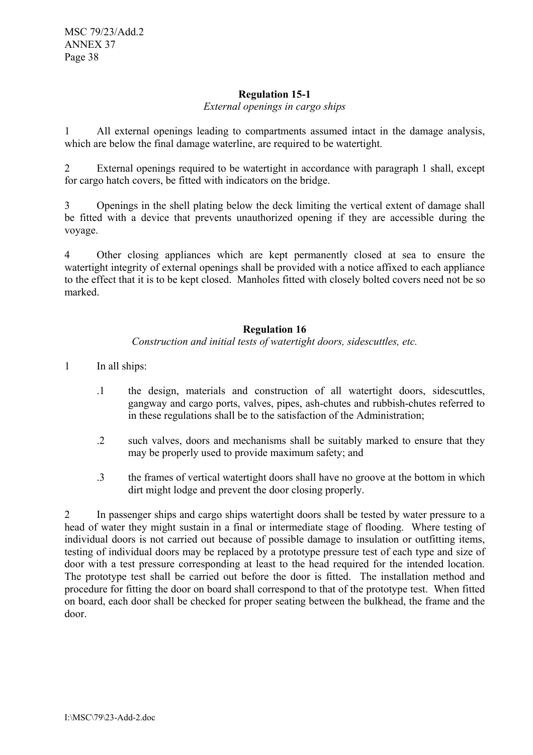# **Regulation 15-1**

#### *External openings in cargo ships*

1 All external openings leading to compartments assumed intact in the damage analysis, which are below the final damage waterline, are required to be watertight.

2 External openings required to be watertight in accordance with paragraph 1 shall, except for cargo hatch covers, be fitted with indicators on the bridge.

3 Openings in the shell plating below the deck limiting the vertical extent of damage shall be fitted with a device that prevents unauthorized opening if they are accessible during the voyage.

4 Other closing appliances which are kept permanently closed at sea to ensure the watertight integrity of external openings shall be provided with a notice affixed to each appliance to the effect that it is to be kept closed. Manholes fitted with closely bolted covers need not be so marked.

#### **Regulation 16**

#### *Construction and initial tests of watertight doors, sidescuttles, etc.*

1 In all ships:

- .1 the design, materials and construction of all watertight doors, sidescuttles, gangway and cargo ports, valves, pipes, ash-chutes and rubbish-chutes referred to in these regulations shall be to the satisfaction of the Administration;
- .2 such valves, doors and mechanisms shall be suitably marked to ensure that they may be properly used to provide maximum safety; and
- .3 the frames of vertical watertight doors shall have no groove at the bottom in which dirt might lodge and prevent the door closing properly.

2 In passenger ships and cargo ships watertight doors shall be tested by water pressure to a head of water they might sustain in a final or intermediate stage of flooding. Where testing of individual doors is not carried out because of possible damage to insulation or outfitting items, testing of individual doors may be replaced by a prototype pressure test of each type and size of door with a test pressure corresponding at least to the head required for the intended location. The prototype test shall be carried out before the door is fitted. The installation method and procedure for fitting the door on board shall correspond to that of the prototype test. When fitted on board, each door shall be checked for proper seating between the bulkhead, the frame and the door.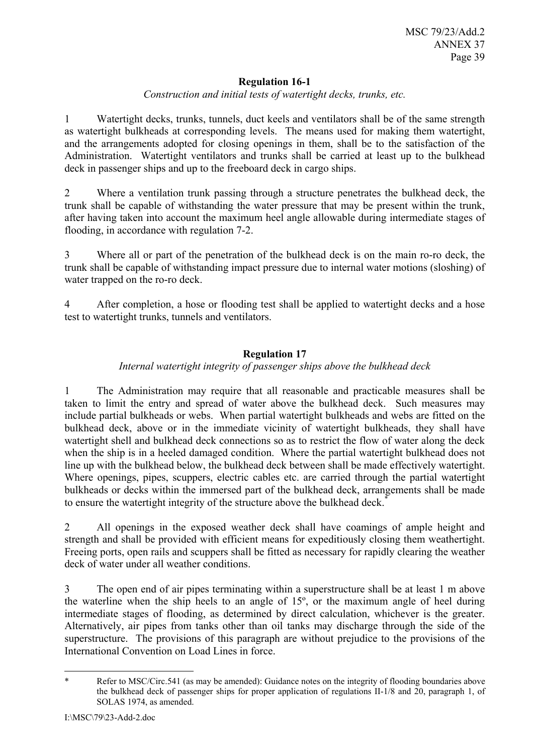# **Regulation 16-1**

#### *Construction and initial tests of watertight decks, trunks, etc.*

1 Watertight decks, trunks, tunnels, duct keels and ventilators shall be of the same strength as watertight bulkheads at corresponding levels. The means used for making them watertight, and the arrangements adopted for closing openings in them, shall be to the satisfaction of the Administration. Watertight ventilators and trunks shall be carried at least up to the bulkhead deck in passenger ships and up to the freeboard deck in cargo ships.

2 Where a ventilation trunk passing through a structure penetrates the bulkhead deck, the trunk shall be capable of withstanding the water pressure that may be present within the trunk, after having taken into account the maximum heel angle allowable during intermediate stages of flooding, in accordance with regulation 7-2.

3 Where all or part of the penetration of the bulkhead deck is on the main ro-ro deck, the trunk shall be capable of withstanding impact pressure due to internal water motions (sloshing) of water trapped on the ro-ro deck.

4 After completion, a hose or flooding test shall be applied to watertight decks and a hose test to watertight trunks, tunnels and ventilators.

### **Regulation 17**

#### *Internal watertight integrity of passenger ships above the bulkhead deck*

1 The Administration may require that all reasonable and practicable measures shall be taken to limit the entry and spread of water above the bulkhead deck. Such measures may include partial bulkheads or webs. When partial watertight bulkheads and webs are fitted on the bulkhead deck, above or in the immediate vicinity of watertight bulkheads, they shall have watertight shell and bulkhead deck connections so as to restrict the flow of water along the deck when the ship is in a heeled damaged condition. Where the partial watertight bulkhead does not line up with the bulkhead below, the bulkhead deck between shall be made effectively watertight. Where openings, pipes, scuppers, electric cables etc. are carried through the partial watertight bulkheads or decks within the immersed part of the bulkhead deck, arrangements shall be made to ensure the watertight integrity of the structure above the bulkhead deck.<sup>\*</sup>

2 All openings in the exposed weather deck shall have coamings of ample height and strength and shall be provided with efficient means for expeditiously closing them weathertight. Freeing ports, open rails and scuppers shall be fitted as necessary for rapidly clearing the weather deck of water under all weather conditions.

3 The open end of air pipes terminating within a superstructure shall be at least 1 m above the waterline when the ship heels to an angle of 15º, or the maximum angle of heel during intermediate stages of flooding, as determined by direct calculation, whichever is the greater. Alternatively, air pipes from tanks other than oil tanks may discharge through the side of the superstructure. The provisions of this paragraph are without prejudice to the provisions of the International Convention on Load Lines in force.

 $\overline{a}$ 

Refer to MSC/Circ.541 (as may be amended): Guidance notes on the integrity of flooding boundaries above the bulkhead deck of passenger ships for proper application of regulations II-1/8 and 20, paragraph 1, of SOLAS 1974, as amended.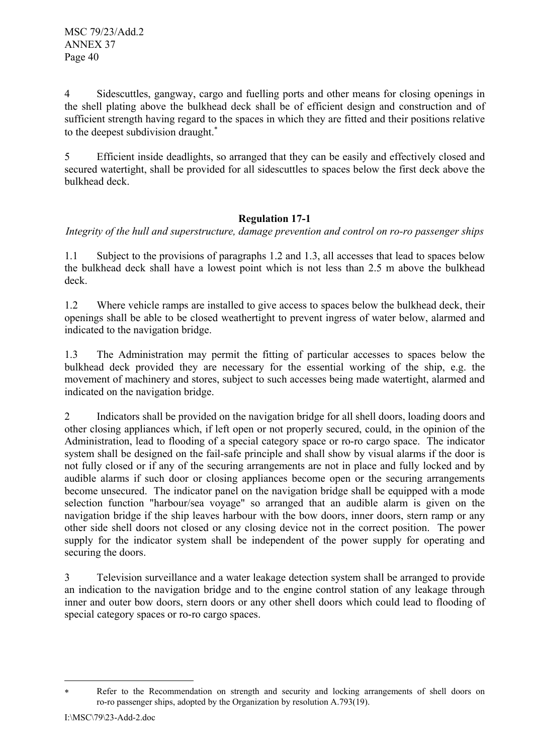4 Sidescuttles, gangway, cargo and fuelling ports and other means for closing openings in the shell plating above the bulkhead deck shall be of efficient design and construction and of sufficient strength having regard to the spaces in which they are fitted and their positions relative to the deepest subdivision draught.<sup>\*</sup>

5 Efficient inside deadlights, so arranged that they can be easily and effectively closed and secured watertight, shall be provided for all sidescuttles to spaces below the first deck above the bulkhead deck.

## **Regulation 17-1**

*Integrity of the hull and superstructure, damage prevention and control on ro-ro passenger ships* 

1.1 Subject to the provisions of paragraphs 1.2 and 1.3, all accesses that lead to spaces below the bulkhead deck shall have a lowest point which is not less than 2.5 m above the bulkhead deck.

1.2 Where vehicle ramps are installed to give access to spaces below the bulkhead deck, their openings shall be able to be closed weathertight to prevent ingress of water below, alarmed and indicated to the navigation bridge.

1.3 The Administration may permit the fitting of particular accesses to spaces below the bulkhead deck provided they are necessary for the essential working of the ship, e.g. the movement of machinery and stores, subject to such accesses being made watertight, alarmed and indicated on the navigation bridge.

2 Indicators shall be provided on the navigation bridge for all shell doors, loading doors and other closing appliances which, if left open or not properly secured, could, in the opinion of the Administration, lead to flooding of a special category space or ro-ro cargo space. The indicator system shall be designed on the fail-safe principle and shall show by visual alarms if the door is not fully closed or if any of the securing arrangements are not in place and fully locked and by audible alarms if such door or closing appliances become open or the securing arrangements become unsecured. The indicator panel on the navigation bridge shall be equipped with a mode selection function "harbour/sea voyage" so arranged that an audible alarm is given on the navigation bridge if the ship leaves harbour with the bow doors, inner doors, stern ramp or any other side shell doors not closed or any closing device not in the correct position. The power supply for the indicator system shall be independent of the power supply for operating and securing the doors.

3 Television surveillance and a water leakage detection system shall be arranged to provide an indication to the navigation bridge and to the engine control station of any leakage through inner and outer bow doors, stern doors or any other shell doors which could lead to flooding of special category spaces or ro-ro cargo spaces.

 $\overline{a}$ 

<sup>∗</sup> Refer to the Recommendation on strength and security and locking arrangements of shell doors on ro-ro passenger ships, adopted by the Organization by resolution A.793(19).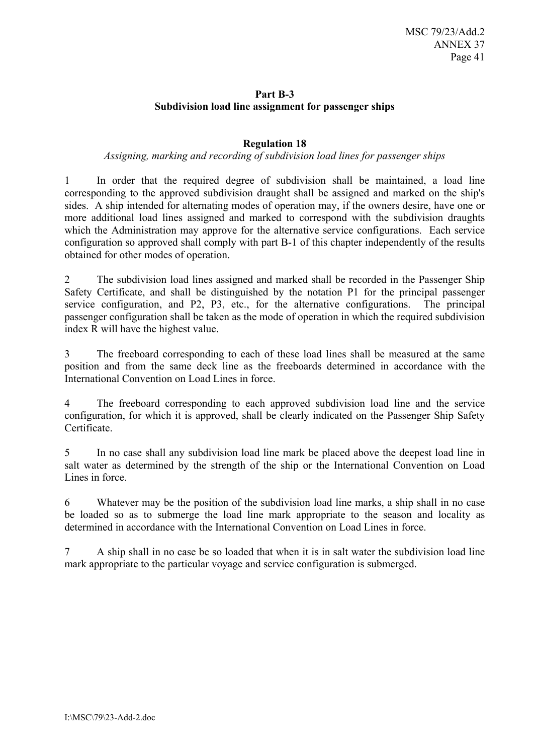## **Part B-3 Subdivision load line assignment for passenger ships**

#### **Regulation 18**

#### *Assigning, marking and recording of subdivision load lines for passenger ships*

1 In order that the required degree of subdivision shall be maintained, a load line corresponding to the approved subdivision draught shall be assigned and marked on the ship's sides. A ship intended for alternating modes of operation may, if the owners desire, have one or more additional load lines assigned and marked to correspond with the subdivision draughts which the Administration may approve for the alternative service configurations. Each service configuration so approved shall comply with part B-1 of this chapter independently of the results obtained for other modes of operation.

2 The subdivision load lines assigned and marked shall be recorded in the Passenger Ship Safety Certificate, and shall be distinguished by the notation P1 for the principal passenger service configuration, and P2, P3, etc., for the alternative configurations. The principal passenger configuration shall be taken as the mode of operation in which the required subdivision index R will have the highest value.

3 The freeboard corresponding to each of these load lines shall be measured at the same position and from the same deck line as the freeboards determined in accordance with the International Convention on Load Lines in force.

4 The freeboard corresponding to each approved subdivision load line and the service configuration, for which it is approved, shall be clearly indicated on the Passenger Ship Safety Certificate.

5 In no case shall any subdivision load line mark be placed above the deepest load line in salt water as determined by the strength of the ship or the International Convention on Load Lines in force.

6 Whatever may be the position of the subdivision load line marks, a ship shall in no case be loaded so as to submerge the load line mark appropriate to the season and locality as determined in accordance with the International Convention on Load Lines in force.

7 A ship shall in no case be so loaded that when it is in salt water the subdivision load line mark appropriate to the particular voyage and service configuration is submerged.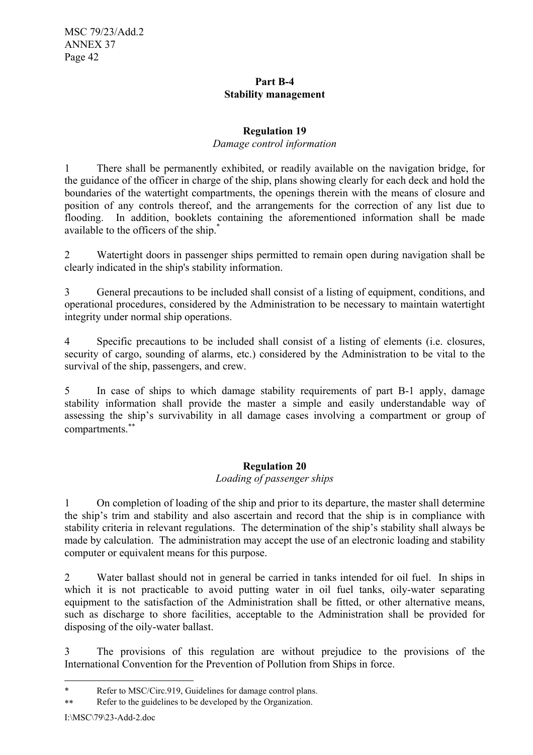# **Part B-4 Stability management**

## **Regulation 19**

#### *Damage control information*

1 There shall be permanently exhibited, or readily available on the navigation bridge, for the guidance of the officer in charge of the ship, plans showing clearly for each deck and hold the boundaries of the watertight compartments, the openings therein with the means of closure and position of any controls thereof, and the arrangements for the correction of any list due to flooding. In addition, booklets containing the aforementioned information shall be made available to the officers of the ship.\*

2 Watertight doors in passenger ships permitted to remain open during navigation shall be clearly indicated in the ship's stability information.

3 General precautions to be included shall consist of a listing of equipment, conditions, and operational procedures, considered by the Administration to be necessary to maintain watertight integrity under normal ship operations.

4 Specific precautions to be included shall consist of a listing of elements (i.e. closures, security of cargo, sounding of alarms, etc.) considered by the Administration to be vital to the survival of the ship, passengers, and crew.

5 In case of ships to which damage stability requirements of part B-1 apply, damage stability information shall provide the master a simple and easily understandable way of assessing the ship's survivability in all damage cases involving a compartment or group of compartments.<sup>\*\*</sup>

# **Regulation 20**

### *Loading of passenger ships*

1 On completion of loading of the ship and prior to its departure, the master shall determine the ship's trim and stability and also ascertain and record that the ship is in compliance with stability criteria in relevant regulations. The determination of the ship's stability shall always be made by calculation. The administration may accept the use of an electronic loading and stability computer or equivalent means for this purpose.

2 Water ballast should not in general be carried in tanks intended for oil fuel. In ships in which it is not practicable to avoid putting water in oil fuel tanks, oily-water separating equipment to the satisfaction of the Administration shall be fitted, or other alternative means, such as discharge to shore facilities, acceptable to the Administration shall be provided for disposing of the oily-water ballast.

3 The provisions of this regulation are without prejudice to the provisions of the International Convention for the Prevention of Pollution from Ships in force.

 $\overline{a}$ \* Refer to MSC/Circ.919, Guidelines for damage control plans.

<sup>∗∗</sup> Refer to the guidelines to be developed by the Organization.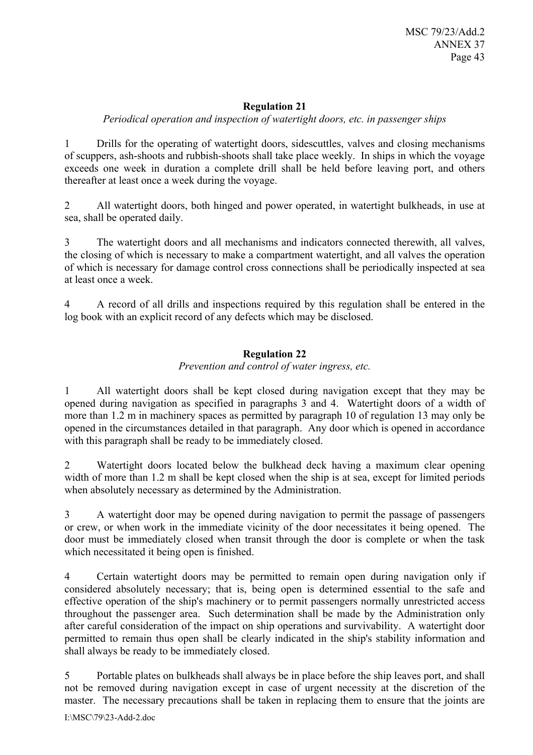# **Regulation 21**

*Periodical operation and inspection of watertight doors, etc. in passenger ships* 

1 Drills for the operating of watertight doors, sidescuttles, valves and closing mechanisms of scuppers, ash-shoots and rubbish-shoots shall take place weekly. In ships in which the voyage exceeds one week in duration a complete drill shall be held before leaving port, and others thereafter at least once a week during the voyage.

2 All watertight doors, both hinged and power operated, in watertight bulkheads, in use at sea, shall be operated daily.

3 The watertight doors and all mechanisms and indicators connected therewith, all valves, the closing of which is necessary to make a compartment watertight, and all valves the operation of which is necessary for damage control cross connections shall be periodically inspected at sea at least once a week.

4 A record of all drills and inspections required by this regulation shall be entered in the log book with an explicit record of any defects which may be disclosed.

### **Regulation 22**

*Prevention and control of water ingress, etc.* 

1 All watertight doors shall be kept closed during navigation except that they may be opened during navigation as specified in paragraphs 3 and 4. Watertight doors of a width of more than 1.2 m in machinery spaces as permitted by paragraph 10 of regulation 13 may only be opened in the circumstances detailed in that paragraph. Any door which is opened in accordance with this paragraph shall be ready to be immediately closed.

2 Watertight doors located below the bulkhead deck having a maximum clear opening width of more than 1.2 m shall be kept closed when the ship is at sea, except for limited periods when absolutely necessary as determined by the Administration.

3 A watertight door may be opened during navigation to permit the passage of passengers or crew, or when work in the immediate vicinity of the door necessitates it being opened. The door must be immediately closed when transit through the door is complete or when the task which necessitated it being open is finished.

4 Certain watertight doors may be permitted to remain open during navigation only if considered absolutely necessary; that is, being open is determined essential to the safe and effective operation of the ship's machinery or to permit passengers normally unrestricted access throughout the passenger area. Such determination shall be made by the Administration only after careful consideration of the impact on ship operations and survivability. A watertight door permitted to remain thus open shall be clearly indicated in the ship's stability information and shall always be ready to be immediately closed.

5 Portable plates on bulkheads shall always be in place before the ship leaves port, and shall not be removed during navigation except in case of urgent necessity at the discretion of the master. The necessary precautions shall be taken in replacing them to ensure that the joints are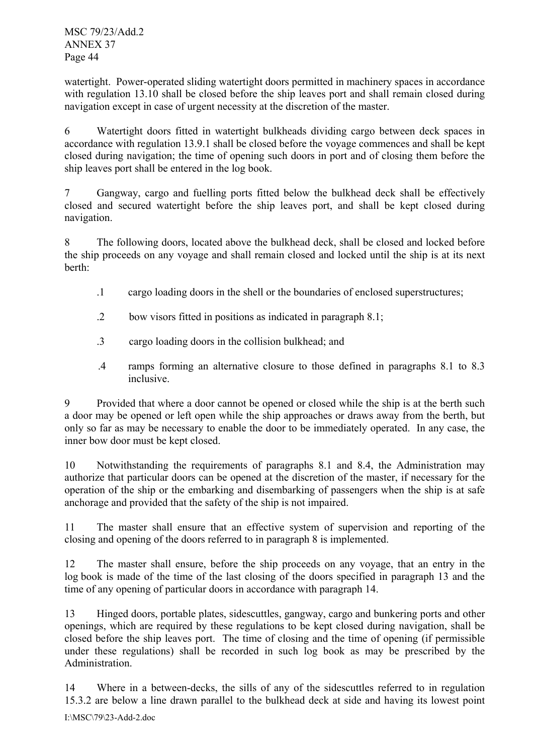watertight. Power-operated sliding watertight doors permitted in machinery spaces in accordance with regulation 13.10 shall be closed before the ship leaves port and shall remain closed during navigation except in case of urgent necessity at the discretion of the master.

6 Watertight doors fitted in watertight bulkheads dividing cargo between deck spaces in accordance with regulation 13.9.1 shall be closed before the voyage commences and shall be kept closed during navigation; the time of opening such doors in port and of closing them before the ship leaves port shall be entered in the log book.

7 Gangway, cargo and fuelling ports fitted below the bulkhead deck shall be effectively closed and secured watertight before the ship leaves port, and shall be kept closed during navigation.

8 The following doors, located above the bulkhead deck, shall be closed and locked before the ship proceeds on any voyage and shall remain closed and locked until the ship is at its next berth:

- .1 cargo loading doors in the shell or the boundaries of enclosed superstructures;
- .2 bow visors fitted in positions as indicated in paragraph 8.1;
- .3 cargo loading doors in the collision bulkhead; and
- .4 ramps forming an alternative closure to those defined in paragraphs 8.1 to 8.3 inclusive.

9 Provided that where a door cannot be opened or closed while the ship is at the berth such a door may be opened or left open while the ship approaches or draws away from the berth, but only so far as may be necessary to enable the door to be immediately operated. In any case, the inner bow door must be kept closed.

10 Notwithstanding the requirements of paragraphs 8.1 and 8.4, the Administration may authorize that particular doors can be opened at the discretion of the master, if necessary for the operation of the ship or the embarking and disembarking of passengers when the ship is at safe anchorage and provided that the safety of the ship is not impaired.

11 The master shall ensure that an effective system of supervision and reporting of the closing and opening of the doors referred to in paragraph 8 is implemented.

12 The master shall ensure, before the ship proceeds on any voyage, that an entry in the log book is made of the time of the last closing of the doors specified in paragraph 13 and the time of any opening of particular doors in accordance with paragraph 14.

13 Hinged doors, portable plates, sidescuttles, gangway, cargo and bunkering ports and other openings, which are required by these regulations to be kept closed during navigation, shall be closed before the ship leaves port. The time of closing and the time of opening (if permissible under these regulations) shall be recorded in such log book as may be prescribed by the Administration.

14 Where in a between-decks, the sills of any of the sidescuttles referred to in regulation 15.3.2 are below a line drawn parallel to the bulkhead deck at side and having its lowest point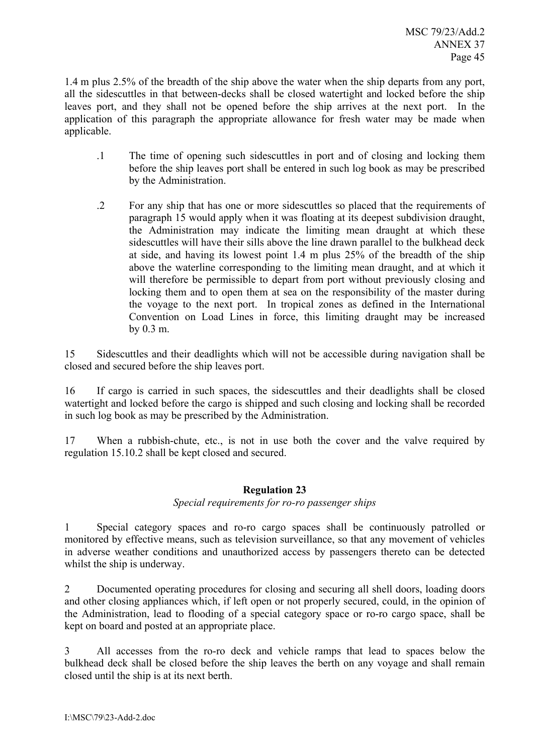1.4 m plus 2.5% of the breadth of the ship above the water when the ship departs from any port, all the sidescuttles in that between-decks shall be closed watertight and locked before the ship leaves port, and they shall not be opened before the ship arrives at the next port. In the application of this paragraph the appropriate allowance for fresh water may be made when applicable.

- .1 The time of opening such sidescuttles in port and of closing and locking them before the ship leaves port shall be entered in such log book as may be prescribed by the Administration.
- .2 For any ship that has one or more sidescuttles so placed that the requirements of paragraph 15 would apply when it was floating at its deepest subdivision draught, the Administration may indicate the limiting mean draught at which these sidescuttles will have their sills above the line drawn parallel to the bulkhead deck at side, and having its lowest point 1.4 m plus 25% of the breadth of the ship above the waterline corresponding to the limiting mean draught, and at which it will therefore be permissible to depart from port without previously closing and locking them and to open them at sea on the responsibility of the master during the voyage to the next port. In tropical zones as defined in the International Convention on Load Lines in force, this limiting draught may be increased by 0.3 m.

15 Sidescuttles and their deadlights which will not be accessible during navigation shall be closed and secured before the ship leaves port.

16 If cargo is carried in such spaces, the sidescuttles and their deadlights shall be closed watertight and locked before the cargo is shipped and such closing and locking shall be recorded in such log book as may be prescribed by the Administration.

17 When a rubbish-chute, etc., is not in use both the cover and the valve required by regulation 15.10.2 shall be kept closed and secured.

### **Regulation 23**

#### *Special requirements for ro-ro passenger ships*

1 Special category spaces and ro-ro cargo spaces shall be continuously patrolled or monitored by effective means, such as television surveillance, so that any movement of vehicles in adverse weather conditions and unauthorized access by passengers thereto can be detected whilst the ship is underway.

2 Documented operating procedures for closing and securing all shell doors, loading doors and other closing appliances which, if left open or not properly secured, could, in the opinion of the Administration, lead to flooding of a special category space or ro-ro cargo space, shall be kept on board and posted at an appropriate place.

3 All accesses from the ro-ro deck and vehicle ramps that lead to spaces below the bulkhead deck shall be closed before the ship leaves the berth on any voyage and shall remain closed until the ship is at its next berth.